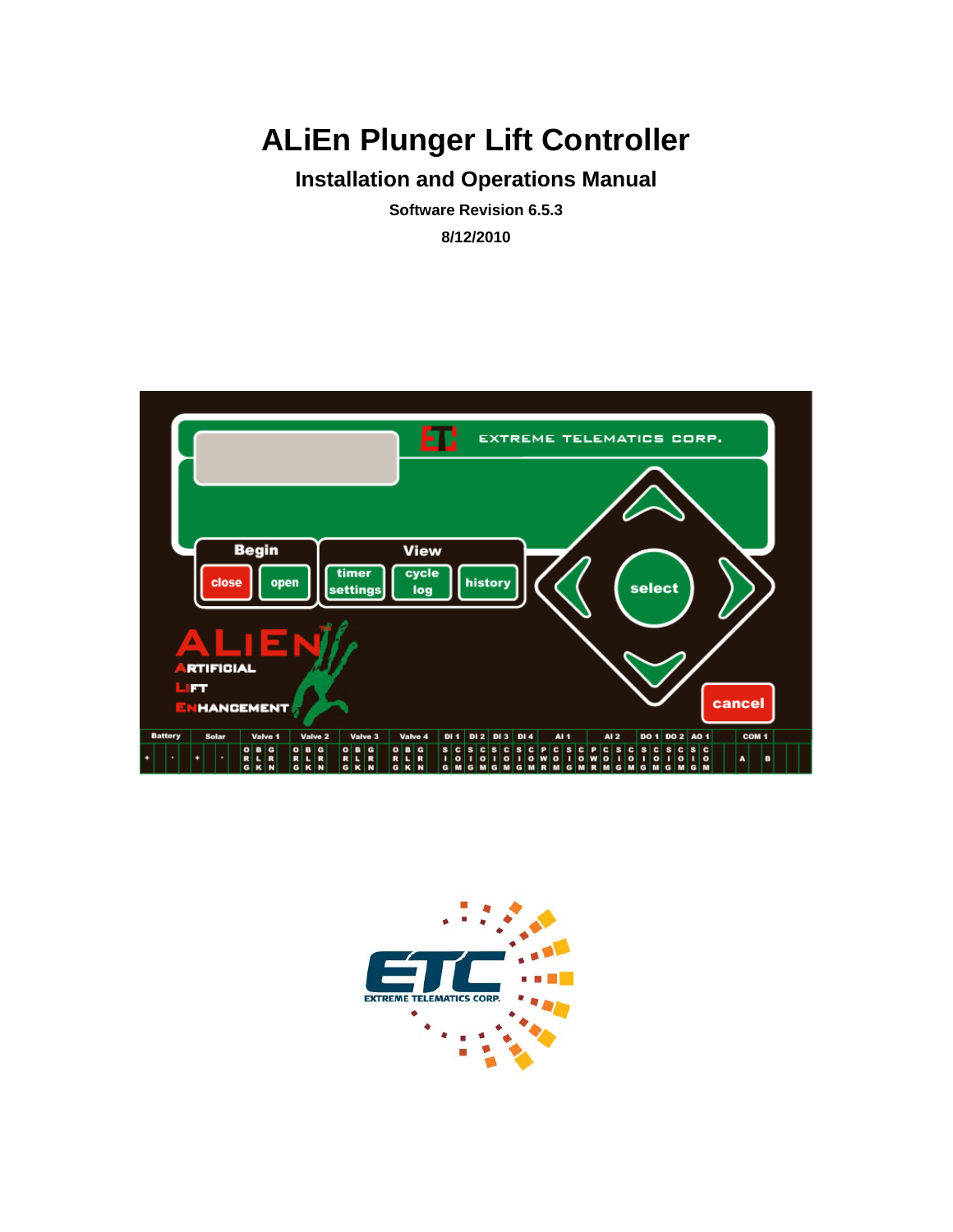# **ALiEn Plunger Lift Controller**

# **Installation and Operations Manual**

**Software Revision 6.5.3 8/12/2010** 



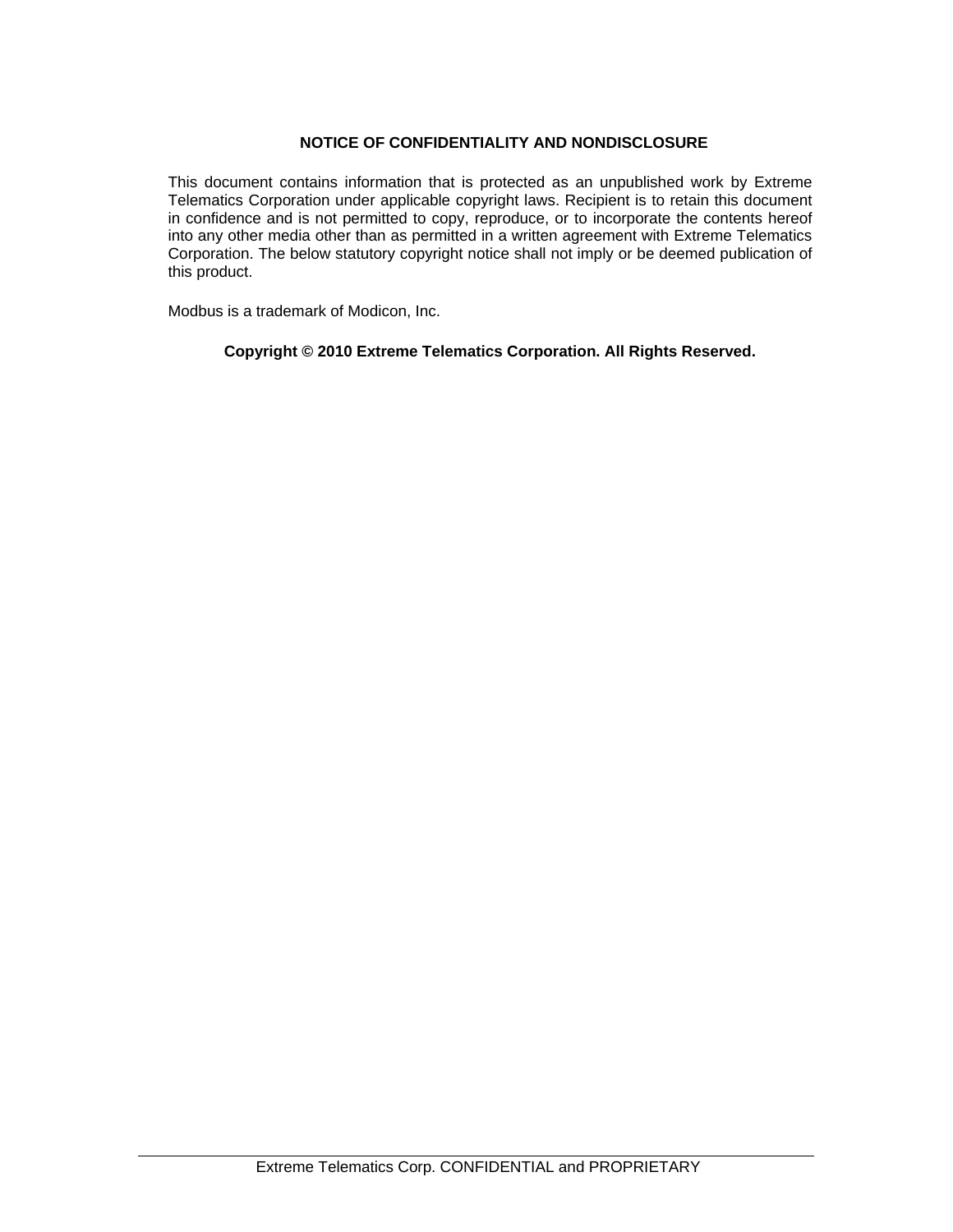#### **NOTICE OF CONFIDENTIALITY AND NONDISCLOSURE**

This document contains information that is protected as an unpublished work by Extreme Telematics Corporation under applicable copyright laws. Recipient is to retain this document in confidence and is not permitted to copy, reproduce, or to incorporate the contents hereof into any other media other than as permitted in a written agreement with Extreme Telematics Corporation. The below statutory copyright notice shall not imply or be deemed publication of this product.

Modbus is a trademark of Modicon, Inc.

#### **Copyright © 2010 Extreme Telematics Corporation. All Rights Reserved.**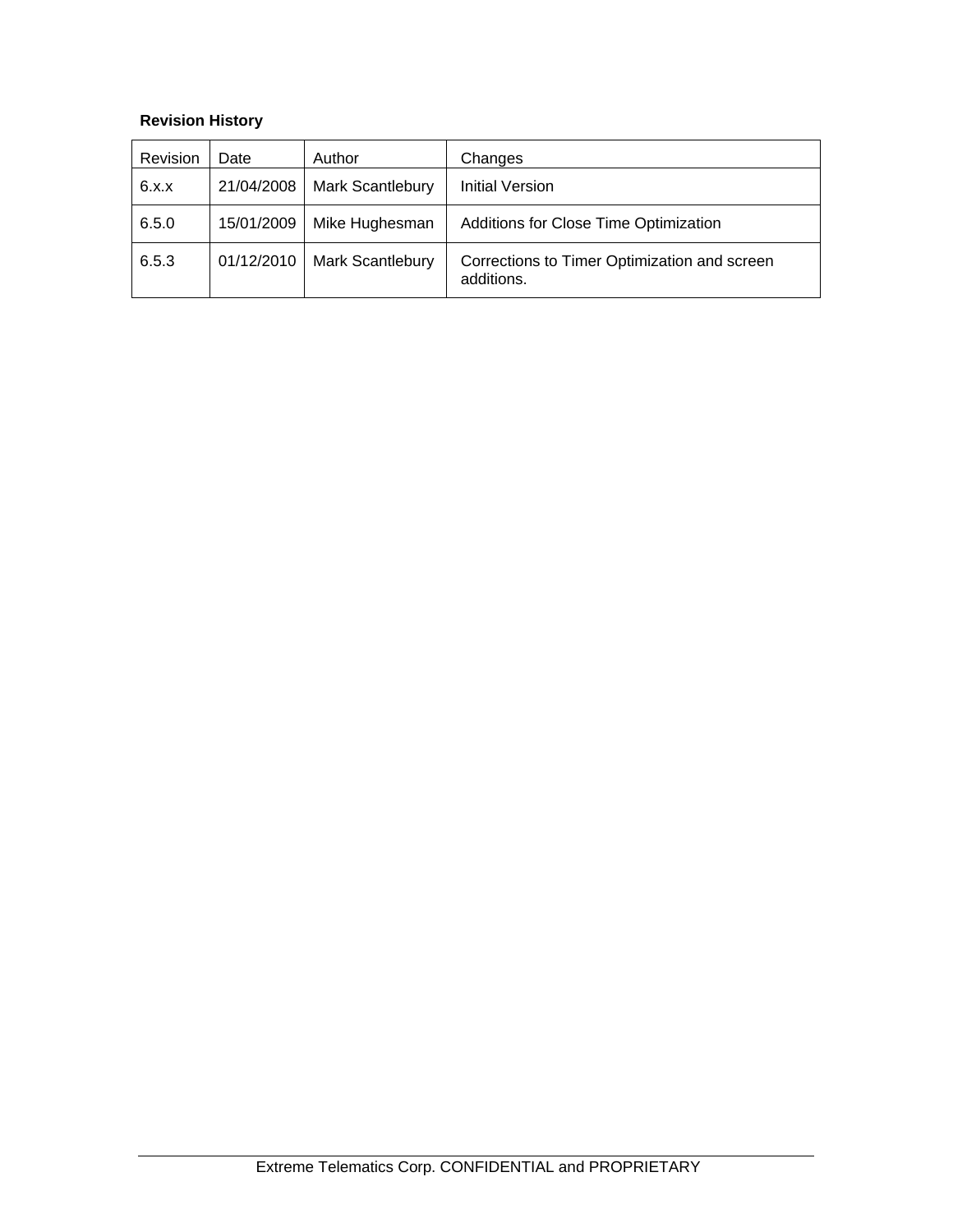### **Revision History**

| Revision | Date       | Author                  | Changes                                                    |
|----------|------------|-------------------------|------------------------------------------------------------|
| 6.x.x    | 21/04/2008 | Mark Scantlebury        | <b>Initial Version</b>                                     |
| 6.5.0    | 15/01/2009 | Mike Hughesman          | Additions for Close Time Optimization                      |
| 6.5.3    | 01/12/2010 | <b>Mark Scantlebury</b> | Corrections to Timer Optimization and screen<br>additions. |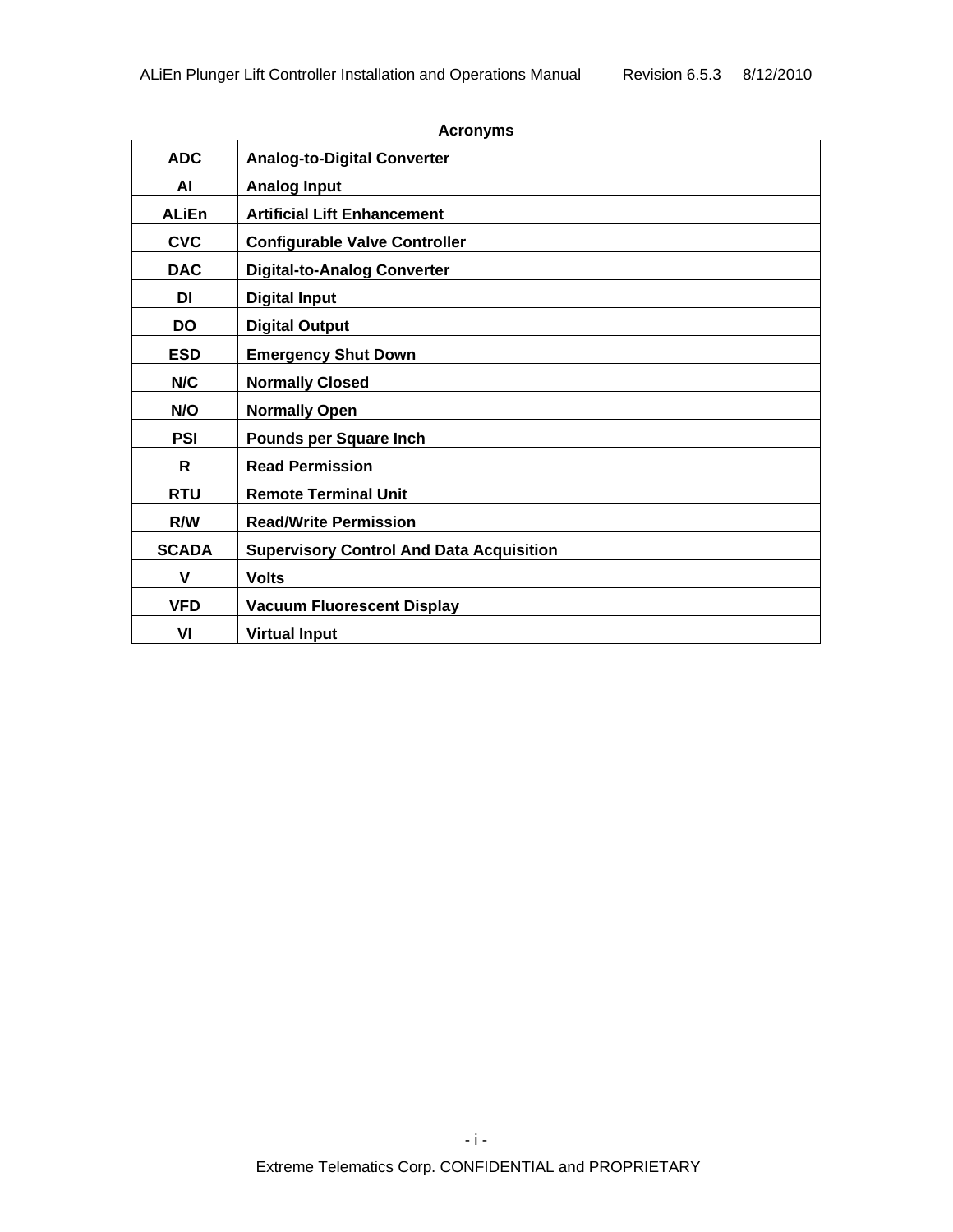| <b>ADC</b>   | <b>Analog-to-Digital Converter</b>              |
|--------------|-------------------------------------------------|
| <b>AI</b>    | <b>Analog Input</b>                             |
| <b>ALiEn</b> | <b>Artificial Lift Enhancement</b>              |
| <b>CVC</b>   | <b>Configurable Valve Controller</b>            |
| <b>DAC</b>   | <b>Digital-to-Analog Converter</b>              |
| <b>DI</b>    | <b>Digital Input</b>                            |
| <b>DO</b>    | <b>Digital Output</b>                           |
| <b>ESD</b>   | <b>Emergency Shut Down</b>                      |
| N/C          | <b>Normally Closed</b>                          |
| N/O          | <b>Normally Open</b>                            |
| <b>PSI</b>   | <b>Pounds per Square Inch</b>                   |
| R            | <b>Read Permission</b>                          |
| <b>RTU</b>   | <b>Remote Terminal Unit</b>                     |
| R/W          | <b>Read/Write Permission</b>                    |
| <b>SCADA</b> | <b>Supervisory Control And Data Acquisition</b> |
| $\mathbf v$  | <b>Volts</b>                                    |
| <b>VFD</b>   | <b>Vacuum Fluorescent Display</b>               |
| VI           | <b>Virtual Input</b>                            |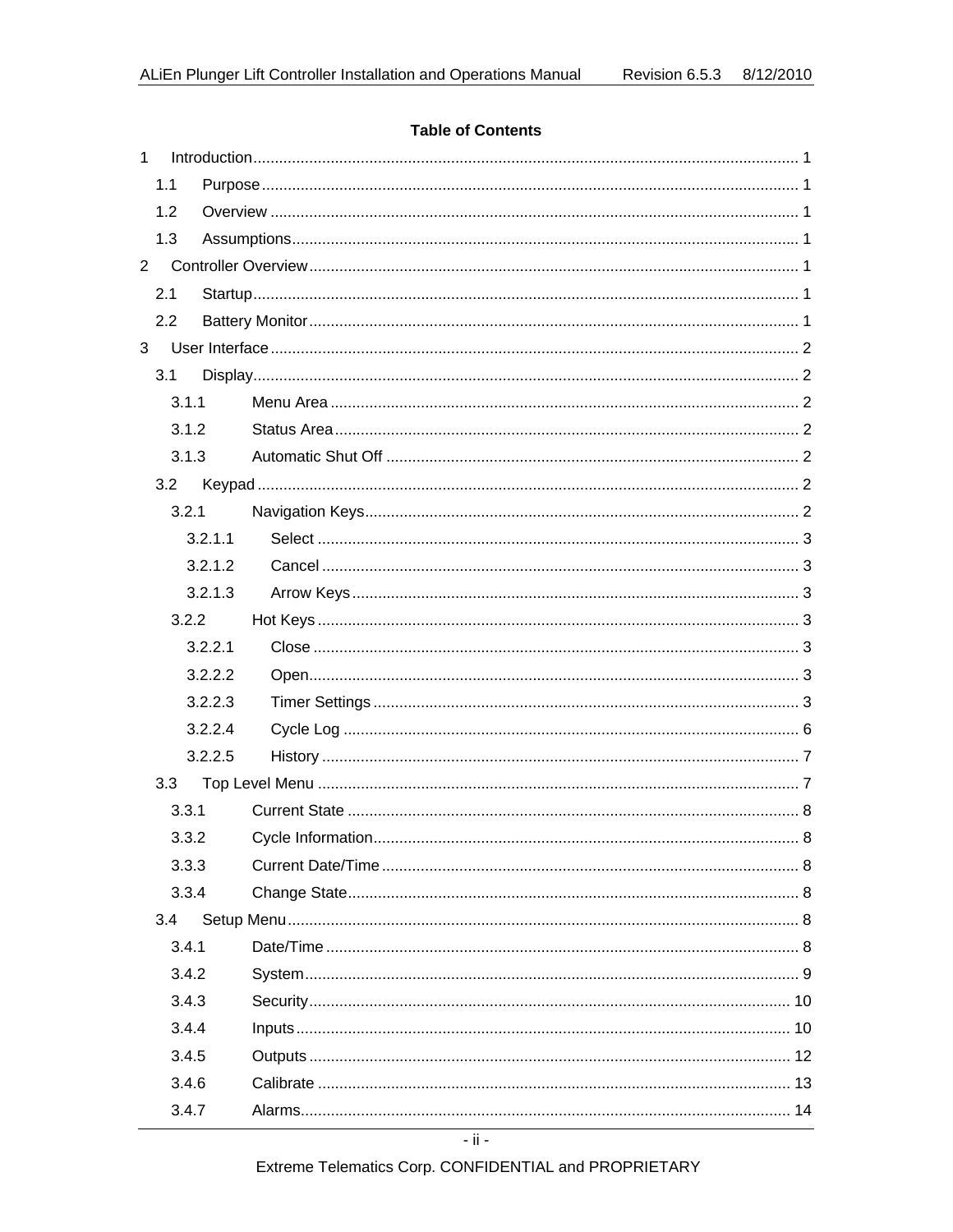#### **Table of Contents**

| $\mathbf{1}$   |     |       |         |  |
|----------------|-----|-------|---------|--|
|                | 1.1 |       |         |  |
|                | 1.2 |       |         |  |
|                | 1.3 |       |         |  |
| $\overline{2}$ |     |       |         |  |
|                | 2.1 |       |         |  |
|                | 2.2 |       |         |  |
| 3              |     |       |         |  |
|                | 3.1 |       |         |  |
|                |     | 3.1.1 |         |  |
|                |     | 3.1.2 |         |  |
|                |     | 3.1.3 |         |  |
|                |     | 3.2   |         |  |
|                |     | 3.2.1 |         |  |
|                |     |       | 3.2.1.1 |  |
|                |     |       | 3.2.1.2 |  |
|                |     |       | 3.2.1.3 |  |
|                |     | 3.2.2 |         |  |
|                |     |       | 3.2.2.1 |  |
|                |     |       | 3.2.2.2 |  |
|                |     |       | 3.2.2.3 |  |
|                |     |       | 3.2.2.4 |  |
|                |     |       | 3.2.2.5 |  |
|                |     | 3.3   |         |  |
|                |     | 3.3.1 |         |  |
|                |     | 3.3.2 |         |  |
|                |     | 3.3.3 |         |  |
|                |     | 3.3.4 |         |  |
|                |     | 3.4   |         |  |
|                |     | 3.4.1 |         |  |
|                |     | 3.4.2 |         |  |
|                |     | 3.4.3 |         |  |
|                |     | 3.4.4 |         |  |
|                |     | 3.4.5 |         |  |
|                |     | 3.4.6 |         |  |
|                |     | 3.4.7 |         |  |

Extreme Telematics Corp. CONFIDENTIAL and PROPRIETARY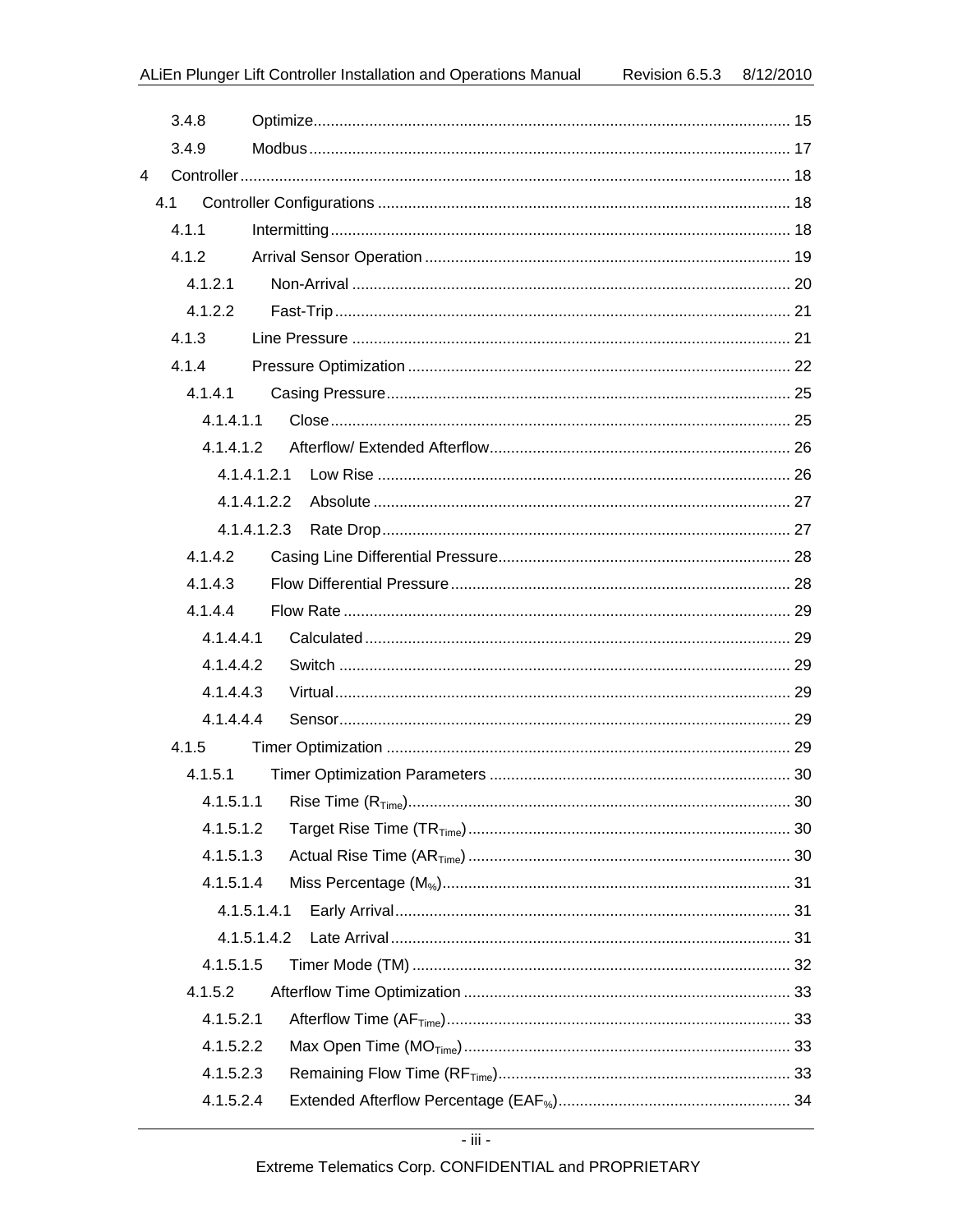| 3.4.8     |             |  |
|-----------|-------------|--|
| 3.4.9     |             |  |
| 4         |             |  |
| 4.1       |             |  |
| 4.1.1     |             |  |
| 4.1.2     |             |  |
| 4.1.2.1   |             |  |
| 4.1.2.2   |             |  |
| 4.1.3     |             |  |
| 4.1.4     |             |  |
| 4.1.4.1   |             |  |
| 4.1.4.1.1 |             |  |
| 41412     |             |  |
|           |             |  |
|           | 4.1.4.1.2.2 |  |
|           | 4.1.4.1.2.3 |  |
| 4.1.4.2   |             |  |
| 4.1.4.3   |             |  |
| 4.1.4.4   |             |  |
| 4.1.4.4.1 |             |  |
| 4.1.4.4.2 |             |  |
| 4.1.4.4.3 |             |  |
| 4.1.4.4.4 |             |  |
| 4.1.5     |             |  |
| 4.1.5.1   |             |  |
|           |             |  |
| 4.1.5.1.2 |             |  |
| 4.1.5.1.3 |             |  |
| 4.1.5.1.4 |             |  |
|           | 4.1.5.1.4.1 |  |
|           | 4.1.5.1.4.2 |  |
| 4.1.5.1.5 |             |  |
| 4.1.5.2   |             |  |
| 4.1.5.2.1 |             |  |
| 4.1.5.2.2 |             |  |
| 4.1.5.2.3 |             |  |
| 4.1.5.2.4 |             |  |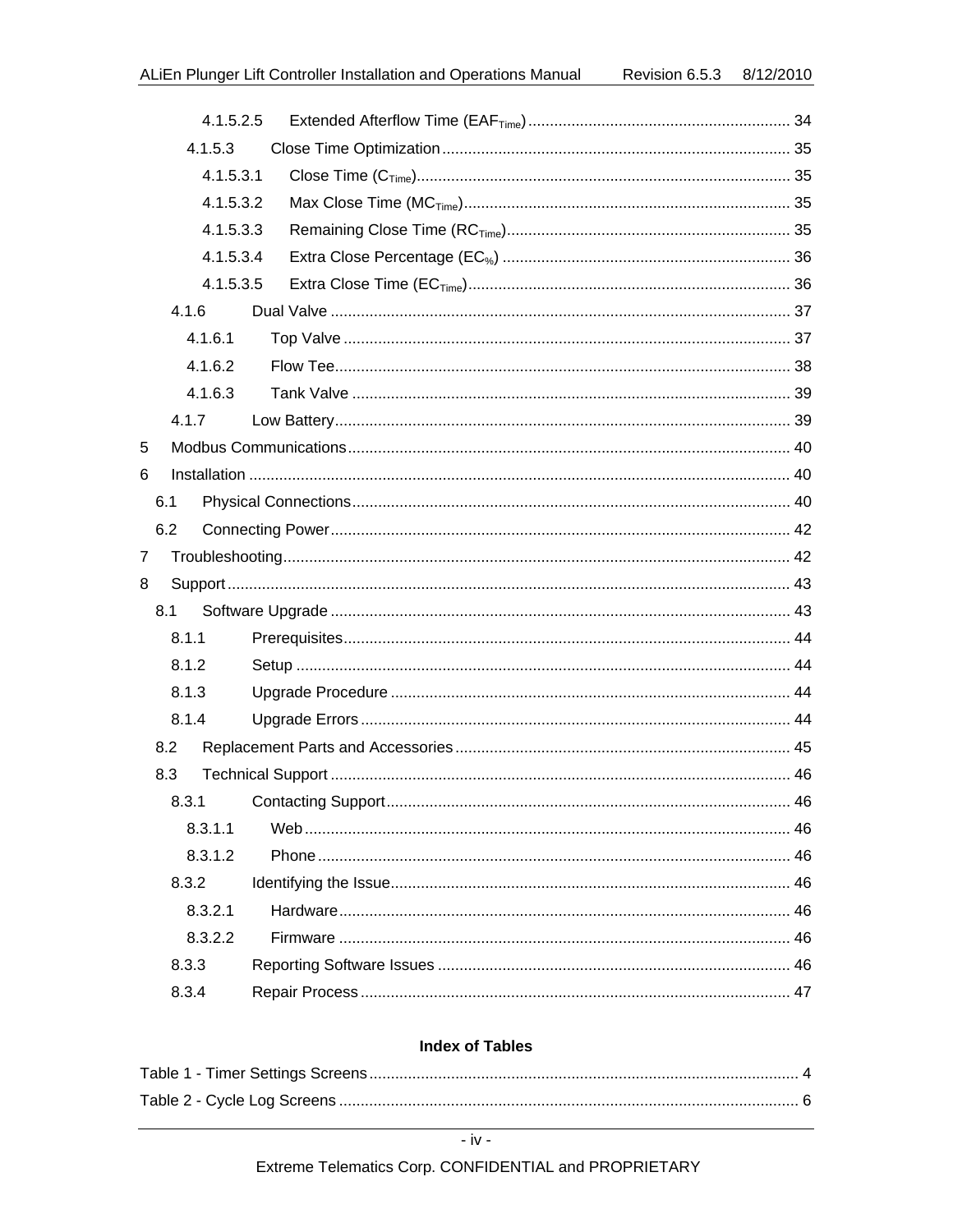| 4.1.5.2.5 |  |
|-----------|--|
|           |  |
| 4.1.5.3.1 |  |
| 4.1.5.3.2 |  |
| 4.1.5.3.3 |  |
| 4.1.5.3.4 |  |
| 4.1.5.3.5 |  |
|           |  |
|           |  |
|           |  |
|           |  |
|           |  |
|           |  |
|           |  |
|           |  |
|           |  |
|           |  |
|           |  |
|           |  |
|           |  |
|           |  |
|           |  |
|           |  |
|           |  |
|           |  |
|           |  |
|           |  |
|           |  |
|           |  |
|           |  |
|           |  |
|           |  |
|           |  |
|           |  |

#### **Index of Tables**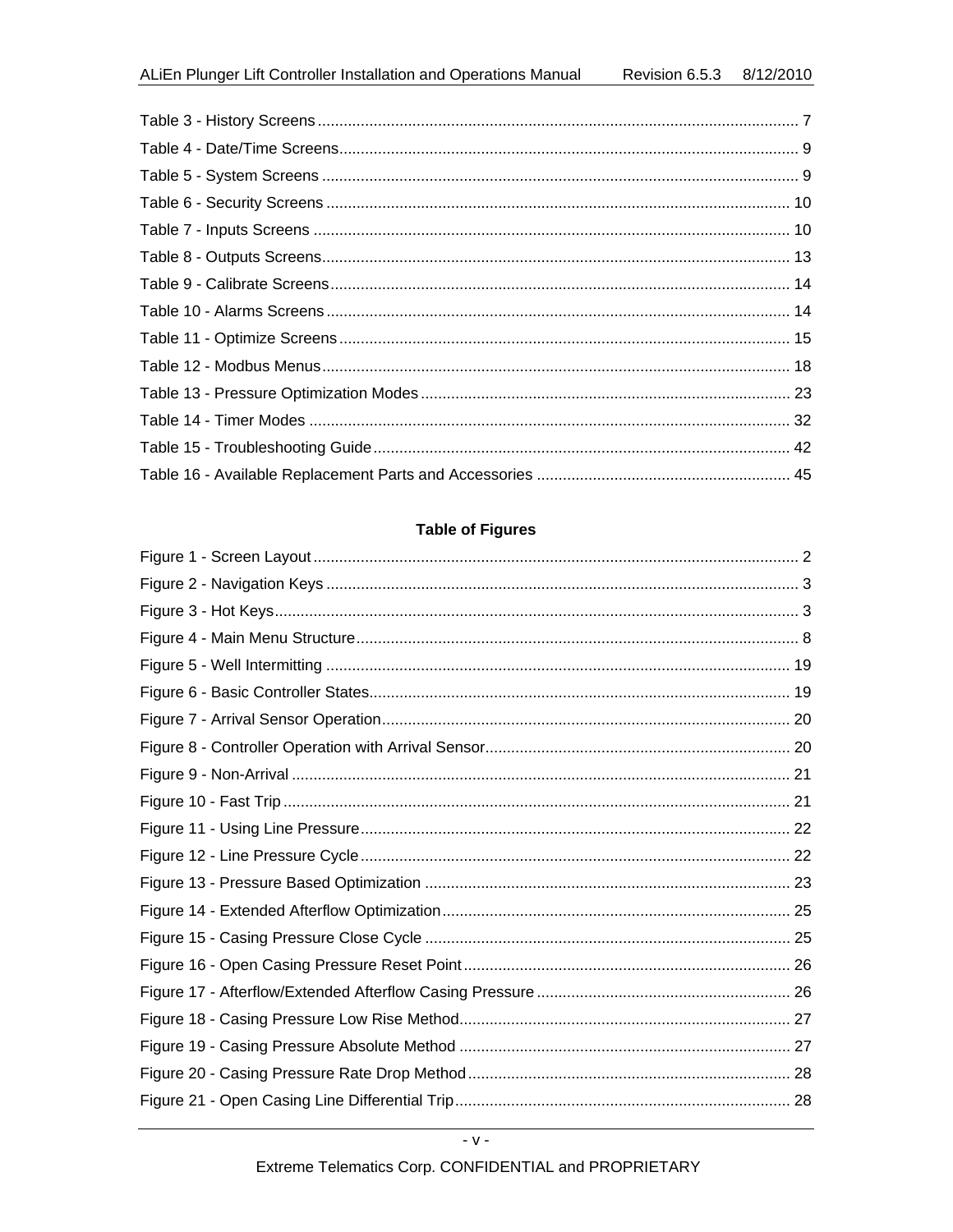### **Table of Figures**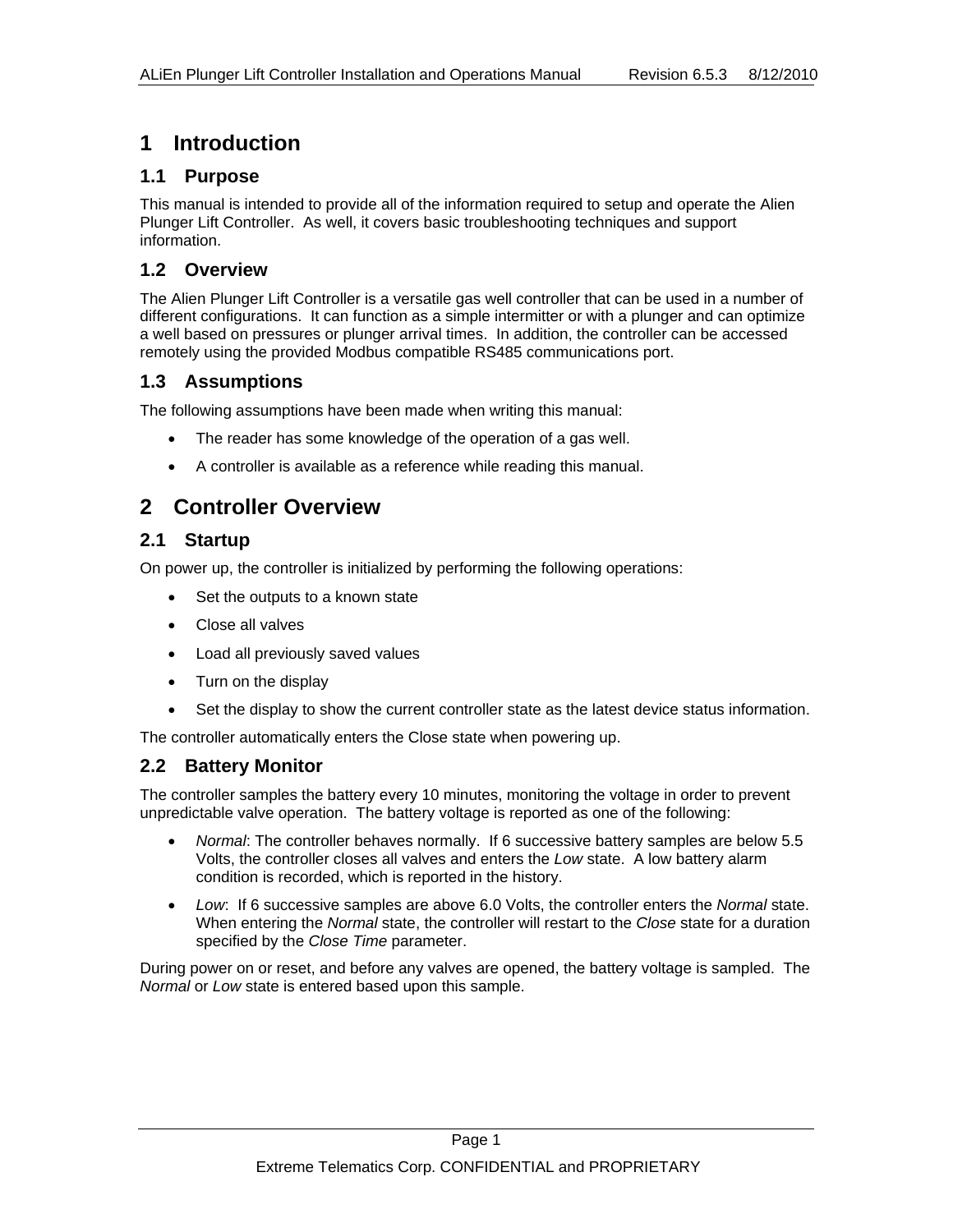# **1 Introduction**

### **1.1 Purpose**

This manual is intended to provide all of the information required to setup and operate the Alien Plunger Lift Controller. As well, it covers basic troubleshooting techniques and support information.

### **1.2 Overview**

The Alien Plunger Lift Controller is a versatile gas well controller that can be used in a number of different configurations. It can function as a simple intermitter or with a plunger and can optimize a well based on pressures or plunger arrival times. In addition, the controller can be accessed remotely using the provided Modbus compatible RS485 communications port.

### **1.3 Assumptions**

The following assumptions have been made when writing this manual:

- The reader has some knowledge of the operation of a gas well.
- A controller is available as a reference while reading this manual.

# **2 Controller Overview**

### **2.1 Startup**

On power up, the controller is initialized by performing the following operations:

- Set the outputs to a known state
- Close all valves
- Load all previously saved values
- Turn on the display
- Set the display to show the current controller state as the latest device status information.

The controller automatically enters the Close state when powering up.

### **2.2 Battery Monitor**

The controller samples the battery every 10 minutes, monitoring the voltage in order to prevent unpredictable valve operation. The battery voltage is reported as one of the following:

- *Normal*: The controller behaves normally. If 6 successive battery samples are below 5.5 Volts, the controller closes all valves and enters the *Low* state. A low battery alarm condition is recorded, which is reported in the history.
- *Low*: If 6 successive samples are above 6.0 Volts, the controller enters the *Normal* state. When entering the *Normal* state, the controller will restart to the *Close* state for a duration specified by the *Close Time* parameter.

During power on or reset, and before any valves are opened, the battery voltage is sampled. The *Normal* or *Low* state is entered based upon this sample.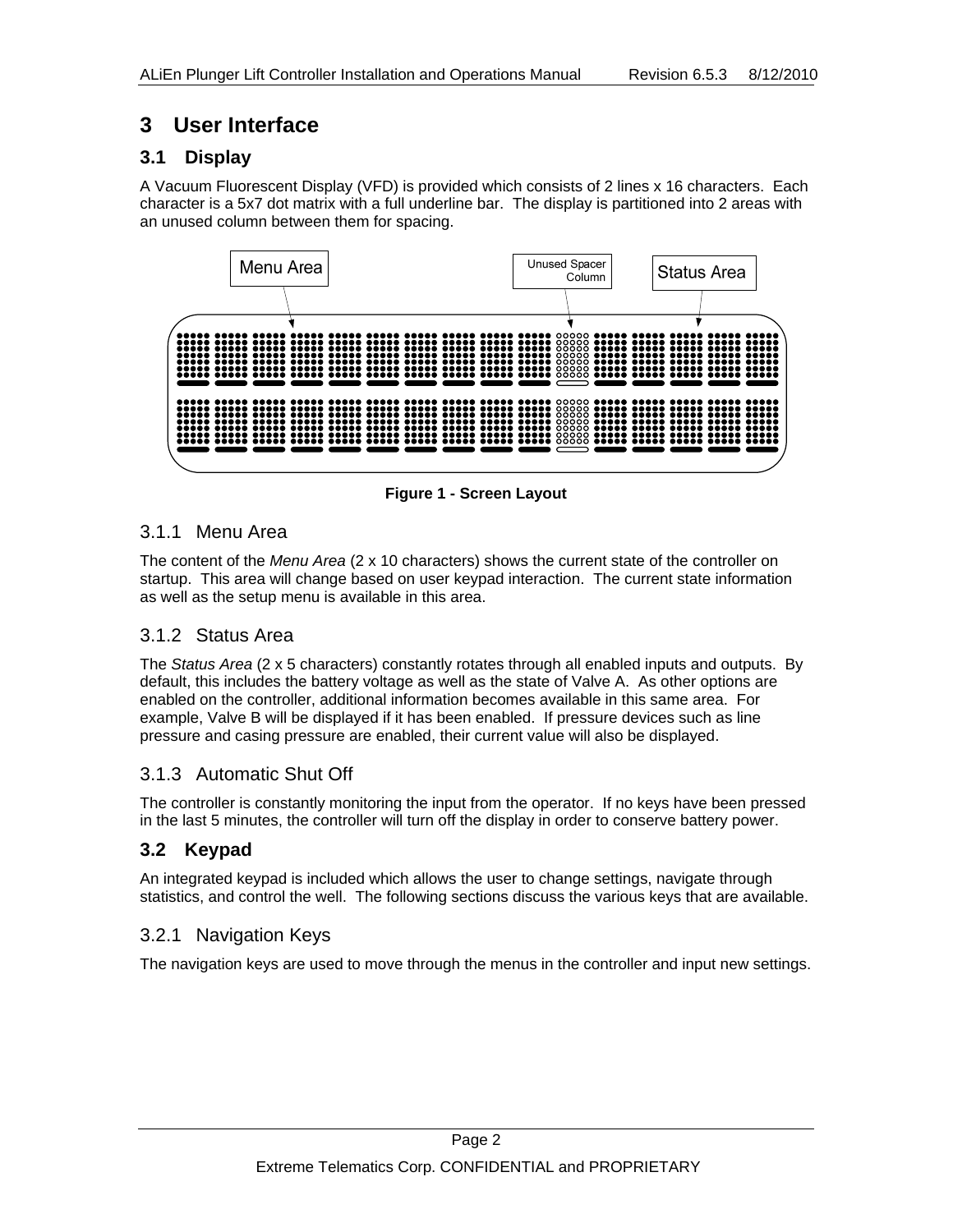# **3 User Interface**

### **3.1 Display**

A Vacuum Fluorescent Display (VFD) is provided which consists of 2 lines x 16 characters. Each character is a 5x7 dot matrix with a full underline bar. The display is partitioned into 2 areas with an unused column between them for spacing.



**Figure 1 - Screen Layout** 

### 3.1.1 Menu Area

The content of the *Menu Area* (2 x 10 characters) shows the current state of the controller on startup. This area will change based on user keypad interaction. The current state information as well as the setup menu is available in this area.

### 3.1.2 Status Area

The *Status Area* (2 x 5 characters) constantly rotates through all enabled inputs and outputs. By default, this includes the battery voltage as well as the state of Valve A. As other options are enabled on the controller, additional information becomes available in this same area. For example, Valve B will be displayed if it has been enabled. If pressure devices such as line pressure and casing pressure are enabled, their current value will also be displayed.

### 3.1.3 Automatic Shut Off

The controller is constantly monitoring the input from the operator. If no keys have been pressed in the last 5 minutes, the controller will turn off the display in order to conserve battery power.

# **3.2 Keypad**

An integrated keypad is included which allows the user to change settings, navigate through statistics, and control the well. The following sections discuss the various keys that are available.

### 3.2.1 Navigation Keys

The navigation keys are used to move through the menus in the controller and input new settings.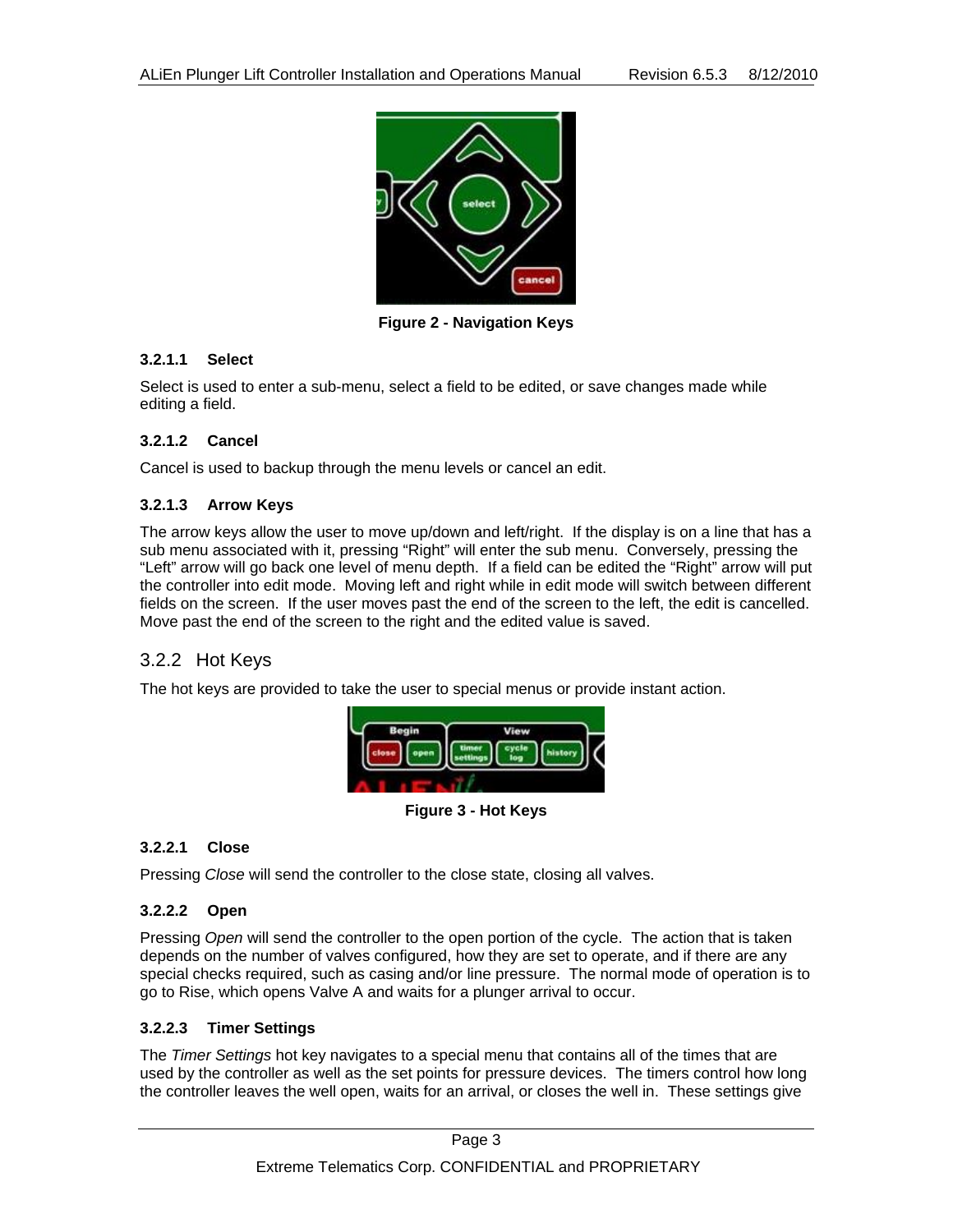

**Figure 2 - Navigation Keys** 

#### **3.2.1.1 Select**

Select is used to enter a sub-menu, select a field to be edited, or save changes made while editing a field.

#### **3.2.1.2 Cancel**

Cancel is used to backup through the menu levels or cancel an edit.

#### **3.2.1.3 Arrow Keys**

The arrow keys allow the user to move up/down and left/right. If the display is on a line that has a sub menu associated with it, pressing "Right" will enter the sub menu. Conversely, pressing the "Left" arrow will go back one level of menu depth. If a field can be edited the "Right" arrow will put the controller into edit mode. Moving left and right while in edit mode will switch between different fields on the screen. If the user moves past the end of the screen to the left, the edit is cancelled. Move past the end of the screen to the right and the edited value is saved.

### 3.2.2 Hot Keys

The hot keys are provided to take the user to special menus or provide instant action.



**Figure 3 - Hot Keys** 

#### **3.2.2.1 Close**

Pressing *Close* will send the controller to the close state, closing all valves.

#### **3.2.2.2 Open**

Pressing *Open* will send the controller to the open portion of the cycle. The action that is taken depends on the number of valves configured, how they are set to operate, and if there are any special checks required, such as casing and/or line pressure. The normal mode of operation is to go to Rise, which opens Valve A and waits for a plunger arrival to occur.

#### **3.2.2.3 Timer Settings**

The *Timer Settings* hot key navigates to a special menu that contains all of the times that are used by the controller as well as the set points for pressure devices. The timers control how long the controller leaves the well open, waits for an arrival, or closes the well in. These settings give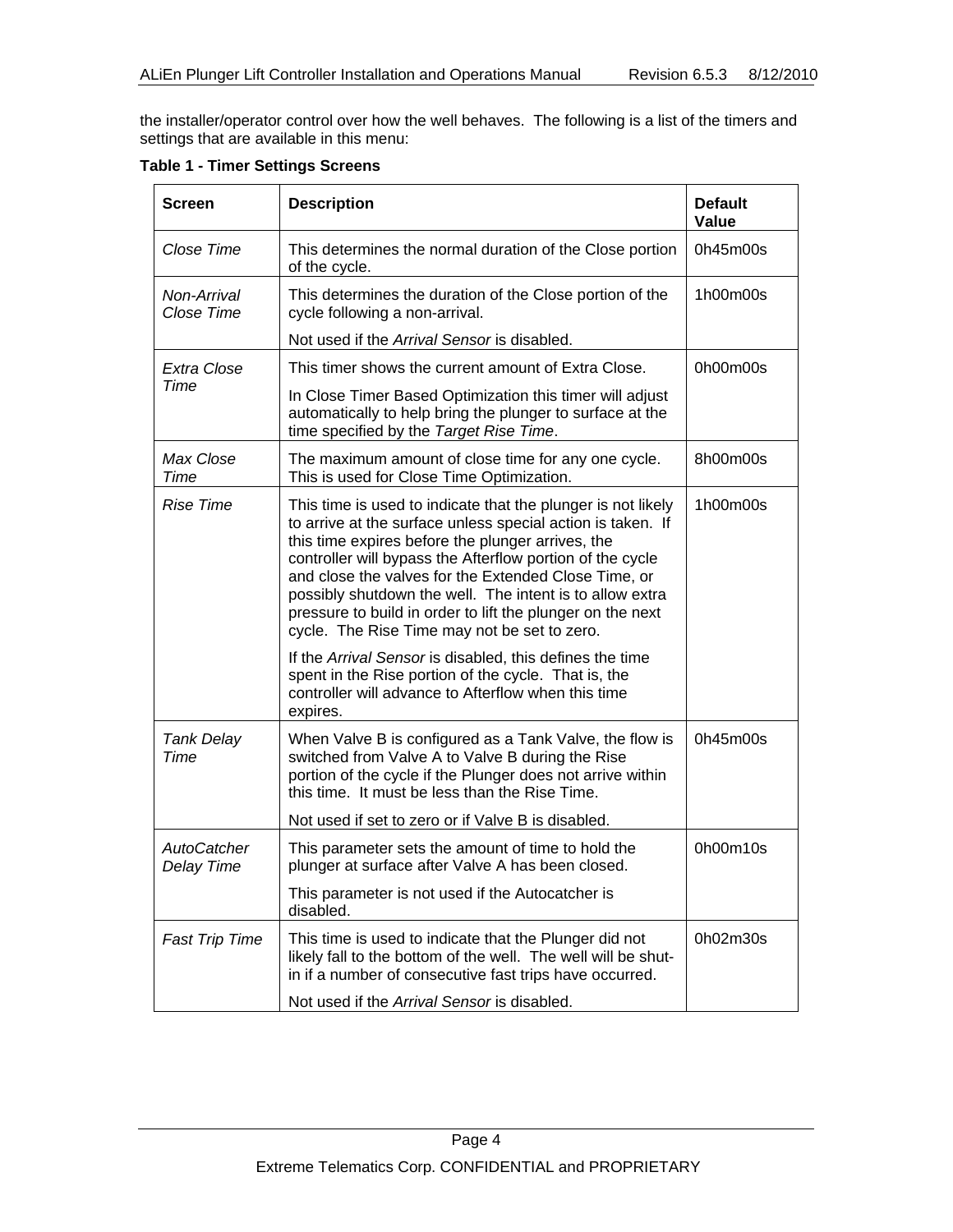the installer/operator control over how the well behaves. The following is a list of the timers and settings that are available in this menu:

**Table 1 - Timer Settings Screens** 

| <b>Screen</b>             | <b>Description</b>                                                                                                                                                                                                                                                                                                                                                                                                                                                              | <b>Default</b><br>Value |
|---------------------------|---------------------------------------------------------------------------------------------------------------------------------------------------------------------------------------------------------------------------------------------------------------------------------------------------------------------------------------------------------------------------------------------------------------------------------------------------------------------------------|-------------------------|
| Close Time                | This determines the normal duration of the Close portion<br>of the cycle.                                                                                                                                                                                                                                                                                                                                                                                                       | 0h45m00s                |
| Non-Arrival<br>Close Time | This determines the duration of the Close portion of the<br>cycle following a non-arrival.                                                                                                                                                                                                                                                                                                                                                                                      | 1h00m00s                |
|                           | Not used if the Arrival Sensor is disabled.                                                                                                                                                                                                                                                                                                                                                                                                                                     |                         |
| Extra Close               | This timer shows the current amount of Extra Close.                                                                                                                                                                                                                                                                                                                                                                                                                             | 0h00m00s                |
| Time                      | In Close Timer Based Optimization this timer will adjust<br>automatically to help bring the plunger to surface at the<br>time specified by the Target Rise Time.                                                                                                                                                                                                                                                                                                                |                         |
| Max Close<br>Time         | The maximum amount of close time for any one cycle.<br>This is used for Close Time Optimization.                                                                                                                                                                                                                                                                                                                                                                                | 8h00m00s                |
| <b>Rise Time</b>          | This time is used to indicate that the plunger is not likely<br>to arrive at the surface unless special action is taken. If<br>this time expires before the plunger arrives, the<br>controller will bypass the Afterflow portion of the cycle<br>and close the valves for the Extended Close Time, or<br>possibly shutdown the well. The intent is to allow extra<br>pressure to build in order to lift the plunger on the next<br>cycle. The Rise Time may not be set to zero. | 1h00m00s                |
|                           | If the Arrival Sensor is disabled, this defines the time<br>spent in the Rise portion of the cycle. That is, the<br>controller will advance to Afterflow when this time<br>expires.                                                                                                                                                                                                                                                                                             |                         |
| <b>Tank Delay</b><br>Time | When Valve B is configured as a Tank Valve, the flow is<br>switched from Valve A to Valve B during the Rise<br>portion of the cycle if the Plunger does not arrive within<br>this time. It must be less than the Rise Time.                                                                                                                                                                                                                                                     | 0h45m00s                |
|                           | Not used if set to zero or if Valve B is disabled.                                                                                                                                                                                                                                                                                                                                                                                                                              |                         |
| AutoCatcher<br>Delay Time | This parameter sets the amount of time to hold the<br>plunger at surface after Valve A has been closed.                                                                                                                                                                                                                                                                                                                                                                         | 0h00m10s                |
|                           | This parameter is not used if the Autocatcher is<br>disabled.                                                                                                                                                                                                                                                                                                                                                                                                                   |                         |
| <b>Fast Trip Time</b>     | This time is used to indicate that the Plunger did not<br>likely fall to the bottom of the well. The well will be shut-<br>in if a number of consecutive fast trips have occurred.                                                                                                                                                                                                                                                                                              | 0h02m30s                |
|                           | Not used if the Arrival Sensor is disabled.                                                                                                                                                                                                                                                                                                                                                                                                                                     |                         |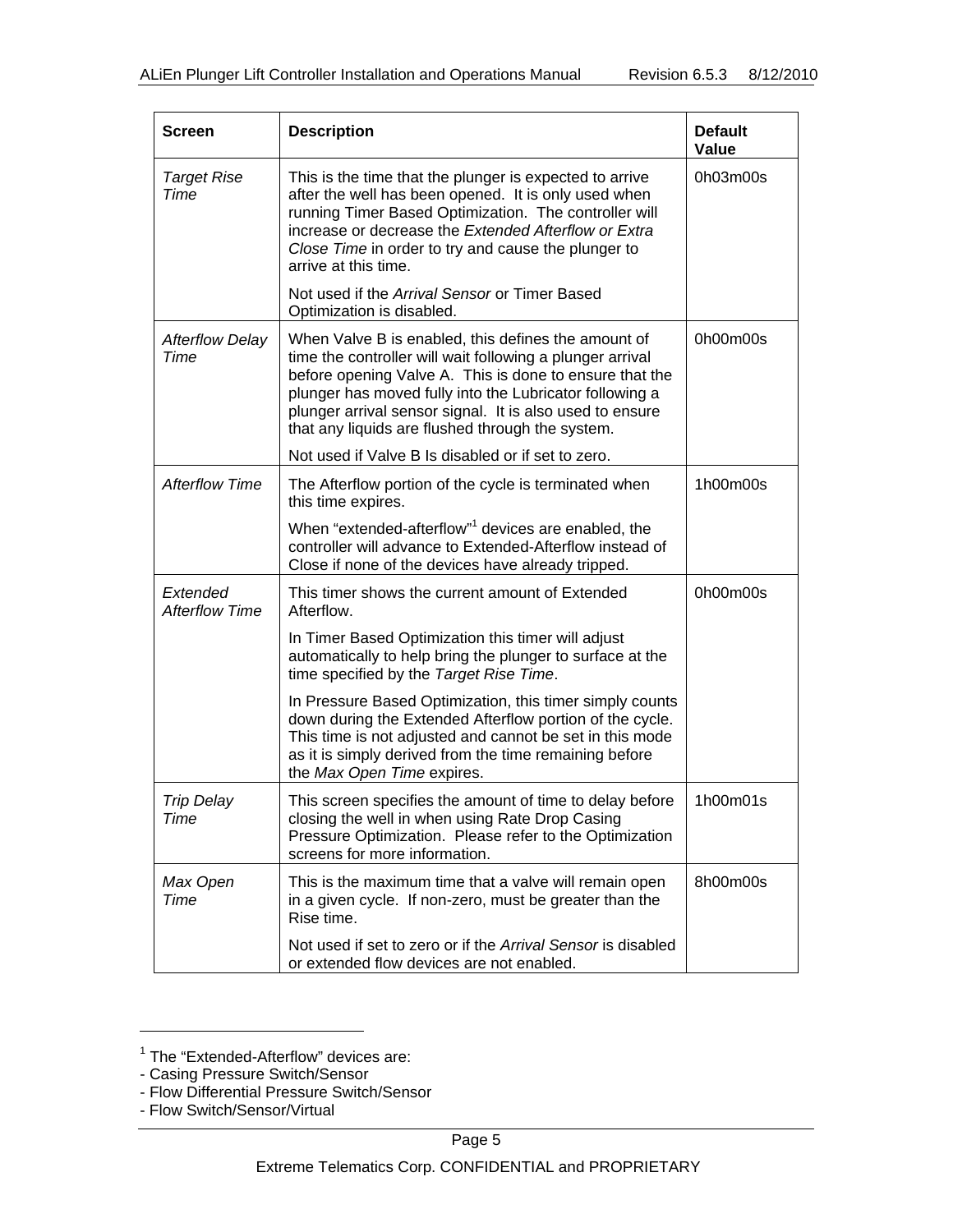| <b>Screen</b>                     | <b>Description</b>                                                                                                                                                                                                                                                                                                                                     | <b>Default</b><br>Value |
|-----------------------------------|--------------------------------------------------------------------------------------------------------------------------------------------------------------------------------------------------------------------------------------------------------------------------------------------------------------------------------------------------------|-------------------------|
| <b>Target Rise</b><br>Time        | This is the time that the plunger is expected to arrive<br>after the well has been opened. It is only used when<br>running Timer Based Optimization. The controller will<br>increase or decrease the Extended Afterflow or Extra<br>Close Time in order to try and cause the plunger to<br>arrive at this time.                                        | 0h03m00s                |
|                                   | Not used if the Arrival Sensor or Timer Based<br>Optimization is disabled.                                                                                                                                                                                                                                                                             |                         |
| <b>Afterflow Delay</b><br>Time    | When Valve B is enabled, this defines the amount of<br>time the controller will wait following a plunger arrival<br>before opening Valve A. This is done to ensure that the<br>plunger has moved fully into the Lubricator following a<br>plunger arrival sensor signal. It is also used to ensure<br>that any liquids are flushed through the system. | 0h00m00s                |
|                                   | Not used if Valve B Is disabled or if set to zero.                                                                                                                                                                                                                                                                                                     |                         |
| <b>Afterflow Time</b>             | The Afterflow portion of the cycle is terminated when<br>this time expires.                                                                                                                                                                                                                                                                            | 1h00m00s                |
|                                   | When "extended-afterflow" <sup>1</sup> devices are enabled, the<br>controller will advance to Extended-Afterflow instead of<br>Close if none of the devices have already tripped.                                                                                                                                                                      |                         |
| Extended<br><b>Afterflow Time</b> | This timer shows the current amount of Extended<br>Afterflow.                                                                                                                                                                                                                                                                                          | 0h00m00s                |
|                                   | In Timer Based Optimization this timer will adjust<br>automatically to help bring the plunger to surface at the<br>time specified by the Target Rise Time.                                                                                                                                                                                             |                         |
|                                   | In Pressure Based Optimization, this timer simply counts<br>down during the Extended Afterflow portion of the cycle.<br>This time is not adjusted and cannot be set in this mode<br>as it is simply derived from the time remaining before<br>the Max Open Time expires.                                                                               |                         |
| Trip Delay<br>Time                | This screen specifies the amount of time to delay before<br>closing the well in when using Rate Drop Casing<br>Pressure Optimization. Please refer to the Optimization<br>screens for more information.                                                                                                                                                | 1h00m01s                |
| Max Open<br>Time                  | This is the maximum time that a valve will remain open<br>in a given cycle. If non-zero, must be greater than the<br>Rise time.                                                                                                                                                                                                                        | 8h00m00s                |
|                                   | Not used if set to zero or if the Arrival Sensor is disabled<br>or extended flow devices are not enabled.                                                                                                                                                                                                                                              |                         |

- Casing Pressure Switch/Sensor

l

<sup>&</sup>lt;sup>1</sup> The "Extended-Afterflow" devices are:

<sup>-</sup> Flow Differential Pressure Switch/Sensor

<sup>-</sup> Flow Switch/Sensor/Virtual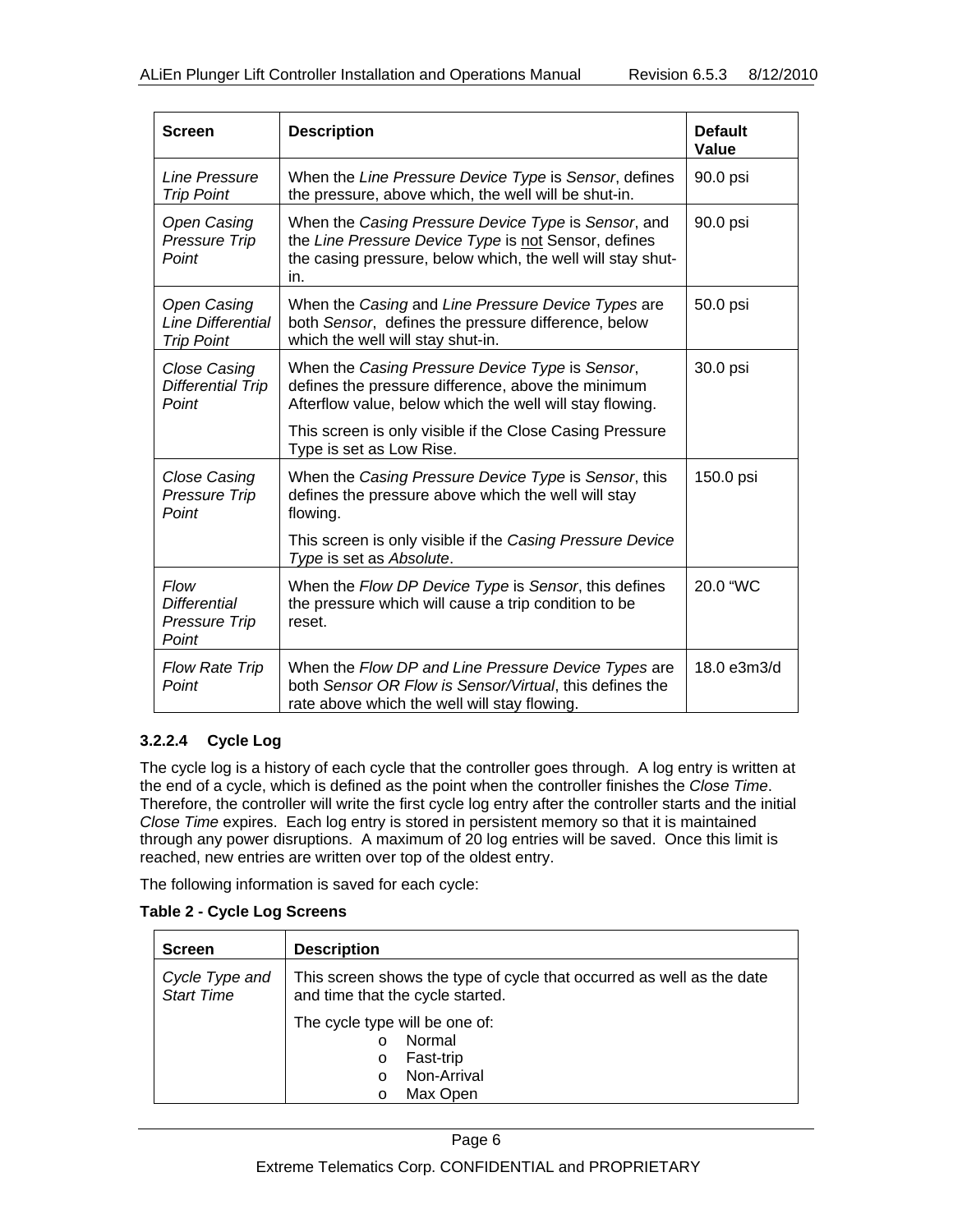| <b>Screen</b>                                                | <b>Description</b>                                                                                                                                                               | <b>Default</b><br>Value |
|--------------------------------------------------------------|----------------------------------------------------------------------------------------------------------------------------------------------------------------------------------|-------------------------|
| Line Pressure<br><b>Trip Point</b>                           | When the Line Pressure Device Type is Sensor, defines<br>the pressure, above which, the well will be shut-in.                                                                    | 90.0 psi                |
| <b>Open Casing</b><br>Pressure Trip<br>Point                 | When the Casing Pressure Device Type is Sensor, and<br>the Line Pressure Device Type is not Sensor, defines<br>the casing pressure, below which, the well will stay shut-<br>in. | 90.0 psi                |
| <b>Open Casing</b><br>Line Differential<br><b>Trip Point</b> | When the Casing and Line Pressure Device Types are<br>both Sensor, defines the pressure difference, below<br>which the well will stay shut-in.                                   | 50.0 psi                |
| <b>Close Casing</b><br><b>Differential Trip</b><br>Point     | When the Casing Pressure Device Type is Sensor,<br>defines the pressure difference, above the minimum<br>Afterflow value, below which the well will stay flowing.                | 30.0 psi                |
|                                                              | This screen is only visible if the Close Casing Pressure<br>Type is set as Low Rise.                                                                                             |                         |
| Close Casing<br>Pressure Trip<br>Point                       | When the Casing Pressure Device Type is Sensor, this<br>defines the pressure above which the well will stay<br>flowing.                                                          | 150.0 psi               |
|                                                              | This screen is only visible if the Casing Pressure Device<br>Type is set as Absolute.                                                                                            |                         |
| Flow<br><b>Differential</b><br>Pressure Trip<br>Point        | When the Flow DP Device Type is Sensor, this defines<br>the pressure which will cause a trip condition to be<br>reset.                                                           | 20.0 "WC                |
| <b>Flow Rate Trip</b><br>Point                               | When the Flow DP and Line Pressure Device Types are<br>both Sensor OR Flow is Sensor/Virtual, this defines the<br>rate above which the well will stay flowing.                   | 18.0 e3m3/d             |

#### **3.2.2.4 Cycle Log**

The cycle log is a history of each cycle that the controller goes through. A log entry is written at the end of a cycle, which is defined as the point when the controller finishes the *Close Time*. Therefore, the controller will write the first cycle log entry after the controller starts and the initial *Close Time* expires. Each log entry is stored in persistent memory so that it is maintained through any power disruptions. A maximum of 20 log entries will be saved. Once this limit is reached, new entries are written over top of the oldest entry.

The following information is saved for each cycle:

|  |  | <b>Table 2 - Cycle Log Screens</b> |
|--|--|------------------------------------|
|--|--|------------------------------------|

| <b>Screen</b>                       | <b>Description</b>                                                                                                           |
|-------------------------------------|------------------------------------------------------------------------------------------------------------------------------|
| Cycle Type and<br><b>Start Time</b> | This screen shows the type of cycle that occurred as well as the date<br>and time that the cycle started.                    |
|                                     | The cycle type will be one of:<br>Normal<br>$\Omega$<br>Fast-trip<br>$\circ$<br>Non-Arrival<br>$\cap$<br>Max Open<br>$\circ$ |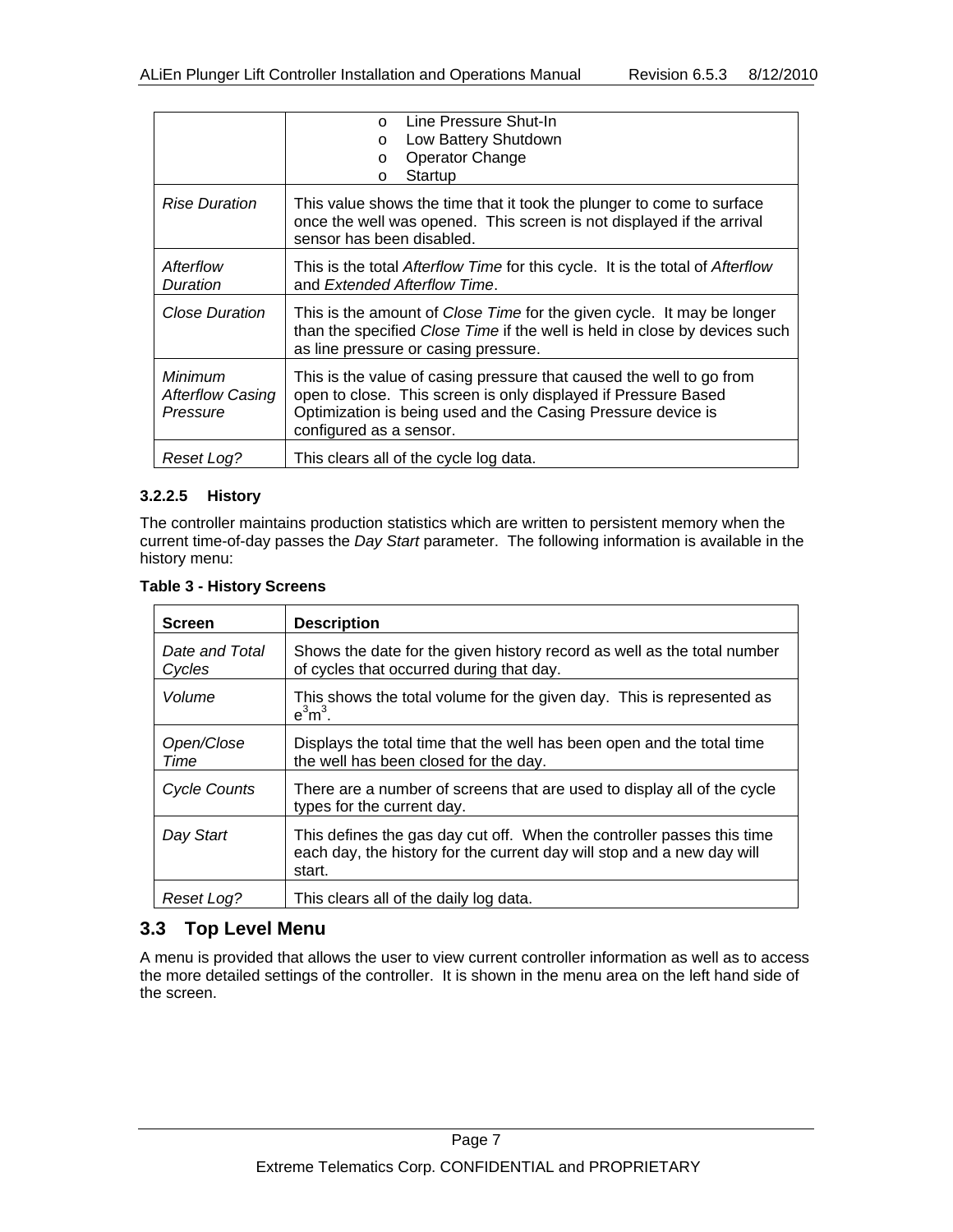|                                                | Line Pressure Shut-In<br>$\cap$<br>Low Battery Shutdown<br>$\circ$<br>Operator Change<br>$\circ$<br>Startup<br>$\Omega$                                                                                                           |
|------------------------------------------------|-----------------------------------------------------------------------------------------------------------------------------------------------------------------------------------------------------------------------------------|
| <b>Rise Duration</b>                           | This value shows the time that it took the plunger to come to surface<br>once the well was opened. This screen is not displayed if the arrival<br>sensor has been disabled.                                                       |
| Afterflow<br>Duration                          | This is the total Afterflow Time for this cycle. It is the total of Afterflow<br>and Extended Afterflow Time.                                                                                                                     |
| <b>Close Duration</b>                          | This is the amount of Close Time for the given cycle. It may be longer<br>than the specified Close Time if the well is held in close by devices such<br>as line pressure or casing pressure.                                      |
| Minimum<br><b>Afterflow Casing</b><br>Pressure | This is the value of casing pressure that caused the well to go from<br>open to close. This screen is only displayed if Pressure Based<br>Optimization is being used and the Casing Pressure device is<br>configured as a sensor. |
| Reset Log?                                     | This clears all of the cycle log data.                                                                                                                                                                                            |

#### **3.2.2.5 History**

The controller maintains production statistics which are written to persistent memory when the current time-of-day passes the *Day Start* parameter. The following information is available in the history menu:

| <b>Screen</b>            | <b>Description</b>                                                                                                                                         |
|--------------------------|------------------------------------------------------------------------------------------------------------------------------------------------------------|
| Date and Total<br>Cycles | Shows the date for the given history record as well as the total number<br>of cycles that occurred during that day.                                        |
| Volume                   | This shows the total volume for the given day. This is represented as<br>$e^3m^3$ .                                                                        |
| Open/Close<br>Time       | Displays the total time that the well has been open and the total time<br>the well has been closed for the day.                                            |
| <b>Cycle Counts</b>      | There are a number of screens that are used to display all of the cycle<br>types for the current day.                                                      |
| Day Start                | This defines the gas day cut off. When the controller passes this time<br>each day, the history for the current day will stop and a new day will<br>start. |
| Reset Log?               | This clears all of the daily log data.                                                                                                                     |

#### **Table 3 - History Screens**

### **3.3 Top Level Menu**

A menu is provided that allows the user to view current controller information as well as to access the more detailed settings of the controller. It is shown in the menu area on the left hand side of the screen.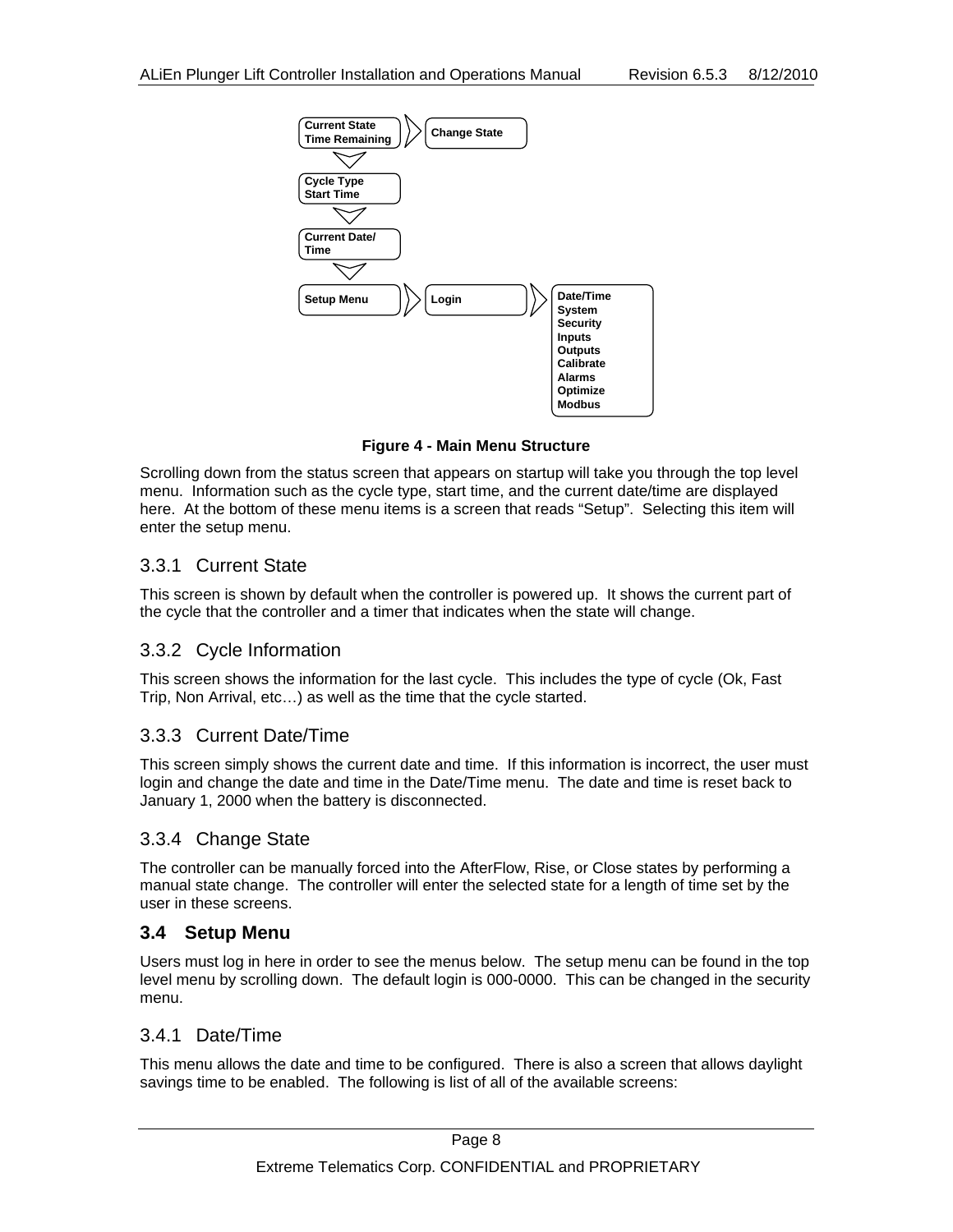

**Figure 4 - Main Menu Structure** 

Scrolling down from the status screen that appears on startup will take you through the top level menu. Information such as the cycle type, start time, and the current date/time are displayed here. At the bottom of these menu items is a screen that reads "Setup". Selecting this item will enter the setup menu.

### 3.3.1 Current State

This screen is shown by default when the controller is powered up. It shows the current part of the cycle that the controller and a timer that indicates when the state will change.

### 3.3.2 Cycle Information

This screen shows the information for the last cycle. This includes the type of cycle (Ok, Fast Trip, Non Arrival, etc…) as well as the time that the cycle started.

### 3.3.3 Current Date/Time

This screen simply shows the current date and time. If this information is incorrect, the user must login and change the date and time in the Date/Time menu. The date and time is reset back to January 1, 2000 when the battery is disconnected.

### 3.3.4 Change State

The controller can be manually forced into the AfterFlow, Rise, or Close states by performing a manual state change. The controller will enter the selected state for a length of time set by the user in these screens.

### **3.4 Setup Menu**

Users must log in here in order to see the menus below. The setup menu can be found in the top level menu by scrolling down. The default login is 000-0000. This can be changed in the security menu.

#### 3.4.1 Date/Time

This menu allows the date and time to be configured. There is also a screen that allows daylight savings time to be enabled. The following is list of all of the available screens: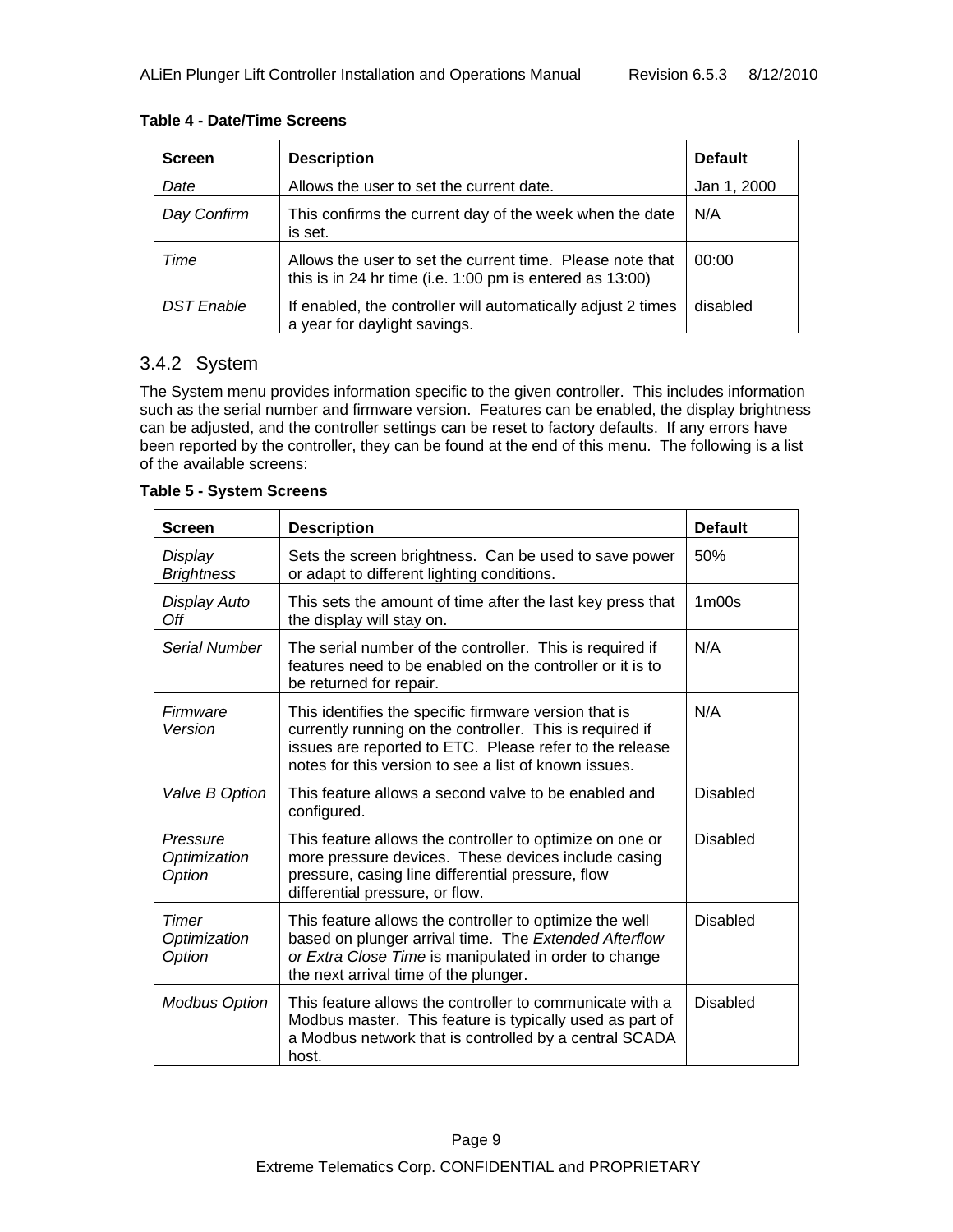| <b>Screen</b>     | <b>Description</b>                                                                                                         | <b>Default</b> |
|-------------------|----------------------------------------------------------------------------------------------------------------------------|----------------|
| Date              | Allows the user to set the current date.                                                                                   | Jan 1, 2000    |
| Day Confirm       | This confirms the current day of the week when the date<br>is set.                                                         | N/A            |
| Time              | Allows the user to set the current time. Please note that<br>this is in 24 hr time (i.e. $1:00$ pm is entered as $13:00$ ) | 00:00          |
| <b>DST</b> Enable | If enabled, the controller will automatically adjust 2 times<br>a year for daylight savings.                               | disabled       |

#### **Table 4 - Date/Time Screens**

### 3.4.2 System

The System menu provides information specific to the given controller. This includes information such as the serial number and firmware version. Features can be enabled, the display brightness can be adjusted, and the controller settings can be reset to factory defaults. If any errors have been reported by the controller, they can be found at the end of this menu. The following is a list of the available screens:

#### **Table 5 - System Screens**

| <b>Screen</b>                      | <b>Description</b>                                                                                                                                                                                                                    | <b>Default</b>                 |
|------------------------------------|---------------------------------------------------------------------------------------------------------------------------------------------------------------------------------------------------------------------------------------|--------------------------------|
| Display<br><b>Brightness</b>       | Sets the screen brightness. Can be used to save power<br>or adapt to different lighting conditions.                                                                                                                                   | 50%                            |
| Display Auto<br>Off                | This sets the amount of time after the last key press that<br>the display will stay on.                                                                                                                                               | 1 <sub>m</sub> 00 <sub>s</sub> |
| Serial Number                      | The serial number of the controller. This is required if<br>features need to be enabled on the controller or it is to<br>be returned for repair.                                                                                      | N/A                            |
| Firmware<br>Version                | This identifies the specific firmware version that is<br>currently running on the controller. This is required if<br>issues are reported to ETC. Please refer to the release<br>notes for this version to see a list of known issues. | N/A                            |
| Valve B Option                     | This feature allows a second valve to be enabled and<br>configured.                                                                                                                                                                   | <b>Disabled</b>                |
| Pressure<br>Optimization<br>Option | This feature allows the controller to optimize on one or<br>more pressure devices. These devices include casing<br>pressure, casing line differential pressure, flow<br>differential pressure, or flow.                               | <b>Disabled</b>                |
| Timer<br>Optimization<br>Option    | This feature allows the controller to optimize the well<br>based on plunger arrival time. The Extended Afterflow<br>or Extra Close Time is manipulated in order to change<br>the next arrival time of the plunger.                    | <b>Disabled</b>                |
| <b>Modbus Option</b>               | This feature allows the controller to communicate with a<br>Modbus master. This feature is typically used as part of<br>a Modbus network that is controlled by a central SCADA<br>host.                                               | <b>Disabled</b>                |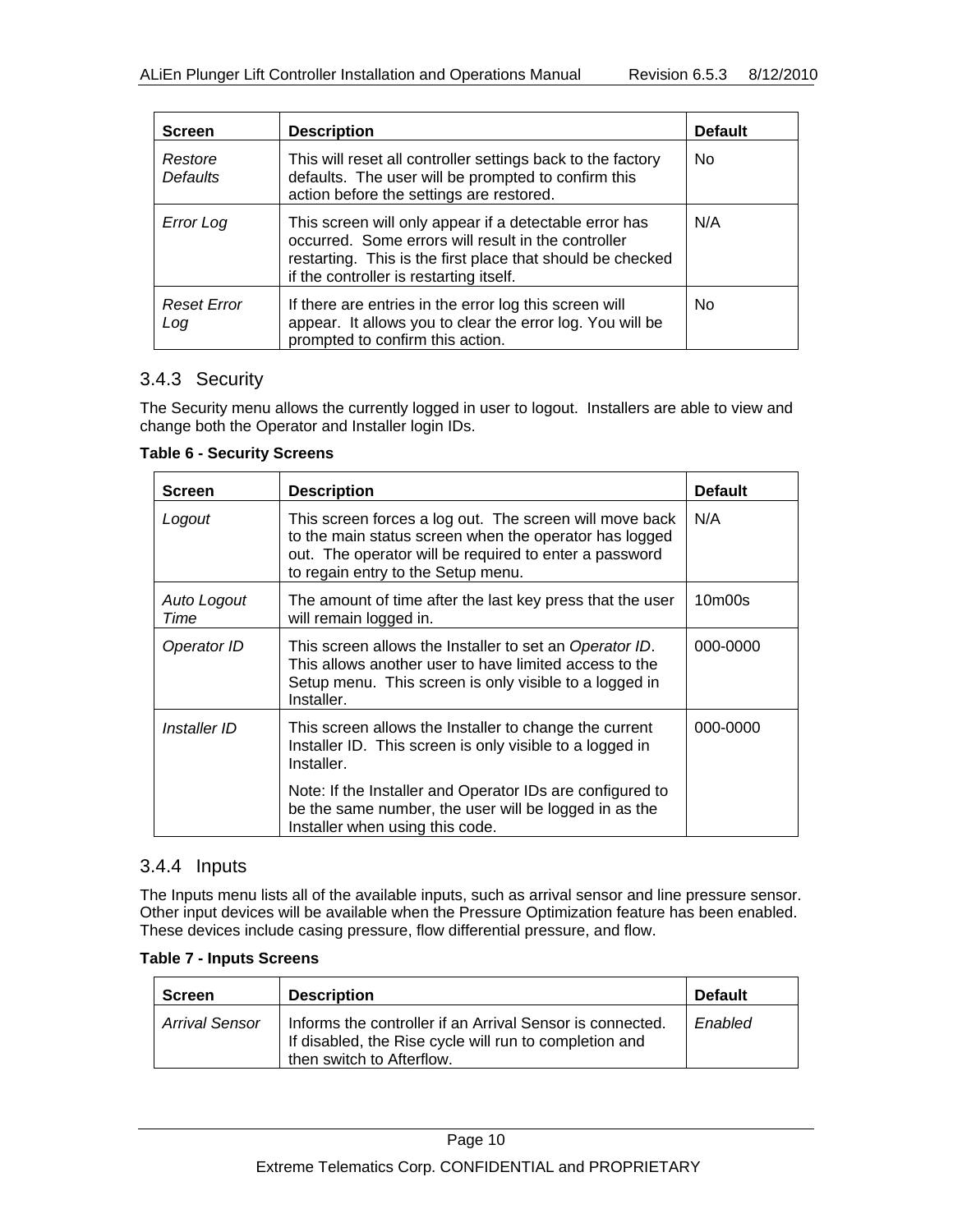| <b>Screen</b>              | <b>Description</b>                                                                                                                                                                                                     | <b>Default</b> |
|----------------------------|------------------------------------------------------------------------------------------------------------------------------------------------------------------------------------------------------------------------|----------------|
| Restore<br><b>Defaults</b> | This will reset all controller settings back to the factory<br>defaults. The user will be prompted to confirm this<br>action before the settings are restored.                                                         | No.            |
| Error Log                  | This screen will only appear if a detectable error has<br>occurred. Some errors will result in the controller<br>restarting. This is the first place that should be checked<br>if the controller is restarting itself. | N/A            |
| <b>Reset Error</b><br>Log  | If there are entries in the error log this screen will<br>appear. It allows you to clear the error log. You will be<br>prompted to confirm this action.                                                                | No.            |

### 3.4.3 Security

The Security menu allows the currently logged in user to logout. Installers are able to view and change both the Operator and Installer login IDs.

| <b>Screen</b>       | <b>Description</b>                                                                                                                                                                                                | <b>Default</b>                  |
|---------------------|-------------------------------------------------------------------------------------------------------------------------------------------------------------------------------------------------------------------|---------------------------------|
| Logout              | This screen forces a log out. The screen will move back<br>to the main status screen when the operator has logged<br>out. The operator will be required to enter a password<br>to regain entry to the Setup menu. | N/A                             |
| Auto Logout<br>Time | The amount of time after the last key press that the user<br>will remain logged in.                                                                                                                               | 10 <sub>m</sub> 00 <sub>s</sub> |
| Operator ID         | This screen allows the Installer to set an Operator ID.<br>This allows another user to have limited access to the<br>Setup menu. This screen is only visible to a logged in<br>Installer.                         | 000-0000                        |
| Installer ID        | This screen allows the Installer to change the current<br>Installer ID. This screen is only visible to a logged in<br>Installer.                                                                                  | 000-0000                        |
|                     | Note: If the Installer and Operator IDs are configured to<br>be the same number, the user will be logged in as the<br>Installer when using this code.                                                             |                                 |

#### **Table 6 - Security Screens**

#### 3.4.4 Inputs

The Inputs menu lists all of the available inputs, such as arrival sensor and line pressure sensor. Other input devices will be available when the Pressure Optimization feature has been enabled. These devices include casing pressure, flow differential pressure, and flow.

#### **Table 7 - Inputs Screens**

| <b>Screen</b>  | <b>Description</b>                                                                                                                               | <b>Default</b> |
|----------------|--------------------------------------------------------------------------------------------------------------------------------------------------|----------------|
| Arrival Sensor | Informs the controller if an Arrival Sensor is connected.<br>If disabled, the Rise cycle will run to completion and<br>then switch to Afterflow. | Enabled        |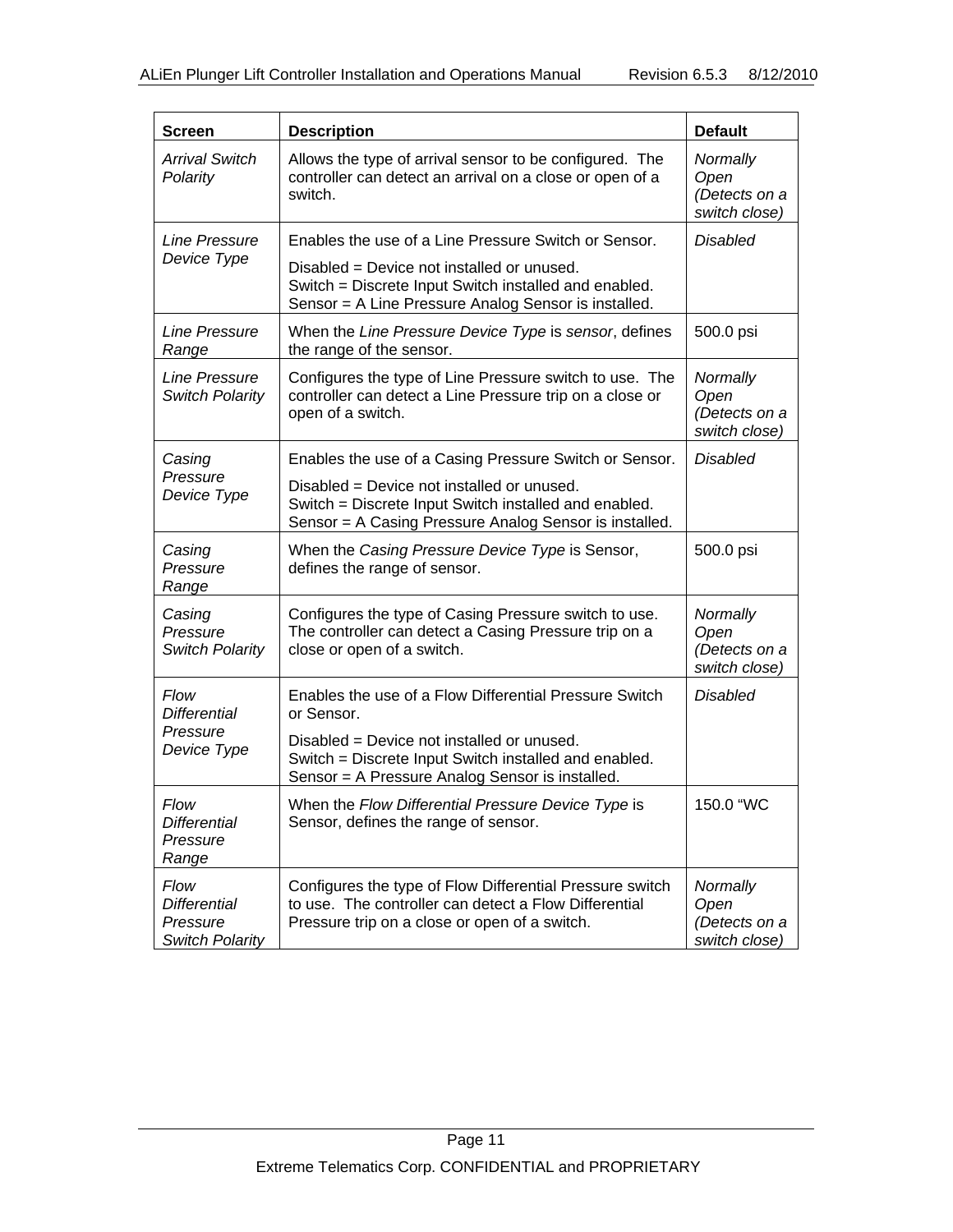| <b>Screen</b>                                                     | <b>Description</b>                                                                                                                                                 | <b>Default</b>                                     |
|-------------------------------------------------------------------|--------------------------------------------------------------------------------------------------------------------------------------------------------------------|----------------------------------------------------|
| <b>Arrival Switch</b><br>Polarity                                 | Allows the type of arrival sensor to be configured. The<br>controller can detect an arrival on a close or open of a<br>switch.                                     | Normally<br>Open<br>(Detects on a<br>switch close) |
| Line Pressure                                                     | Enables the use of a Line Pressure Switch or Sensor.                                                                                                               | Disabled                                           |
| Device Type                                                       | Disabled = Device not installed or unused.<br>Switch = Discrete Input Switch installed and enabled.<br>Sensor = A Line Pressure Analog Sensor is installed.        |                                                    |
| Line Pressure<br>Range                                            | When the Line Pressure Device Type is sensor, defines<br>the range of the sensor.                                                                                  | 500.0 psi                                          |
| Line Pressure<br><b>Switch Polarity</b>                           | Configures the type of Line Pressure switch to use. The<br>controller can detect a Line Pressure trip on a close or<br>open of a switch.                           | Normally<br>Open<br>(Detects on a<br>switch close) |
| Casing                                                            | Enables the use of a Casing Pressure Switch or Sensor.                                                                                                             | <b>Disabled</b>                                    |
| Pressure<br>Device Type                                           | Disabled = Device not installed or unused.<br>Switch = Discrete Input Switch installed and enabled.<br>Sensor = A Casing Pressure Analog Sensor is installed.      |                                                    |
| Casing<br>Pressure<br>Range                                       | When the Casing Pressure Device Type is Sensor,<br>defines the range of sensor.                                                                                    | 500.0 psi                                          |
| Casing<br>Pressure<br>Switch Polarity                             | Configures the type of Casing Pressure switch to use.<br>The controller can detect a Casing Pressure trip on a<br>close or open of a switch.                       | Normally<br>Open<br>(Detects on a<br>switch close) |
| <b>Flow</b><br><b>Differential</b>                                | Enables the use of a Flow Differential Pressure Switch<br>or Sensor.                                                                                               | <b>Disabled</b>                                    |
| Pressure<br>Device Type                                           | Disabled = Device not installed or unused.<br>Switch = Discrete Input Switch installed and enabled.<br>Sensor = A Pressure Analog Sensor is installed.             |                                                    |
| Flow<br><b>Differential</b><br>Pressure<br>Range                  | When the Flow Differential Pressure Device Type is<br>Sensor, defines the range of sensor.                                                                         | 150.0 "WC                                          |
| Flow<br><b>Differential</b><br>Pressure<br><b>Switch Polarity</b> | Configures the type of Flow Differential Pressure switch<br>to use. The controller can detect a Flow Differential<br>Pressure trip on a close or open of a switch. | Normally<br>Open<br>(Detects on a<br>switch close) |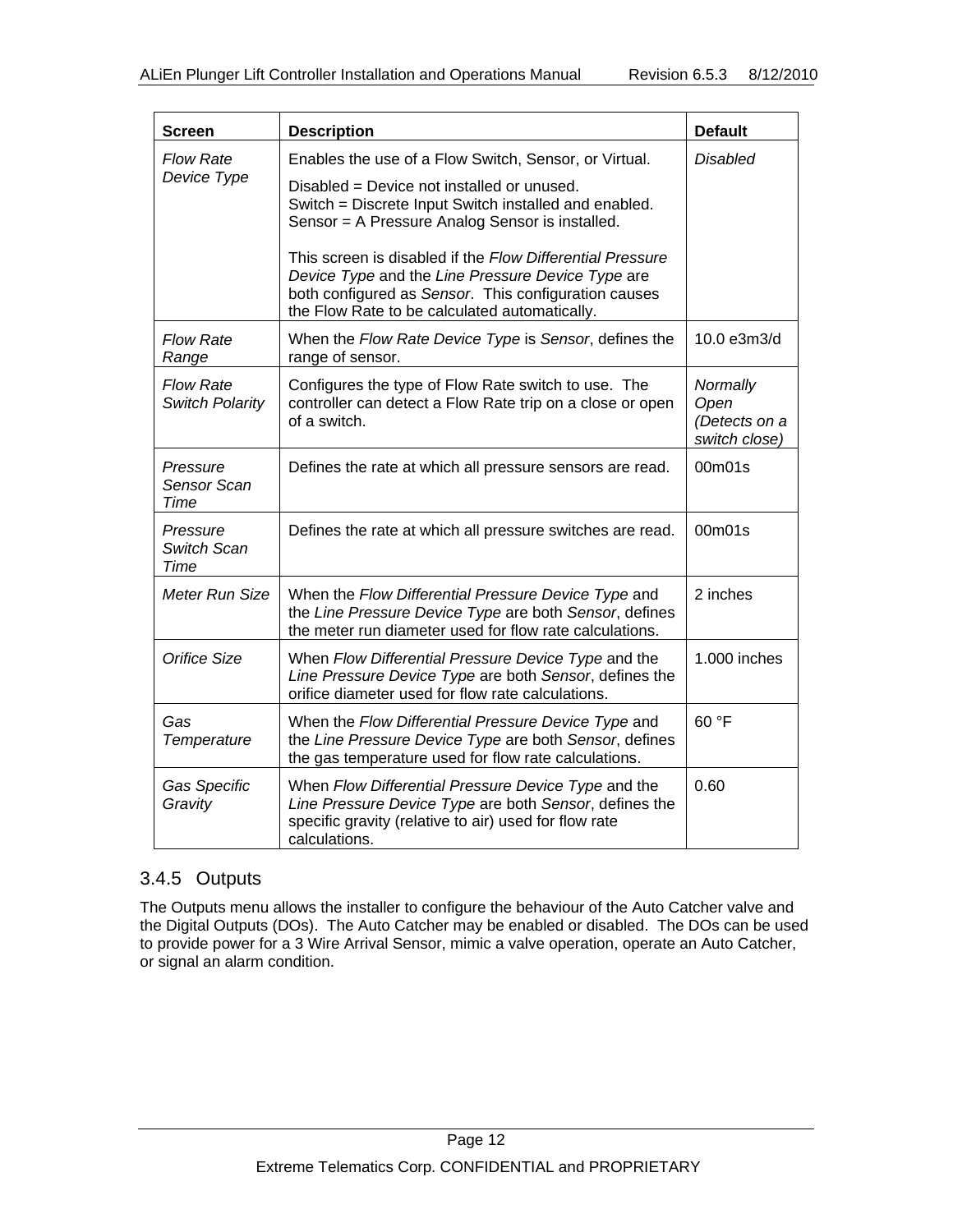| <b>Screen</b>                              | <b>Description</b>                                                                                                                                                                                                                                                                                                                                                                                                                         | <b>Default</b>                                     |
|--------------------------------------------|--------------------------------------------------------------------------------------------------------------------------------------------------------------------------------------------------------------------------------------------------------------------------------------------------------------------------------------------------------------------------------------------------------------------------------------------|----------------------------------------------------|
| <b>Flow Rate</b><br>Device Type            | Enables the use of a Flow Switch, Sensor, or Virtual.<br>Disabled = Device not installed or unused.<br>Switch = Discrete Input Switch installed and enabled.<br>Sensor = A Pressure Analog Sensor is installed.<br>This screen is disabled if the Flow Differential Pressure<br>Device Type and the Line Pressure Device Type are<br>both configured as Sensor. This configuration causes<br>the Flow Rate to be calculated automatically. | <b>Disabled</b>                                    |
| <b>Flow Rate</b><br>Range                  | When the Flow Rate Device Type is Sensor, defines the<br>range of sensor.                                                                                                                                                                                                                                                                                                                                                                  | 10.0 e3m3/d                                        |
| <b>Flow Rate</b><br><b>Switch Polarity</b> | Configures the type of Flow Rate switch to use. The<br>controller can detect a Flow Rate trip on a close or open<br>of a switch.                                                                                                                                                                                                                                                                                                           | Normally<br>Open<br>(Detects on a<br>switch close) |
| Pressure<br>Sensor Scan<br><b>Time</b>     | Defines the rate at which all pressure sensors are read.                                                                                                                                                                                                                                                                                                                                                                                   | 00m01s                                             |
| Pressure<br>Switch Scan<br>Time            | Defines the rate at which all pressure switches are read.                                                                                                                                                                                                                                                                                                                                                                                  | 00m01s                                             |
| Meter Run Size                             | When the Flow Differential Pressure Device Type and<br>the Line Pressure Device Type are both Sensor, defines<br>the meter run diameter used for flow rate calculations.                                                                                                                                                                                                                                                                   | 2 inches                                           |
| Orifice Size                               | When Flow Differential Pressure Device Type and the<br>Line Pressure Device Type are both Sensor, defines the<br>orifice diameter used for flow rate calculations.                                                                                                                                                                                                                                                                         | 1.000 inches                                       |
| Gas<br>Temperature                         | When the Flow Differential Pressure Device Type and<br>the Line Pressure Device Type are both Sensor, defines<br>the gas temperature used for flow rate calculations.                                                                                                                                                                                                                                                                      | 60 °F                                              |
| Gas Specific<br>Gravity                    | When Flow Differential Pressure Device Type and the<br>Line Pressure Device Type are both Sensor, defines the<br>specific gravity (relative to air) used for flow rate<br>calculations.                                                                                                                                                                                                                                                    | 0.60                                               |

### 3.4.5 Outputs

The Outputs menu allows the installer to configure the behaviour of the Auto Catcher valve and the Digital Outputs (DOs). The Auto Catcher may be enabled or disabled. The DOs can be used to provide power for a 3 Wire Arrival Sensor, mimic a valve operation, operate an Auto Catcher, or signal an alarm condition.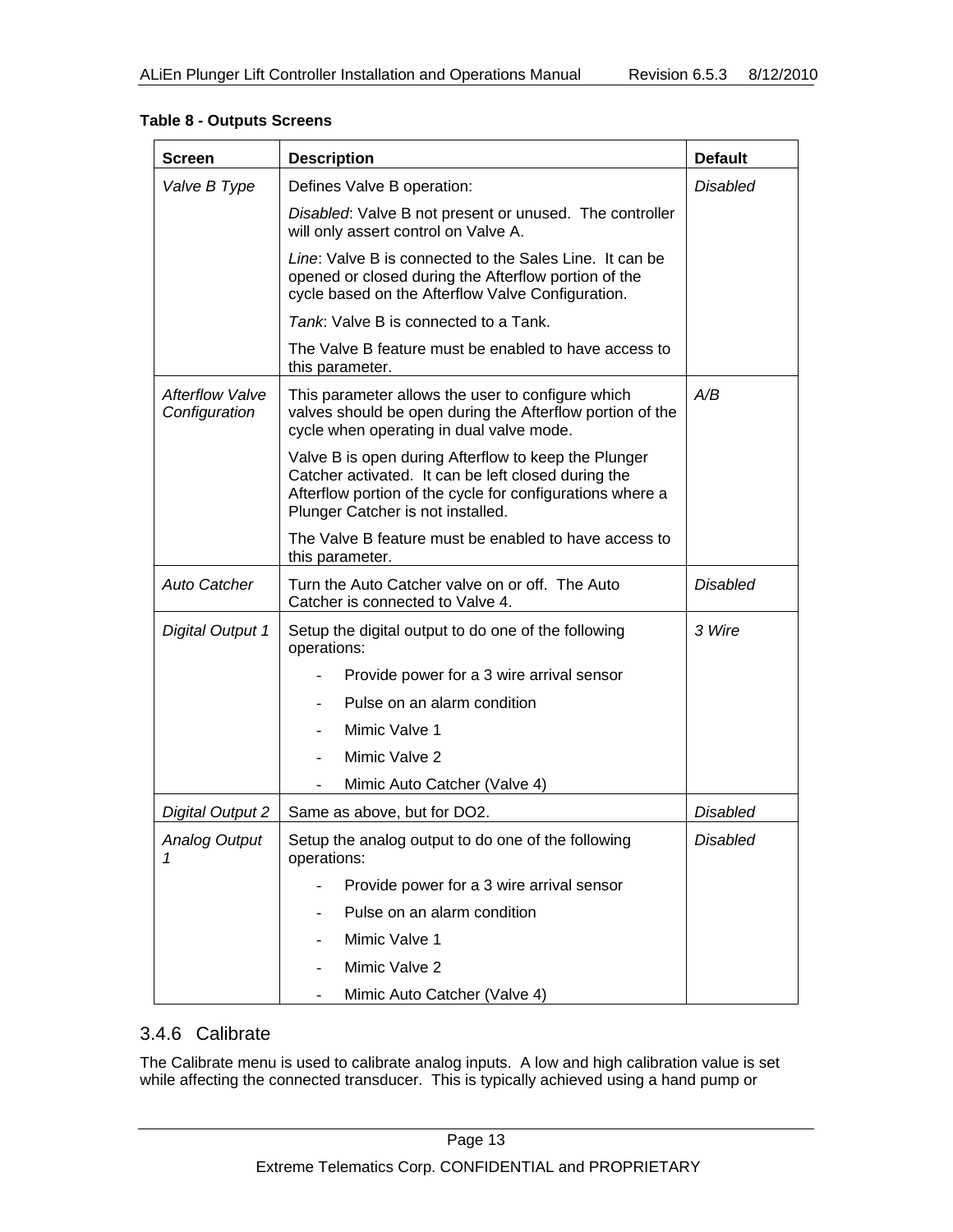| <b>Screen</b>                           | <b>Description</b>                                                                                                                                                                                            | <b>Default</b>  |
|-----------------------------------------|---------------------------------------------------------------------------------------------------------------------------------------------------------------------------------------------------------------|-----------------|
| Valve B Type                            | Defines Valve B operation:                                                                                                                                                                                    | <b>Disabled</b> |
|                                         | Disabled: Valve B not present or unused. The controller<br>will only assert control on Valve A.                                                                                                               |                 |
|                                         | Line: Valve B is connected to the Sales Line. It can be<br>opened or closed during the Afterflow portion of the<br>cycle based on the Afterflow Valve Configuration.                                          |                 |
|                                         | Tank: Valve B is connected to a Tank.                                                                                                                                                                         |                 |
|                                         | The Valve B feature must be enabled to have access to<br>this parameter.                                                                                                                                      |                 |
| <b>Afterflow Valve</b><br>Configuration | This parameter allows the user to configure which<br>valves should be open during the Afterflow portion of the<br>cycle when operating in dual valve mode.                                                    | A/B             |
|                                         | Valve B is open during Afterflow to keep the Plunger<br>Catcher activated. It can be left closed during the<br>Afterflow portion of the cycle for configurations where a<br>Plunger Catcher is not installed. |                 |
|                                         | The Valve B feature must be enabled to have access to<br>this parameter.                                                                                                                                      |                 |
| <b>Auto Catcher</b>                     | Turn the Auto Catcher valve on or off. The Auto<br>Catcher is connected to Valve 4.                                                                                                                           | <b>Disabled</b> |
| <b>Digital Output 1</b>                 | Setup the digital output to do one of the following<br>operations:                                                                                                                                            | 3 Wire          |
|                                         | Provide power for a 3 wire arrival sensor                                                                                                                                                                     |                 |
|                                         | Pulse on an alarm condition                                                                                                                                                                                   |                 |
|                                         | Mimic Valve 1                                                                                                                                                                                                 |                 |
|                                         | Mimic Valve 2                                                                                                                                                                                                 |                 |
|                                         | Mimic Auto Catcher (Valve 4)                                                                                                                                                                                  |                 |
| <b>Digital Output 2</b>                 | Same as above, but for DO2.                                                                                                                                                                                   | <b>Disabled</b> |
| <b>Analog Output</b><br>1               | Setup the analog output to do one of the following<br>operations:                                                                                                                                             | <b>Disabled</b> |
|                                         | Provide power for a 3 wire arrival sensor                                                                                                                                                                     |                 |
|                                         | Pulse on an alarm condition                                                                                                                                                                                   |                 |
|                                         | Mimic Valve 1                                                                                                                                                                                                 |                 |
|                                         | Mimic Valve 2                                                                                                                                                                                                 |                 |
|                                         | Mimic Auto Catcher (Valve 4)                                                                                                                                                                                  |                 |

#### **Table 8 - Outputs Screens**

### 3.4.6 Calibrate

The Calibrate menu is used to calibrate analog inputs. A low and high calibration value is set while affecting the connected transducer. This is typically achieved using a hand pump or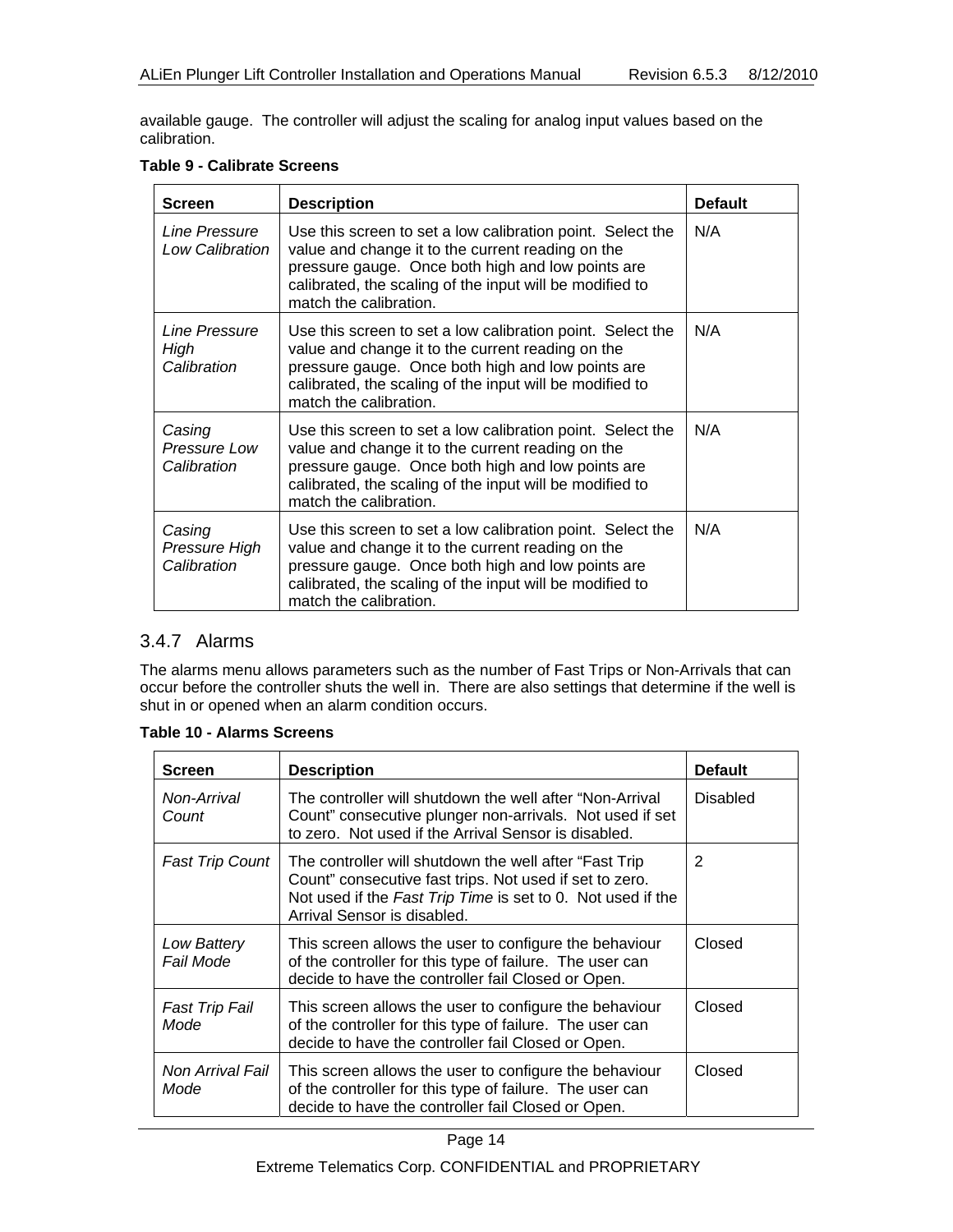available gauge. The controller will adjust the scaling for analog input values based on the calibration.

|  | Table 9 - Calibrate Screens |  |
|--|-----------------------------|--|
|--|-----------------------------|--|

| <b>Screen</b>                          | <b>Description</b>                                                                                                                                                                                                                                         | <b>Default</b> |
|----------------------------------------|------------------------------------------------------------------------------------------------------------------------------------------------------------------------------------------------------------------------------------------------------------|----------------|
| Line Pressure<br>Low Calibration       | Use this screen to set a low calibration point. Select the<br>value and change it to the current reading on the<br>pressure gauge. Once both high and low points are<br>calibrated, the scaling of the input will be modified to<br>match the calibration. | N/A            |
| Line Pressure<br>High<br>Calibration   | Use this screen to set a low calibration point. Select the<br>value and change it to the current reading on the<br>pressure gauge. Once both high and low points are<br>calibrated, the scaling of the input will be modified to<br>match the calibration. | N/A            |
| Casing<br>Pressure Low<br>Calibration  | Use this screen to set a low calibration point. Select the<br>value and change it to the current reading on the<br>pressure gauge. Once both high and low points are<br>calibrated, the scaling of the input will be modified to<br>match the calibration. | N/A            |
| Casing<br>Pressure High<br>Calibration | Use this screen to set a low calibration point. Select the<br>value and change it to the current reading on the<br>pressure gauge. Once both high and low points are<br>calibrated, the scaling of the input will be modified to<br>match the calibration. | N/A            |

### 3.4.7 Alarms

The alarms menu allows parameters such as the number of Fast Trips or Non-Arrivals that can occur before the controller shuts the well in. There are also settings that determine if the well is shut in or opened when an alarm condition occurs.

| <b>Screen</b>                 | <b>Description</b>                                                                                                                                                                                               | <b>Default</b> |
|-------------------------------|------------------------------------------------------------------------------------------------------------------------------------------------------------------------------------------------------------------|----------------|
| Non-Arrival<br>Count          | The controller will shutdown the well after "Non-Arrival<br>Count" consecutive plunger non-arrivals. Not used if set<br>to zero. Not used if the Arrival Sensor is disabled.                                     | Disabled       |
| <b>Fast Trip Count</b>        | The controller will shutdown the well after "Fast Trip"<br>Count" consecutive fast trips. Not used if set to zero.<br>Not used if the Fast Trip Time is set to 0. Not used if the<br>Arrival Sensor is disabled. | 2              |
| Low Battery<br>Fail Mode      | This screen allows the user to configure the behaviour<br>of the controller for this type of failure. The user can<br>decide to have the controller fail Closed or Open.                                         | Closed         |
| <b>Fast Trip Fail</b><br>Mode | This screen allows the user to configure the behaviour<br>of the controller for this type of failure. The user can<br>decide to have the controller fail Closed or Open.                                         | Closed         |
| Non Arrival Fail<br>Mode      | This screen allows the user to configure the behaviour<br>of the controller for this type of failure. The user can<br>decide to have the controller fail Closed or Open.                                         | Closed         |

#### **Table 10 - Alarms Screens**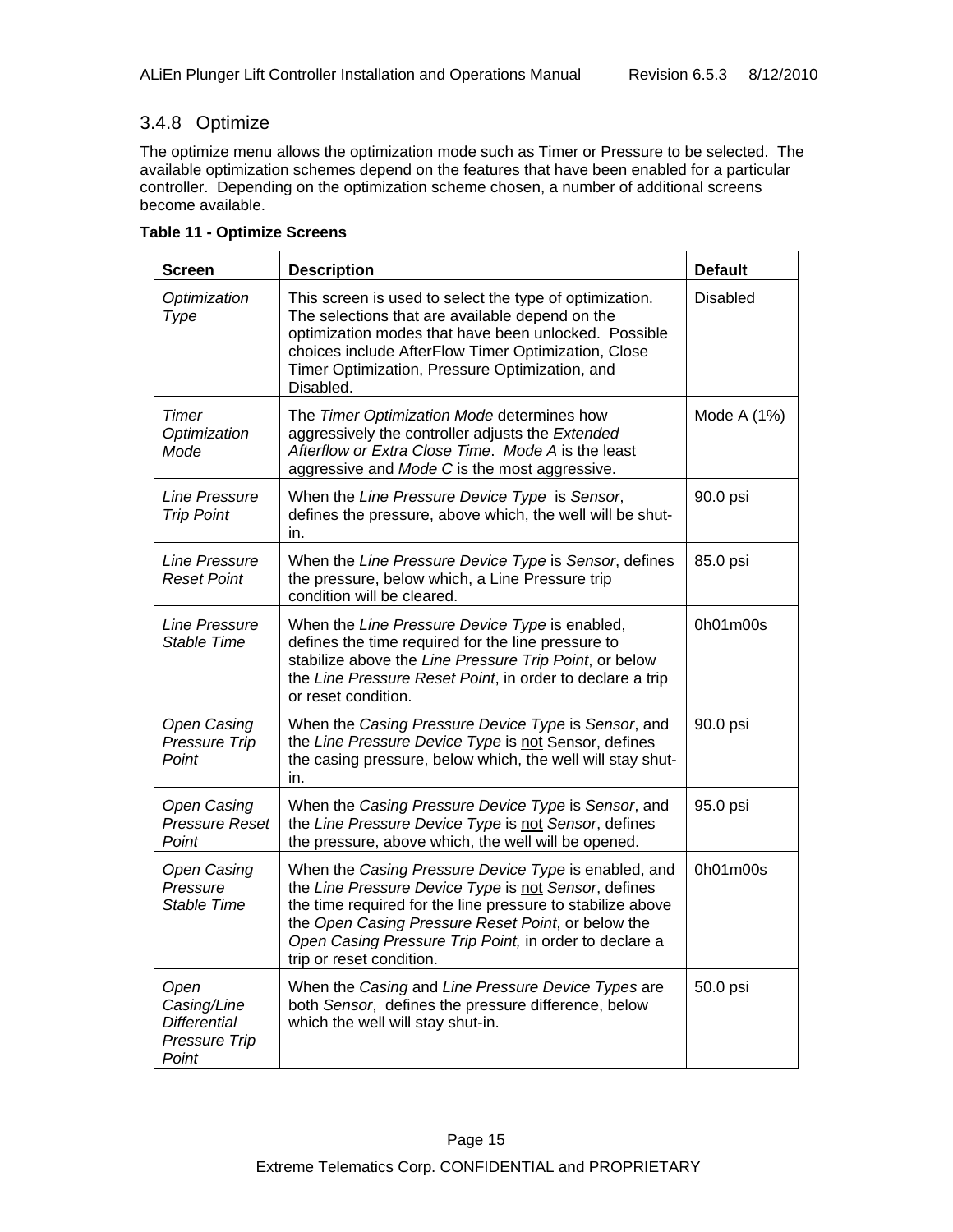### 3.4.8 Optimize

The optimize menu allows the optimization mode such as Timer or Pressure to be selected. The available optimization schemes depend on the features that have been enabled for a particular controller. Depending on the optimization scheme chosen, a number of additional screens become available.

| <b>Screen</b>                                                        | <b>Description</b>                                                                                                                                                                                                                                                                                                     | <b>Default</b>  |
|----------------------------------------------------------------------|------------------------------------------------------------------------------------------------------------------------------------------------------------------------------------------------------------------------------------------------------------------------------------------------------------------------|-----------------|
| Optimization<br>Type                                                 | This screen is used to select the type of optimization.<br>The selections that are available depend on the<br>optimization modes that have been unlocked. Possible<br>choices include AfterFlow Timer Optimization, Close<br>Timer Optimization, Pressure Optimization, and<br>Disabled.                               | <b>Disabled</b> |
| Timer<br>Optimization<br>Mode                                        | The Timer Optimization Mode determines how<br>aggressively the controller adjusts the Extended<br>Afterflow or Extra Close Time. Mode A is the least<br>aggressive and Mode C is the most aggressive.                                                                                                                  | Mode A (1%)     |
| <b>Line Pressure</b><br><b>Trip Point</b>                            | When the Line Pressure Device Type is Sensor,<br>defines the pressure, above which, the well will be shut-<br>in.                                                                                                                                                                                                      | 90.0 psi        |
| <b>Line Pressure</b><br><b>Reset Point</b>                           | When the Line Pressure Device Type is Sensor, defines<br>the pressure, below which, a Line Pressure trip<br>condition will be cleared.                                                                                                                                                                                 | 85.0 psi        |
| <b>Line Pressure</b><br>Stable Time                                  | When the Line Pressure Device Type is enabled,<br>defines the time required for the line pressure to<br>stabilize above the Line Pressure Trip Point, or below<br>the Line Pressure Reset Point, in order to declare a trip<br>or reset condition.                                                                     | 0h01m00s        |
| <b>Open Casing</b><br>Pressure Trip<br>Point                         | When the Casing Pressure Device Type is Sensor, and<br>the Line Pressure Device Type is not Sensor, defines<br>the casing pressure, below which, the well will stay shut-<br>in.                                                                                                                                       | 90.0 psi        |
| <b>Open Casing</b><br><b>Pressure Reset</b><br>Point                 | When the Casing Pressure Device Type is Sensor, and<br>the Line Pressure Device Type is not Sensor, defines<br>the pressure, above which, the well will be opened.                                                                                                                                                     | 95.0 psi        |
| <b>Open Casing</b><br>Pressure<br>Stable Time                        | When the Casing Pressure Device Type is enabled, and<br>the Line Pressure Device Type is not Sensor, defines<br>the time required for the line pressure to stabilize above<br>the Open Casing Pressure Reset Point, or below the<br>Open Casing Pressure Trip Point, in order to declare a<br>trip or reset condition. | 0h01m00s        |
| Open<br>Casing/Line<br><b>Differential</b><br>Pressure Trip<br>Point | When the Casing and Line Pressure Device Types are<br>both Sensor, defines the pressure difference, below<br>which the well will stay shut-in.                                                                                                                                                                         | 50.0 psi        |

**Table 11 - Optimize Screens**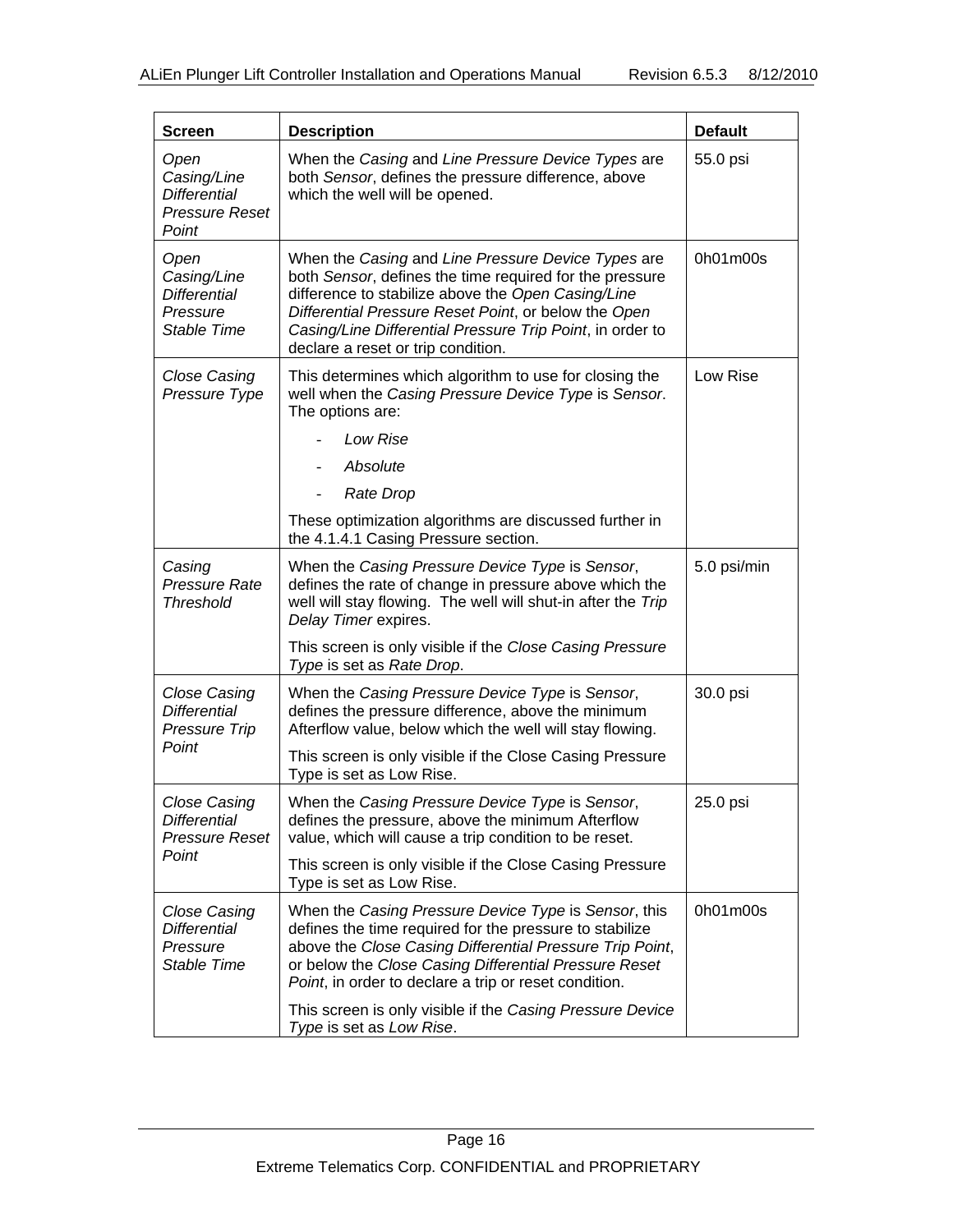| <b>Screen</b>                                                                | <b>Description</b>                                                                                                                                                                                                                                                                                                             | <b>Default</b> |
|------------------------------------------------------------------------------|--------------------------------------------------------------------------------------------------------------------------------------------------------------------------------------------------------------------------------------------------------------------------------------------------------------------------------|----------------|
| Open<br>Casing/Line<br><b>Differential</b><br><b>Pressure Reset</b><br>Point | When the Casing and Line Pressure Device Types are<br>both Sensor, defines the pressure difference, above<br>which the well will be opened.                                                                                                                                                                                    | 55.0 psi       |
| Open<br>Casing/Line<br><b>Differential</b><br>Pressure<br>Stable Time        | When the Casing and Line Pressure Device Types are<br>both Sensor, defines the time required for the pressure<br>difference to stabilize above the Open Casing/Line<br>Differential Pressure Reset Point, or below the Open<br>Casing/Line Differential Pressure Trip Point, in order to<br>declare a reset or trip condition. | 0h01m00s       |
| Close Casing<br>Pressure Type                                                | This determines which algorithm to use for closing the<br>well when the Casing Pressure Device Type is Sensor.<br>The options are:                                                                                                                                                                                             | Low Rise       |
|                                                                              | Low Rise                                                                                                                                                                                                                                                                                                                       |                |
|                                                                              | Absolute                                                                                                                                                                                                                                                                                                                       |                |
|                                                                              | Rate Drop                                                                                                                                                                                                                                                                                                                      |                |
|                                                                              | These optimization algorithms are discussed further in<br>the 4.1.4.1 Casing Pressure section.                                                                                                                                                                                                                                 |                |
| Casing<br><b>Pressure Rate</b><br><b>Threshold</b>                           | When the Casing Pressure Device Type is Sensor,<br>defines the rate of change in pressure above which the<br>well will stay flowing. The well will shut-in after the Trip<br>Delay Timer expires.                                                                                                                              | 5.0 psi/min    |
|                                                                              | This screen is only visible if the Close Casing Pressure<br>Type is set as Rate Drop.                                                                                                                                                                                                                                          |                |
| Close Casing<br><b>Differential</b><br><b>Pressure Trip</b>                  | When the Casing Pressure Device Type is Sensor,<br>defines the pressure difference, above the minimum<br>Afterflow value, below which the well will stay flowing.                                                                                                                                                              | 30.0 psi       |
| Point                                                                        | This screen is only visible if the Close Casing Pressure<br>Type is set as Low Rise.                                                                                                                                                                                                                                           |                |
| <b>Close Casing</b><br>Differential<br><b>Pressure Reset</b>                 | When the Casing Pressure Device Type is Sensor,<br>defines the pressure, above the minimum Afterflow<br>value, which will cause a trip condition to be reset.                                                                                                                                                                  | 25.0 psi       |
| Point                                                                        | This screen is only visible if the Close Casing Pressure<br>Type is set as Low Rise.                                                                                                                                                                                                                                           |                |
| <b>Close Casing</b><br><b>Differential</b><br>Pressure<br>Stable Time        | When the Casing Pressure Device Type is Sensor, this<br>defines the time required for the pressure to stabilize<br>above the Close Casing Differential Pressure Trip Point,<br>or below the Close Casing Differential Pressure Reset<br>Point, in order to declare a trip or reset condition.                                  | 0h01m00s       |
|                                                                              | This screen is only visible if the Casing Pressure Device<br>Type is set as Low Rise.                                                                                                                                                                                                                                          |                |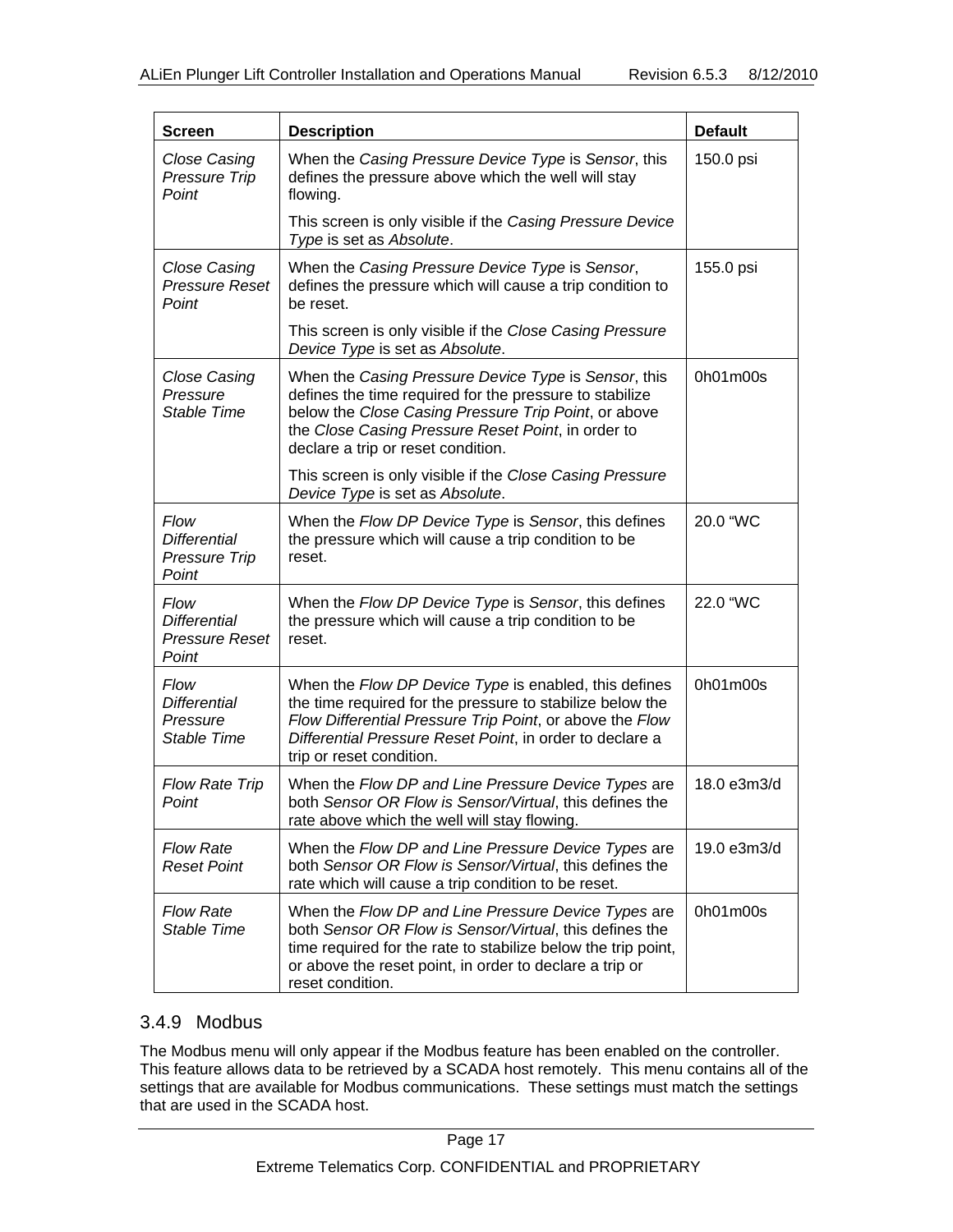| <b>Screen</b>                                                 | <b>Description</b>                                                                                                                                                                                                                                                     | <b>Default</b> |
|---------------------------------------------------------------|------------------------------------------------------------------------------------------------------------------------------------------------------------------------------------------------------------------------------------------------------------------------|----------------|
| <b>Close Casing</b><br>Pressure Trip<br>Point                 | When the Casing Pressure Device Type is Sensor, this<br>defines the pressure above which the well will stay<br>flowing.                                                                                                                                                | 150.0 psi      |
|                                                               | This screen is only visible if the Casing Pressure Device<br>Type is set as Absolute.                                                                                                                                                                                  |                |
| <b>Close Casing</b><br><b>Pressure Reset</b><br>Point         | When the Casing Pressure Device Type is Sensor,<br>defines the pressure which will cause a trip condition to<br>be reset.                                                                                                                                              | 155.0 psi      |
|                                                               | This screen is only visible if the Close Casing Pressure<br>Device Type is set as Absolute.                                                                                                                                                                            |                |
| Close Casing<br>Pressure<br>Stable Time                       | When the Casing Pressure Device Type is Sensor, this<br>defines the time required for the pressure to stabilize<br>below the Close Casing Pressure Trip Point, or above<br>the Close Casing Pressure Reset Point, in order to<br>declare a trip or reset condition.    | 0h01m00s       |
|                                                               | This screen is only visible if the Close Casing Pressure<br>Device Type is set as Absolute.                                                                                                                                                                            |                |
| Flow<br><b>Differential</b><br>Pressure Trip<br>Point         | When the Flow DP Device Type is Sensor, this defines<br>the pressure which will cause a trip condition to be<br>reset.                                                                                                                                                 | 20.0 "WC       |
| Flow<br><b>Differential</b><br><b>Pressure Reset</b><br>Point | When the Flow DP Device Type is Sensor, this defines<br>the pressure which will cause a trip condition to be<br>reset.                                                                                                                                                 | 22.0 "WC       |
| Flow<br><b>Differential</b><br>Pressure<br>Stable Time        | When the Flow DP Device Type is enabled, this defines<br>the time required for the pressure to stabilize below the<br>Flow Differential Pressure Trip Point, or above the Flow<br>Differential Pressure Reset Point, in order to declare a<br>trip or reset condition. | 0h01m00s       |
| <b>Flow Rate Trip</b><br>Point                                | When the Flow DP and Line Pressure Device Types are<br>both Sensor OR Flow is Sensor/Virtual, this defines the<br>rate above which the well will stay flowing.                                                                                                         | 18.0 e3m3/d    |
| <b>Flow Rate</b><br><b>Reset Point</b>                        | When the Flow DP and Line Pressure Device Types are<br>both Sensor OR Flow is Sensor/Virtual, this defines the<br>rate which will cause a trip condition to be reset.                                                                                                  | 19.0 e3m3/d    |
| <b>Flow Rate</b><br>Stable Time                               | When the Flow DP and Line Pressure Device Types are<br>both Sensor OR Flow is Sensor/Virtual, this defines the<br>time required for the rate to stabilize below the trip point,<br>or above the reset point, in order to declare a trip or<br>reset condition.         | 0h01m00s       |

### 3.4.9 Modbus

The Modbus menu will only appear if the Modbus feature has been enabled on the controller. This feature allows data to be retrieved by a SCADA host remotely. This menu contains all of the settings that are available for Modbus communications. These settings must match the settings that are used in the SCADA host.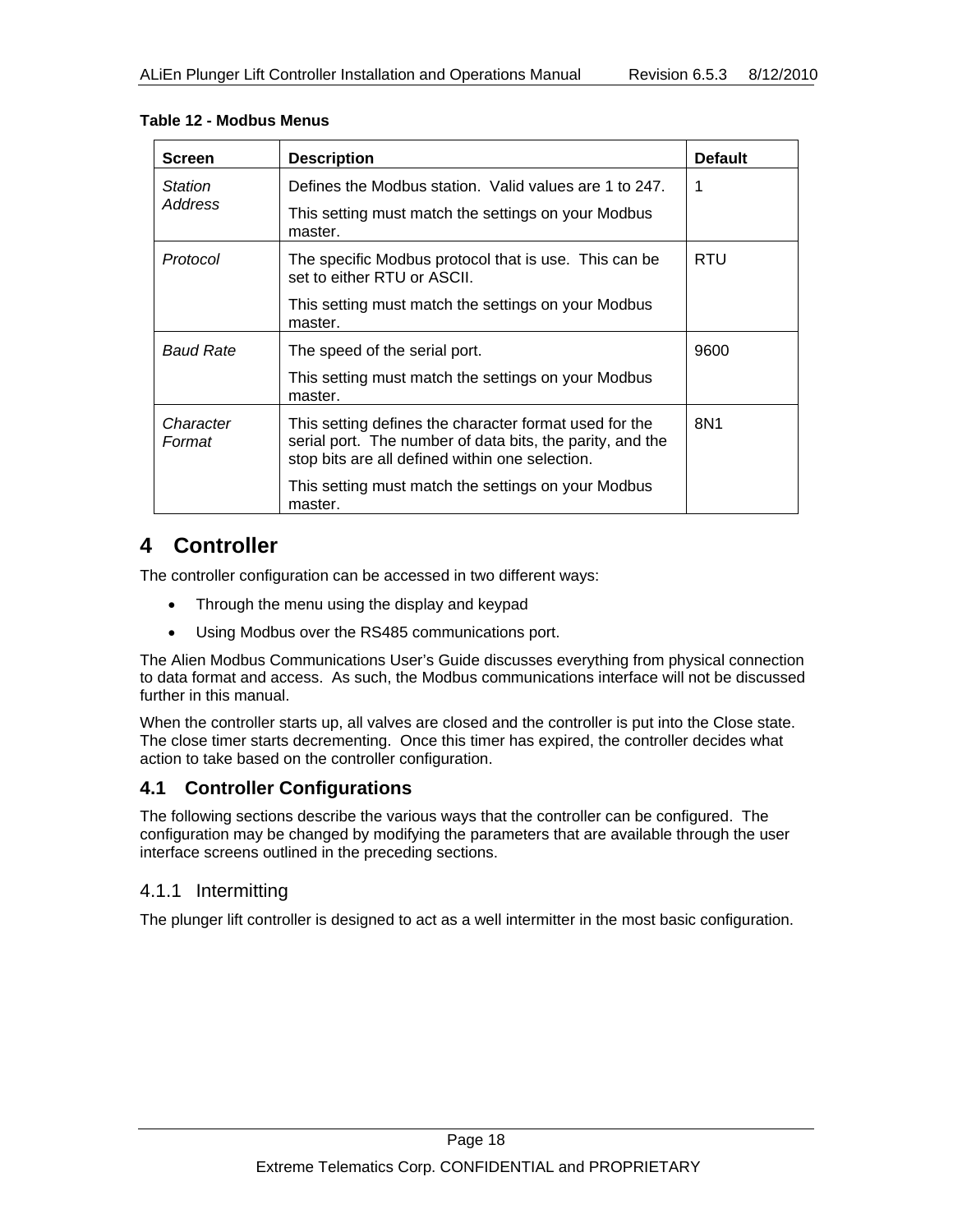| <b>Screen</b>       | <b>Description</b>                                                                                                                                                     | <b>Default</b> |
|---------------------|------------------------------------------------------------------------------------------------------------------------------------------------------------------------|----------------|
| Station             | Defines the Modbus station. Valid values are 1 to 247.                                                                                                                 |                |
| Address             | This setting must match the settings on your Modbus<br>master.                                                                                                         |                |
| Protocol            | The specific Modbus protocol that is use. This can be<br>set to either RTU or ASCII.                                                                                   | RTU            |
|                     | This setting must match the settings on your Modbus<br>master.                                                                                                         |                |
| <b>Baud Rate</b>    | The speed of the serial port.                                                                                                                                          | 9600           |
|                     | This setting must match the settings on your Modbus<br>master.                                                                                                         |                |
| Character<br>Format | This setting defines the character format used for the<br>serial port. The number of data bits, the parity, and the<br>stop bits are all defined within one selection. | 8N1            |
|                     | This setting must match the settings on your Modbus<br>master.                                                                                                         |                |

#### **Table 12 - Modbus Menus**

# **4 Controller**

The controller configuration can be accessed in two different ways:

- Through the menu using the display and keypad
- Using Modbus over the RS485 communications port.

The Alien Modbus Communications User's Guide discusses everything from physical connection to data format and access. As such, the Modbus communications interface will not be discussed further in this manual.

When the controller starts up, all valves are closed and the controller is put into the Close state. The close timer starts decrementing. Once this timer has expired, the controller decides what action to take based on the controller configuration.

### **4.1 Controller Configurations**

The following sections describe the various ways that the controller can be configured. The configuration may be changed by modifying the parameters that are available through the user interface screens outlined in the preceding sections.

#### 4.1.1 Intermitting

The plunger lift controller is designed to act as a well intermitter in the most basic configuration.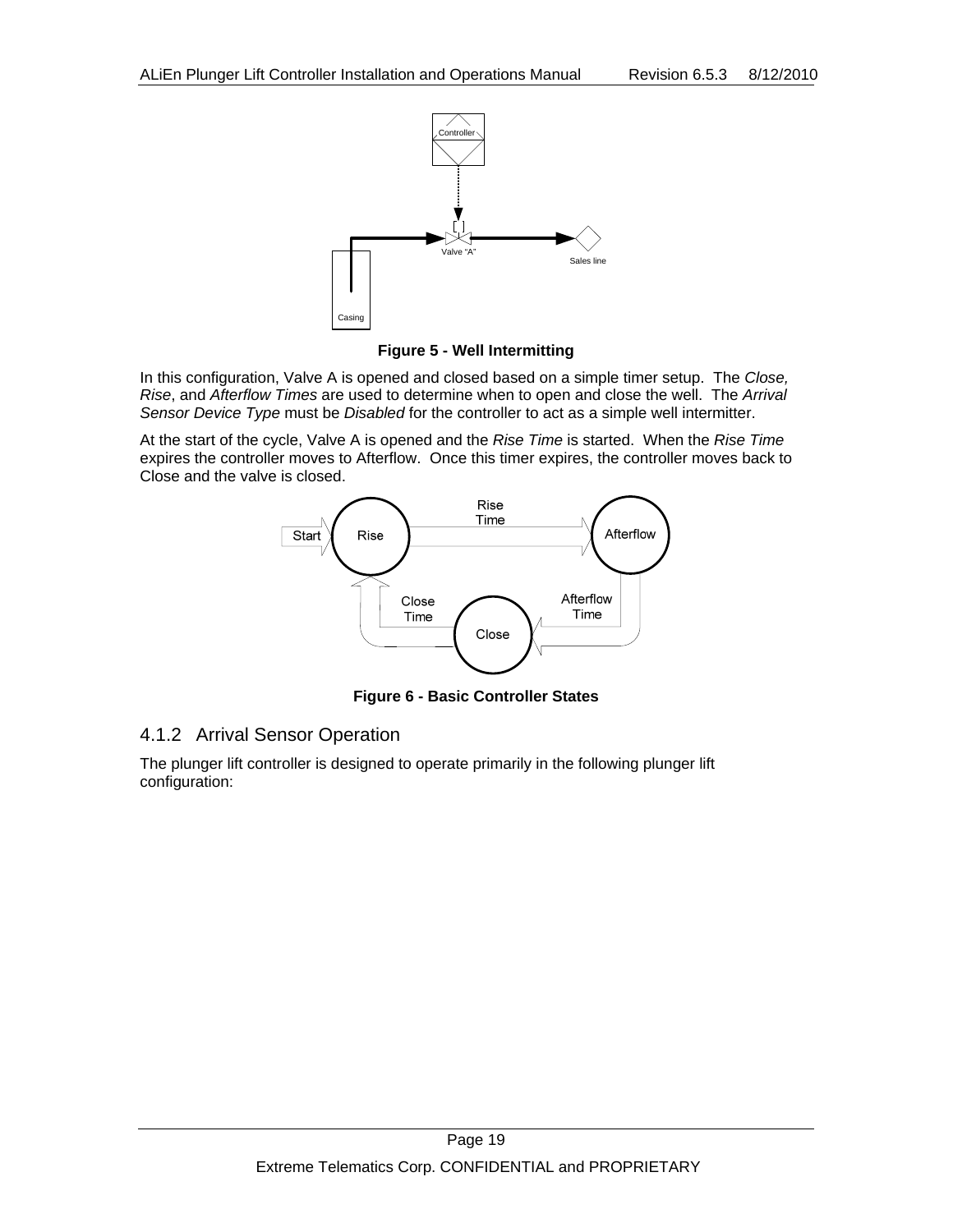

**Figure 5 - Well Intermitting** 

In this configuration, Valve A is opened and closed based on a simple timer setup. The *Close, Rise*, and *Afterflow Times* are used to determine when to open and close the well. The *Arrival Sensor Device Type* must be *Disabled* for the controller to act as a simple well intermitter.

At the start of the cycle, Valve A is opened and the *Rise Time* is started. When the *Rise Time* expires the controller moves to Afterflow. Once this timer expires, the controller moves back to Close and the valve is closed.



**Figure 6 - Basic Controller States** 

### 4.1.2 Arrival Sensor Operation

The plunger lift controller is designed to operate primarily in the following plunger lift configuration: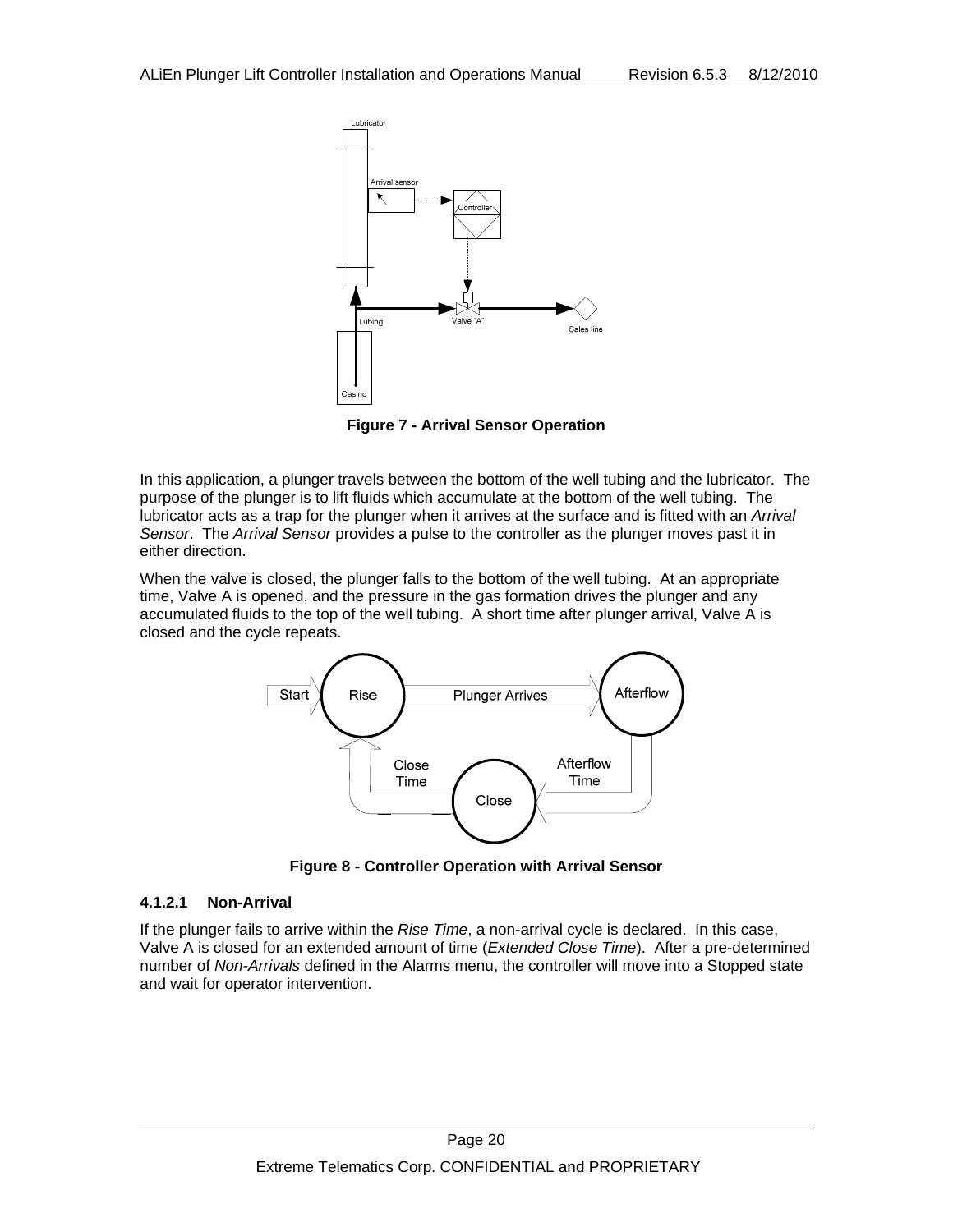

**Figure 7 - Arrival Sensor Operation** 

In this application, a plunger travels between the bottom of the well tubing and the lubricator. The purpose of the plunger is to lift fluids which accumulate at the bottom of the well tubing. The lubricator acts as a trap for the plunger when it arrives at the surface and is fitted with an *Arrival Sensor*. The *Arrival Sensor* provides a pulse to the controller as the plunger moves past it in either direction.

When the valve is closed, the plunger falls to the bottom of the well tubing. At an appropriate time, Valve A is opened, and the pressure in the gas formation drives the plunger and any accumulated fluids to the top of the well tubing. A short time after plunger arrival, Valve A is closed and the cycle repeats.



**Figure 8 - Controller Operation with Arrival Sensor** 

#### **4.1.2.1 Non-Arrival**

If the plunger fails to arrive within the *Rise Time*, a non-arrival cycle is declared. In this case, Valve A is closed for an extended amount of time (*Extended Close Time*). After a pre-determined number of *Non-Arrivals* defined in the Alarms menu, the controller will move into a Stopped state and wait for operator intervention.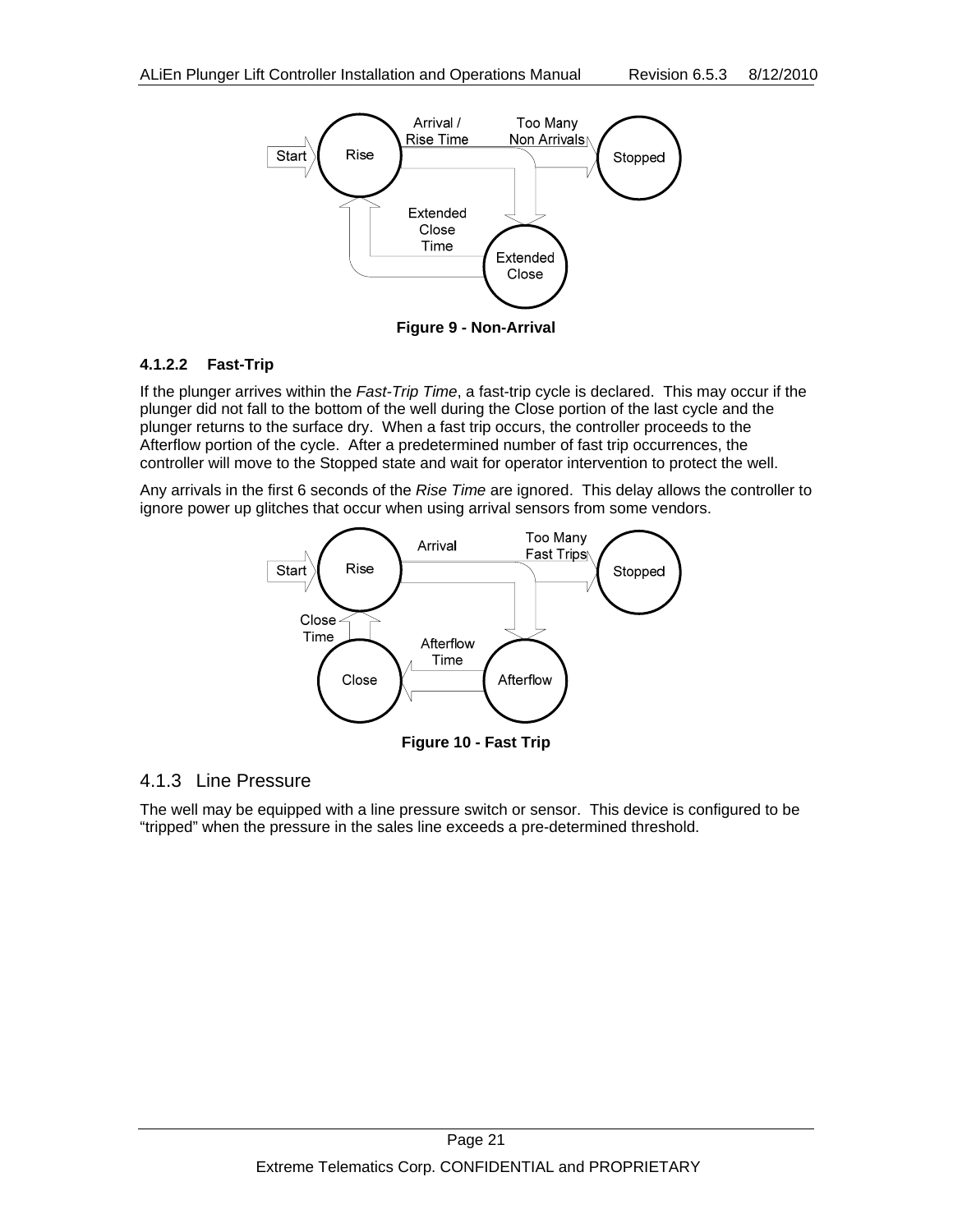

**Figure 9 - Non-Arrival** 

#### **4.1.2.2 Fast-Trip**

If the plunger arrives within the *Fast-Trip Time*, a fast-trip cycle is declared. This may occur if the plunger did not fall to the bottom of the well during the Close portion of the last cycle and the plunger returns to the surface dry. When a fast trip occurs, the controller proceeds to the Afterflow portion of the cycle. After a predetermined number of fast trip occurrences, the controller will move to the Stopped state and wait for operator intervention to protect the well.

Any arrivals in the first 6 seconds of the *Rise Time* are ignored. This delay allows the controller to ignore power up glitches that occur when using arrival sensors from some vendors.



#### 4.1.3 Line Pressure

The well may be equipped with a line pressure switch or sensor. This device is configured to be "tripped" when the pressure in the sales line exceeds a pre-determined threshold.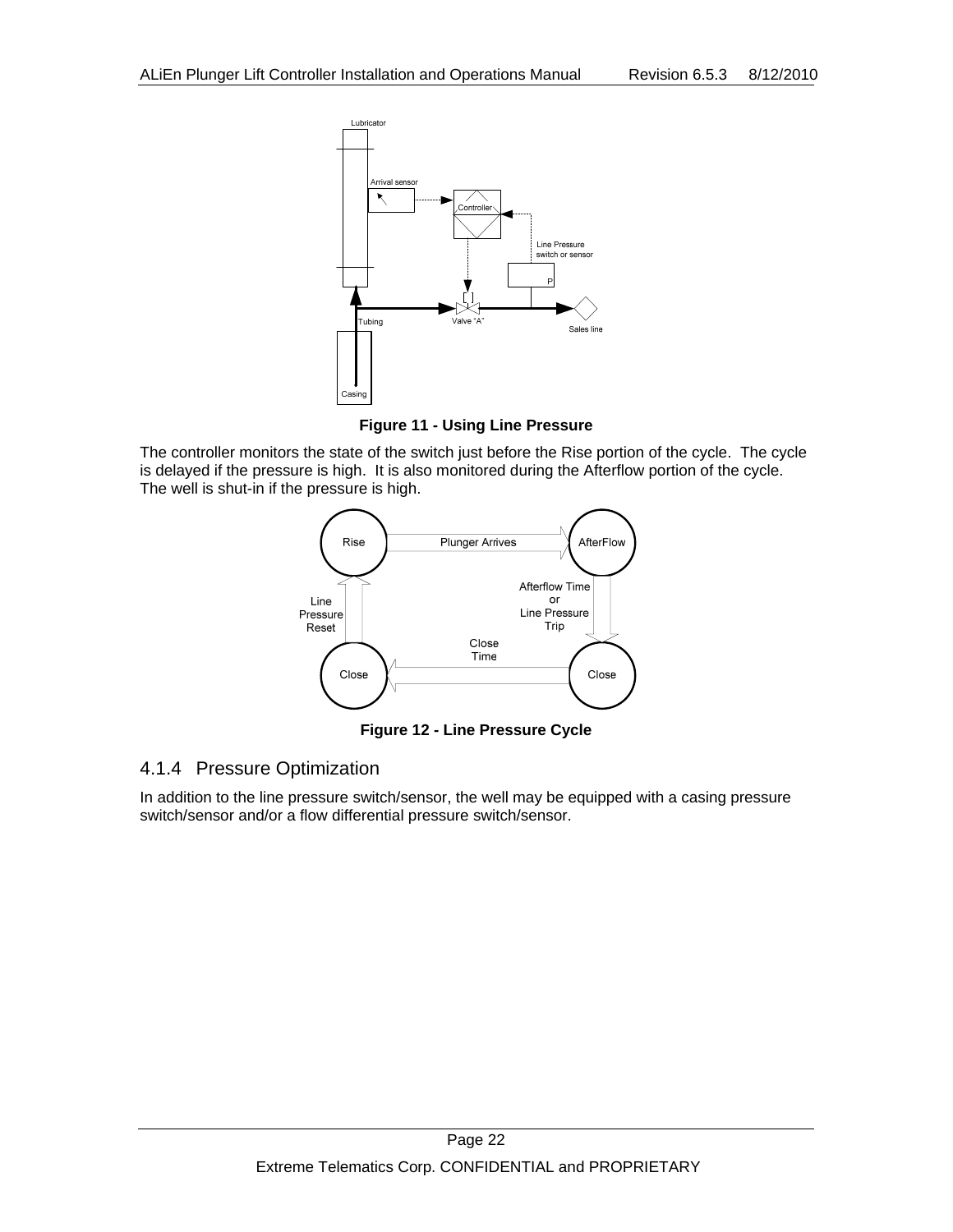

**Figure 11 - Using Line Pressure** 

The controller monitors the state of the switch just before the Rise portion of the cycle. The cycle is delayed if the pressure is high. It is also monitored during the Afterflow portion of the cycle. The well is shut-in if the pressure is high.



**Figure 12 - Line Pressure Cycle** 

#### 4.1.4 Pressure Optimization

In addition to the line pressure switch/sensor, the well may be equipped with a casing pressure switch/sensor and/or a flow differential pressure switch/sensor.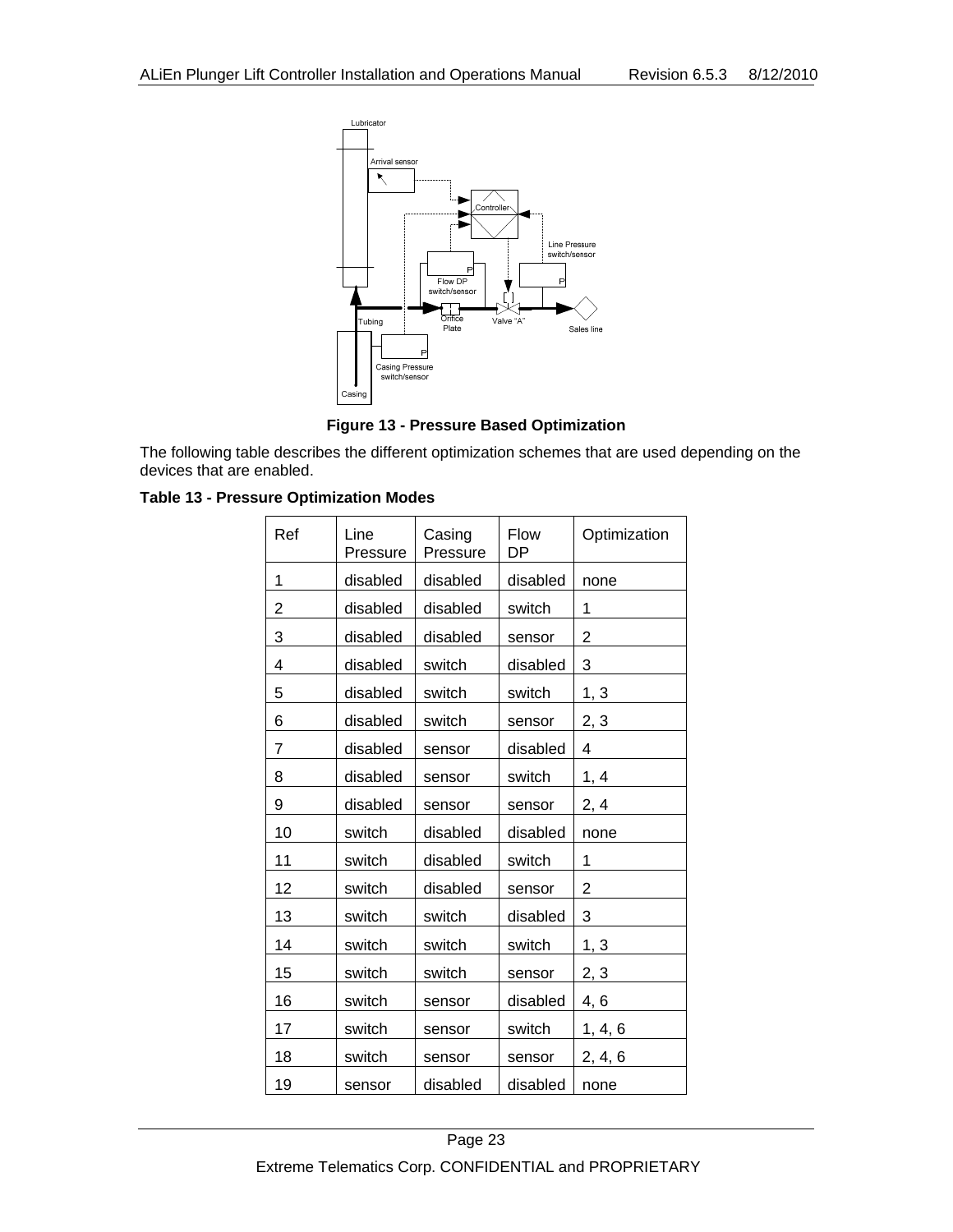



The following table describes the different optimization schemes that are used depending on the devices that are enabled.

| Ref | Line<br>Pressure | Casing<br>Pressure | Flow<br>DP | Optimization |
|-----|------------------|--------------------|------------|--------------|
| 1   | disabled         | disabled           | disabled   | none         |
| 2   | disabled         | disabled           | switch     | 1            |
| 3   | disabled         | disabled           | sensor     | 2            |
| 4   | disabled         | switch             | disabled   | 3            |
| 5   | disabled         | switch             | switch     | 1, 3         |
| 6   | disabled         | switch             | sensor     | 2, 3         |
| 7   | disabled         | sensor             | disabled   | 4            |
| 8   | disabled         | sensor             | switch     | 1, 4         |
| 9   | disabled         | sensor             | sensor     | 2, 4         |
| 10  | switch           | disabled           | disabled   | none         |
| 11  | switch           | disabled           | switch     | 1            |
| 12  | switch           | disabled           | sensor     | 2            |
| 13  | switch           | switch             | disabled   | 3            |
| 14  | switch           | switch             | switch     | 1, 3         |
| 15  | switch           | switch             | sensor     | 2, 3         |
| 16  | switch           | sensor             | disabled   | 4, 6         |
| 17  | switch           | sensor             | switch     | 1, 4, 6      |
| 18  | switch           | sensor             | sensor     | 2, 4, 6      |
| 19  | sensor           | disabled           | disabled   | none         |

**Table 13 - Pressure Optimization Modes**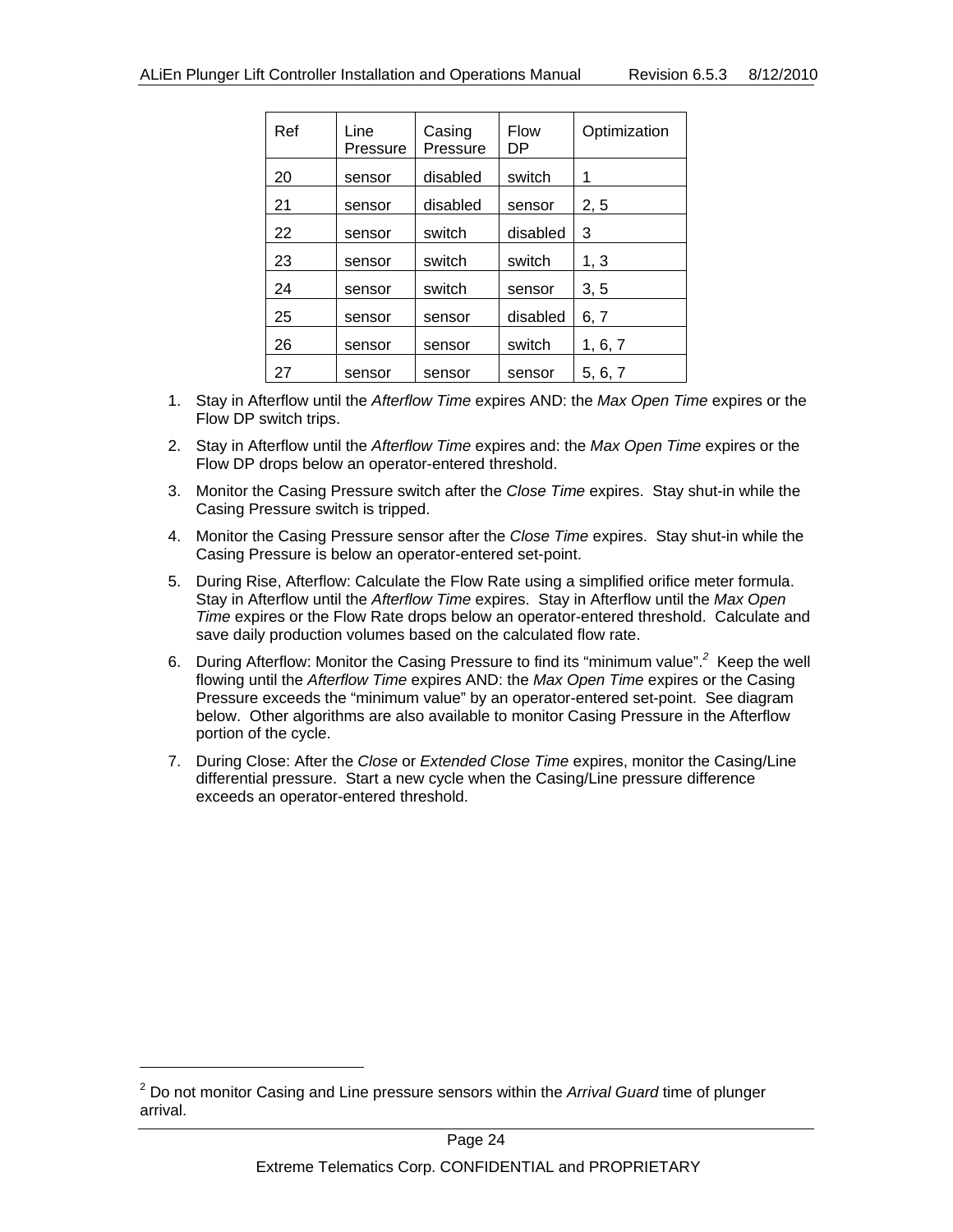| Ref | Line<br>Pressure | Casing<br>Pressure | <b>Flow</b><br>DP | Optimization |
|-----|------------------|--------------------|-------------------|--------------|
| 20  | sensor           | disabled           | switch            | 1            |
| 21  | sensor           | disabled           | sensor            | 2, 5         |
| 22  | sensor           | switch             | disabled          | 3            |
| 23  | sensor           | switch             | switch            | 1, 3         |
| 24  | sensor           | switch             | sensor            | 3, 5         |
| 25  | sensor           | sensor             | disabled          | 6, 7         |
| 26  | sensor           | sensor             | switch            | 1, 6, 7      |
| 27  | sensor           | sensor             | sensor            | 5, 6, 7      |

- 1. Stay in Afterflow until the *Afterflow Time* expires AND: the *Max Open Time* expires or the Flow DP switch trips.
- 2. Stay in Afterflow until the *Afterflow Time* expires and: the *Max Open Time* expires or the Flow DP drops below an operator-entered threshold.
- 3. Monitor the Casing Pressure switch after the *Close Time* expires. Stay shut-in while the Casing Pressure switch is tripped.
- 4. Monitor the Casing Pressure sensor after the *Close Time* expires. Stay shut-in while the Casing Pressure is below an operator-entered set-point.
- 5. During Rise, Afterflow: Calculate the Flow Rate using a simplified orifice meter formula. Stay in Afterflow until the *Afterflow Time* expires. Stay in Afterflow until the *Max Open Time* expires or the Flow Rate drops below an operator-entered threshold. Calculate and save daily production volumes based on the calculated flow rate.
- 6. During Afterflow: Monitor the Casing Pressure to find its "minimum value".*<sup>2</sup>* Keep the well flowing until the *Afterflow Time* expires AND: the *Max Open Time* expires or the Casing Pressure exceeds the "minimum value" by an operator-entered set-point. See diagram below. Other algorithms are also available to monitor Casing Pressure in the Afterflow portion of the cycle.
- 7. During Close: After the *Close* or *Extended Close Time* expires, monitor the Casing/Line differential pressure. Start a new cycle when the Casing/Line pressure difference exceeds an operator-entered threshold.

l

<sup>2</sup> Do not monitor Casing and Line pressure sensors within the *Arrival Guard* time of plunger arrival.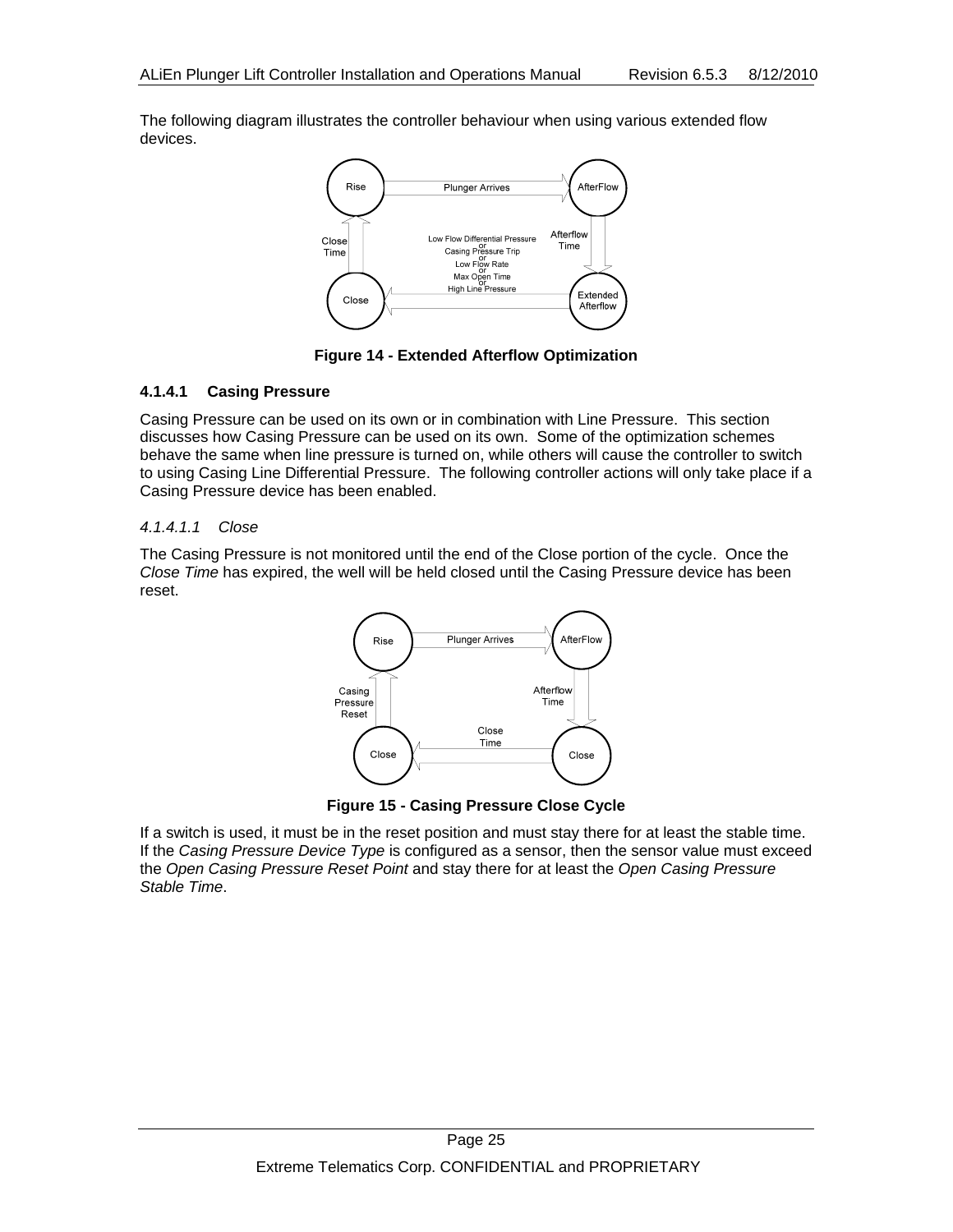The following diagram illustrates the controller behaviour when using various extended flow devices.



**Figure 14 - Extended Afterflow Optimization** 

#### **4.1.4.1 Casing Pressure**

Casing Pressure can be used on its own or in combination with Line Pressure. This section discusses how Casing Pressure can be used on its own. Some of the optimization schemes behave the same when line pressure is turned on, while others will cause the controller to switch to using Casing Line Differential Pressure. The following controller actions will only take place if a Casing Pressure device has been enabled.

#### *4.1.4.1.1 Close*

The Casing Pressure is not monitored until the end of the Close portion of the cycle. Once the *Close Time* has expired, the well will be held closed until the Casing Pressure device has been reset.



**Figure 15 - Casing Pressure Close Cycle** 

If a switch is used, it must be in the reset position and must stay there for at least the stable time. If the *Casing Pressure Device Type* is configured as a sensor, then the sensor value must exceed the *Open Casing Pressure Reset Point* and stay there for at least the *Open Casing Pressure Stable Time*.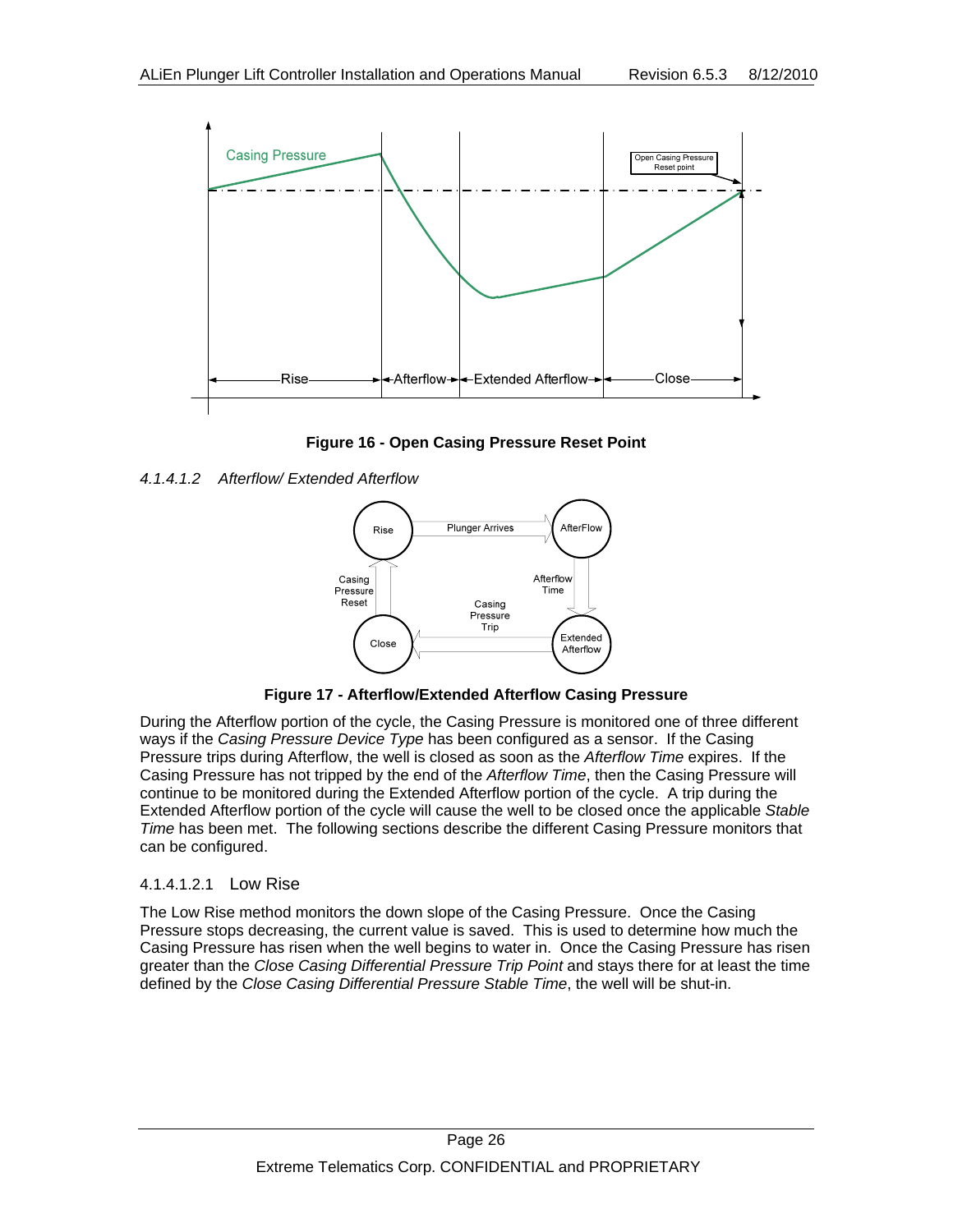

**Figure 16 - Open Casing Pressure Reset Point** 

#### *4.1.4.1.2 Afterflow/ Extended Afterflow*



**Figure 17 - Afterflow/Extended Afterflow Casing Pressure** 

During the Afterflow portion of the cycle, the Casing Pressure is monitored one of three different ways if the *Casing Pressure Device Type* has been configured as a sensor. If the Casing Pressure trips during Afterflow, the well is closed as soon as the *Afterflow Time* expires. If the Casing Pressure has not tripped by the end of the *Afterflow Time*, then the Casing Pressure will continue to be monitored during the Extended Afterflow portion of the cycle. A trip during the Extended Afterflow portion of the cycle will cause the well to be closed once the applicable *Stable Time* has been met. The following sections describe the different Casing Pressure monitors that can be configured.

#### 4.1.4.1.2.1 Low Rise

The Low Rise method monitors the down slope of the Casing Pressure. Once the Casing Pressure stops decreasing, the current value is saved. This is used to determine how much the Casing Pressure has risen when the well begins to water in. Once the Casing Pressure has risen greater than the *Close Casing Differential Pressure Trip Point* and stays there for at least the time defined by the *Close Casing Differential Pressure Stable Time*, the well will be shut-in.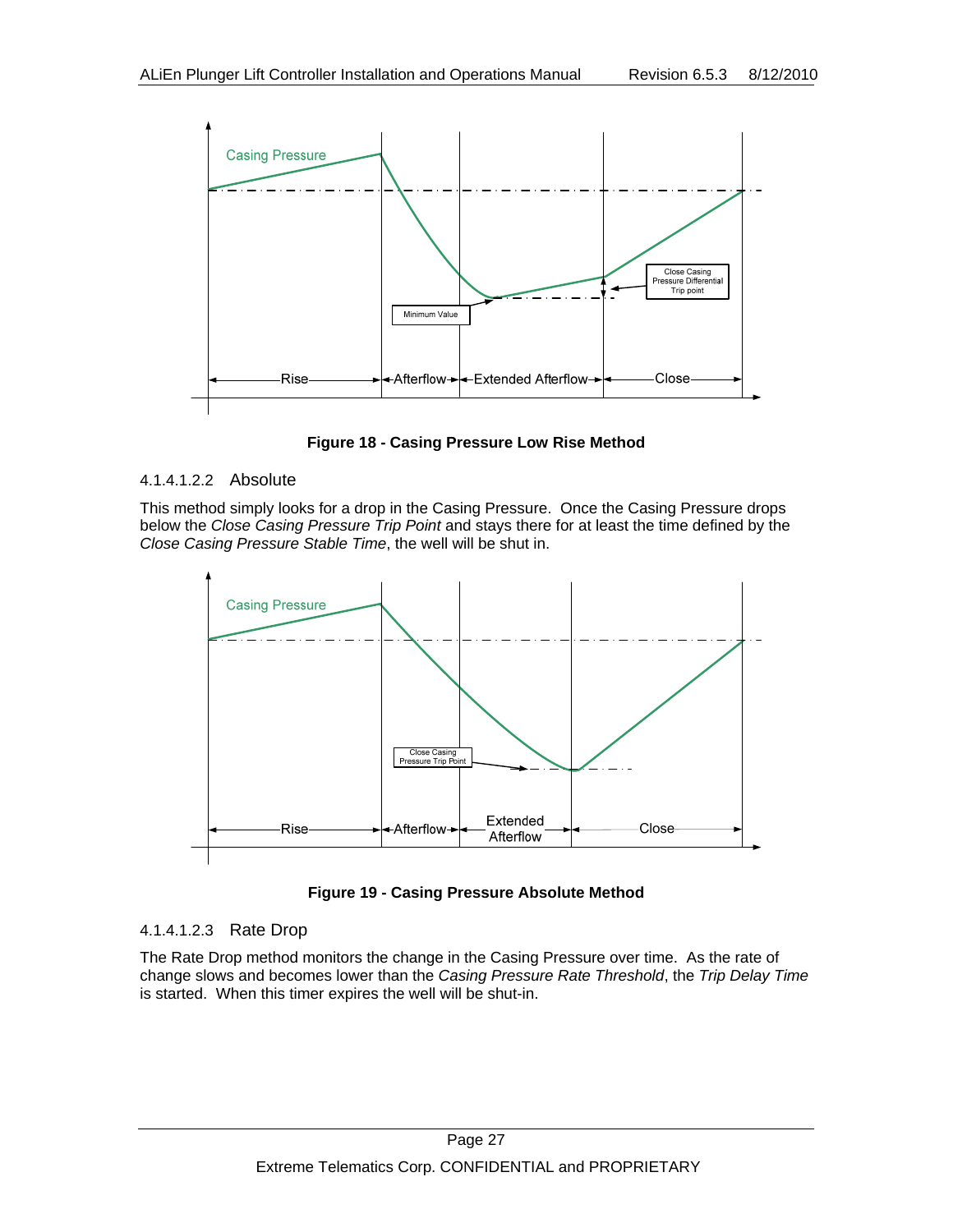

**Figure 18 - Casing Pressure Low Rise Method** 

#### 4.1.4.1.2.2 Absolute

This method simply looks for a drop in the Casing Pressure. Once the Casing Pressure drops below the *Close Casing Pressure Trip Point* and stays there for at least the time defined by the *Close Casing Pressure Stable Time*, the well will be shut in.



**Figure 19 - Casing Pressure Absolute Method** 

#### 4.1.4.1.2.3 Rate Drop

The Rate Drop method monitors the change in the Casing Pressure over time. As the rate of change slows and becomes lower than the *Casing Pressure Rate Threshold*, the *Trip Delay Time* is started. When this timer expires the well will be shut-in.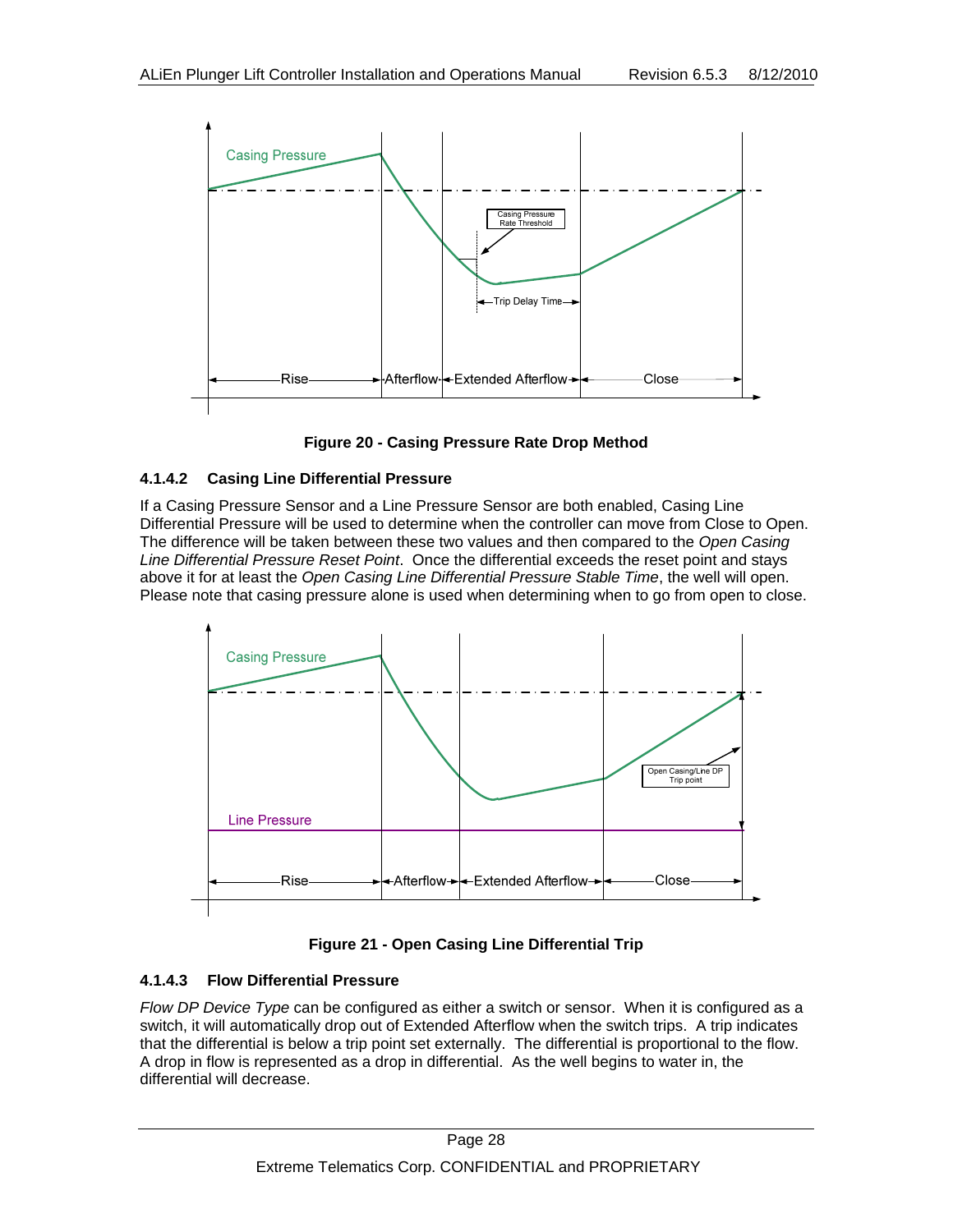



#### **4.1.4.2 Casing Line Differential Pressure**

If a Casing Pressure Sensor and a Line Pressure Sensor are both enabled, Casing Line Differential Pressure will be used to determine when the controller can move from Close to Open. The difference will be taken between these two values and then compared to the *Open Casing Line Differential Pressure Reset Point*. Once the differential exceeds the reset point and stays above it for at least the *Open Casing Line Differential Pressure Stable Time*, the well will open. Please note that casing pressure alone is used when determining when to go from open to close.





#### **4.1.4.3 Flow Differential Pressure**

*Flow DP Device Type* can be configured as either a switch or sensor. When it is configured as a switch, it will automatically drop out of Extended Afterflow when the switch trips. A trip indicates that the differential is below a trip point set externally. The differential is proportional to the flow. A drop in flow is represented as a drop in differential. As the well begins to water in, the differential will decrease.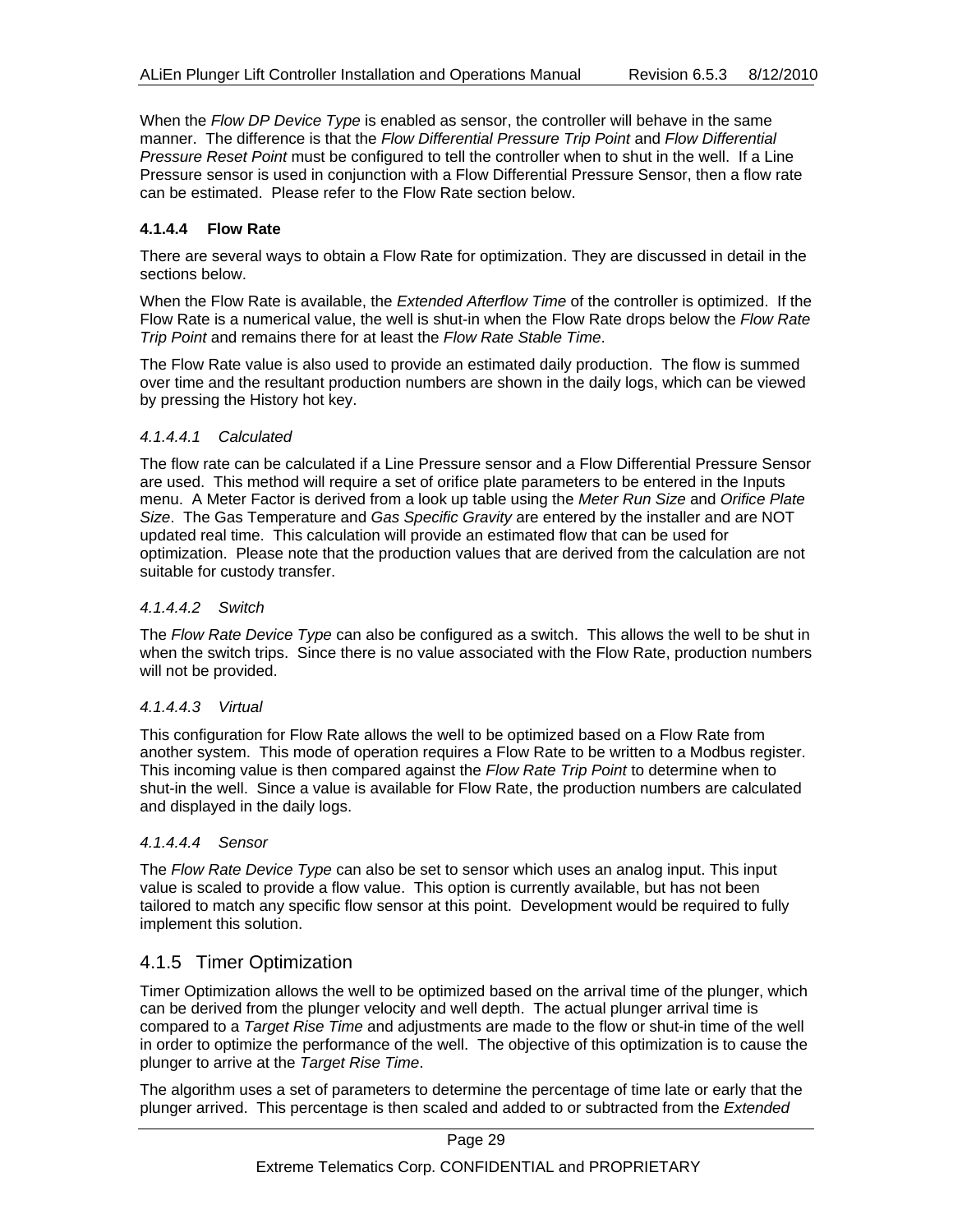When the *Flow DP Device Type* is enabled as sensor, the controller will behave in the same manner. The difference is that the *Flow Differential Pressure Trip Point* and *Flow Differential Pressure Reset Point* must be configured to tell the controller when to shut in the well. If a Line Pressure sensor is used in conjunction with a Flow Differential Pressure Sensor, then a flow rate can be estimated. Please refer to the Flow Rate section below.

#### **4.1.4.4 Flow Rate**

There are several ways to obtain a Flow Rate for optimization. They are discussed in detail in the sections below.

When the Flow Rate is available, the *Extended Afterflow Time* of the controller is optimized. If the Flow Rate is a numerical value, the well is shut-in when the Flow Rate drops below the *Flow Rate Trip Point* and remains there for at least the *Flow Rate Stable Time*.

The Flow Rate value is also used to provide an estimated daily production. The flow is summed over time and the resultant production numbers are shown in the daily logs, which can be viewed by pressing the History hot key.

#### *4.1.4.4.1 Calculated*

The flow rate can be calculated if a Line Pressure sensor and a Flow Differential Pressure Sensor are used. This method will require a set of orifice plate parameters to be entered in the Inputs menu. A Meter Factor is derived from a look up table using the *Meter Run Size* and *Orifice Plate Size*. The Gas Temperature and *Gas Specific Gravity* are entered by the installer and are NOT updated real time. This calculation will provide an estimated flow that can be used for optimization. Please note that the production values that are derived from the calculation are not suitable for custody transfer.

#### *4.1.4.4.2 Switch*

The *Flow Rate Device Type* can also be configured as a switch. This allows the well to be shut in when the switch trips. Since there is no value associated with the Flow Rate, production numbers will not be provided.

#### *4.1.4.4.3 Virtual*

This configuration for Flow Rate allows the well to be optimized based on a Flow Rate from another system. This mode of operation requires a Flow Rate to be written to a Modbus register. This incoming value is then compared against the *Flow Rate Trip Point* to determine when to shut-in the well. Since a value is available for Flow Rate, the production numbers are calculated and displayed in the daily logs.

#### *4.1.4.4.4 Sensor*

The *Flow Rate Device Type* can also be set to sensor which uses an analog input. This input value is scaled to provide a flow value. This option is currently available, but has not been tailored to match any specific flow sensor at this point. Development would be required to fully implement this solution.

#### 4.1.5 Timer Optimization

Timer Optimization allows the well to be optimized based on the arrival time of the plunger, which can be derived from the plunger velocity and well depth. The actual plunger arrival time is compared to a *Target Rise Time* and adjustments are made to the flow or shut-in time of the well in order to optimize the performance of the well. The objective of this optimization is to cause the plunger to arrive at the *Target Rise Time*.

The algorithm uses a set of parameters to determine the percentage of time late or early that the plunger arrived. This percentage is then scaled and added to or subtracted from the *Extended*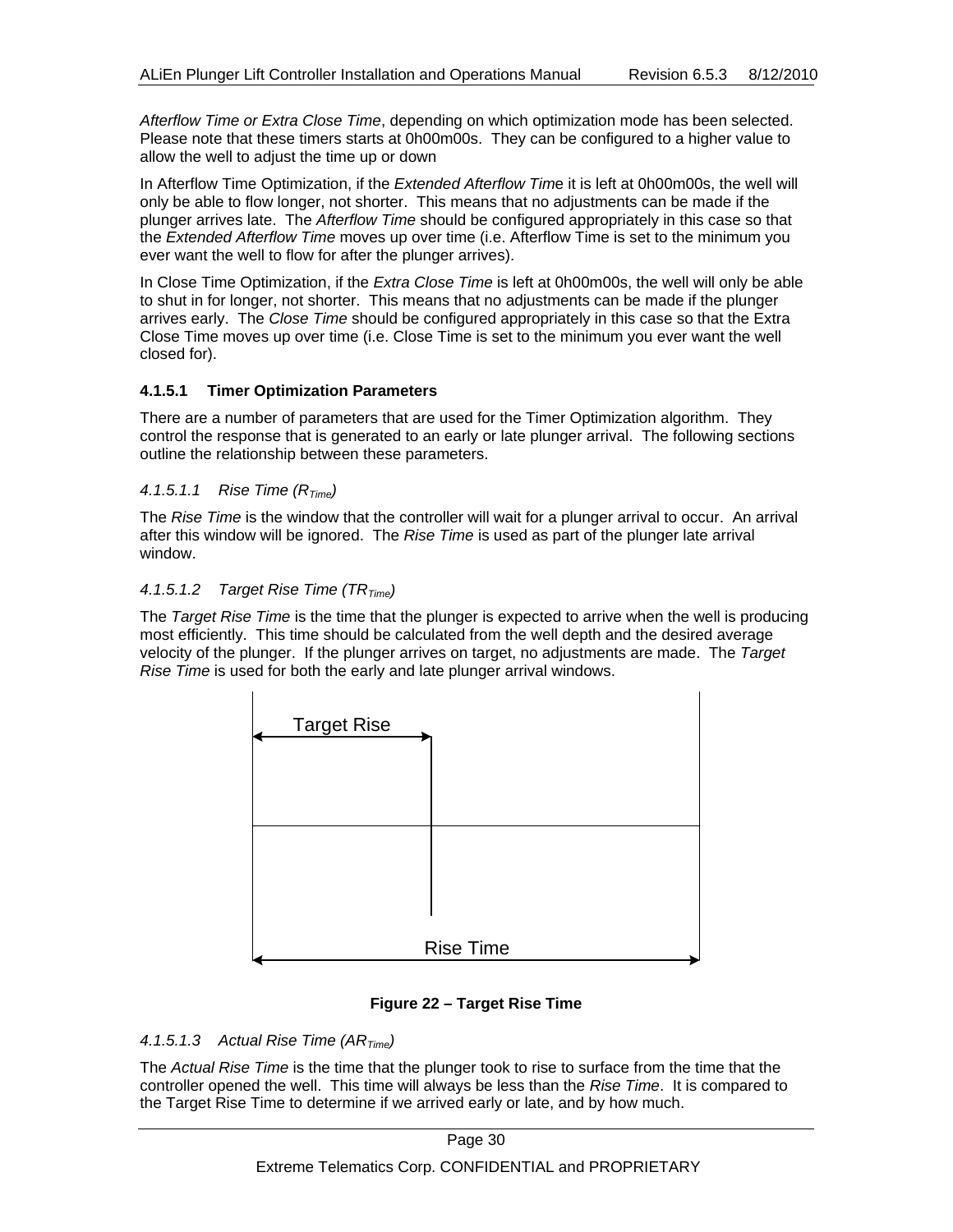*Afterflow Time or Extra Close Time*, depending on which optimization mode has been selected. Please note that these timers starts at 0h00m00s. They can be configured to a higher value to allow the well to adjust the time up or down

In Afterflow Time Optimization, if the *Extended Afterflow Tim*e it is left at 0h00m00s, the well will only be able to flow longer, not shorter. This means that no adjustments can be made if the plunger arrives late. The *Afterflow Time* should be configured appropriately in this case so that the *Extended Afterflow Time* moves up over time (i.e. Afterflow Time is set to the minimum you ever want the well to flow for after the plunger arrives).

In Close Time Optimization, if the *Extra Close Time* is left at 0h00m00s, the well will only be able to shut in for longer, not shorter. This means that no adjustments can be made if the plunger arrives early. The *Close Time* should be configured appropriately in this case so that the Extra Close Time moves up over time (i.e. Close Time is set to the minimum you ever want the well closed for).

#### **4.1.5.1 Timer Optimization Parameters**

There are a number of parameters that are used for the Timer Optimization algorithm. They control the response that is generated to an early or late plunger arrival. The following sections outline the relationship between these parameters.

#### *4.1.5.1.1 Rise Time (RTime)*

The *Rise Time* is the window that the controller will wait for a plunger arrival to occur. An arrival after this window will be ignored. The *Rise Time* is used as part of the plunger late arrival window.

#### 4.1.5.1.2 Target Rise Time (TR<sub>Time</sub>)

The *Target Rise Time* is the time that the plunger is expected to arrive when the well is producing most efficiently. This time should be calculated from the well depth and the desired average velocity of the plunger. If the plunger arrives on target, no adjustments are made. The *Target Rise Time* is used for both the early and late plunger arrival windows.



#### **Figure 22 – Target Rise Time**

#### *4.1.5.1.3 Actual Rise Time (ARTime)*

The *Actual Rise Time* is the time that the plunger took to rise to surface from the time that the controller opened the well. This time will always be less than the *Rise Time*. It is compared to the Target Rise Time to determine if we arrived early or late, and by how much.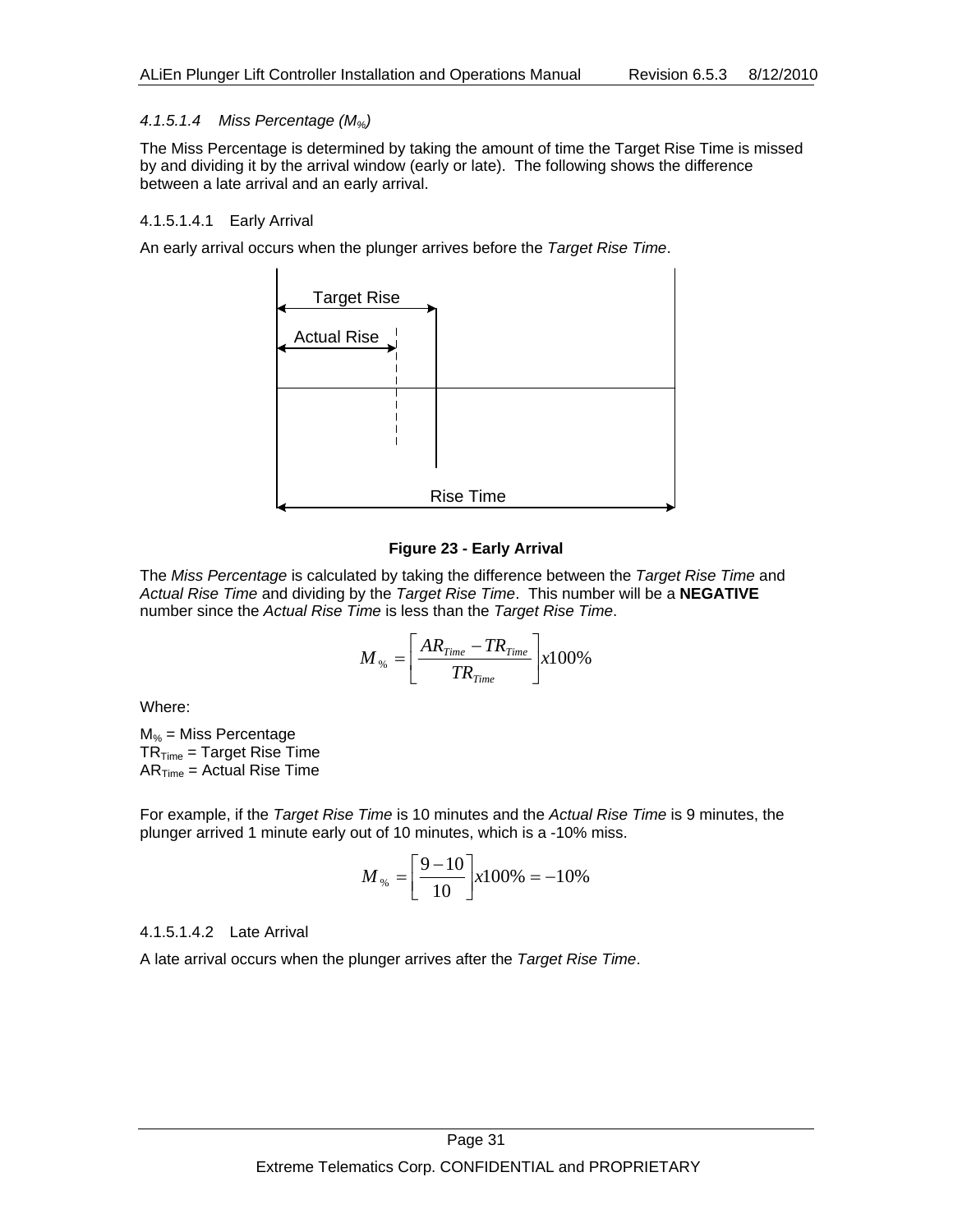#### *4.1.5.1.4 Miss Percentage (M%)*

The Miss Percentage is determined by taking the amount of time the Target Rise Time is missed by and dividing it by the arrival window (early or late). The following shows the difference between a late arrival and an early arrival.

#### 4.1.5.1.4.1 Early Arrival

An early arrival occurs when the plunger arrives before the *Target Rise Time*.



#### **Figure 23 - Early Arrival**

The *Miss Percentage* is calculated by taking the difference between the *Target Rise Time* and *Actual Rise Time* and dividing by the *Target Rise Time*. This number will be a **NEGATIVE** number since the *Actual Rise Time* is less than the *Target Rise Time*.

$$
M_{\%} = \left[\frac{AR_{Time} - TR_{Time}}{TR_{Time}}\right] \times 100\%
$$

Where:

 $M_{\%}$  = Miss Percentage  $TR_{Time} = Target Rise Time$  $AR<sub>Time</sub> = Actual Rise Time$ 

For example, if the *Target Rise Time* is 10 minutes and the *Actual Rise Time* is 9 minutes, the plunger arrived 1 minute early out of 10 minutes, which is a -10% miss.

$$
M_{\%} = \left[\frac{9-10}{10}\right] x 100\% = -10\%
$$

4.1.5.1.4.2 Late Arrival

A late arrival occurs when the plunger arrives after the *Target Rise Time*.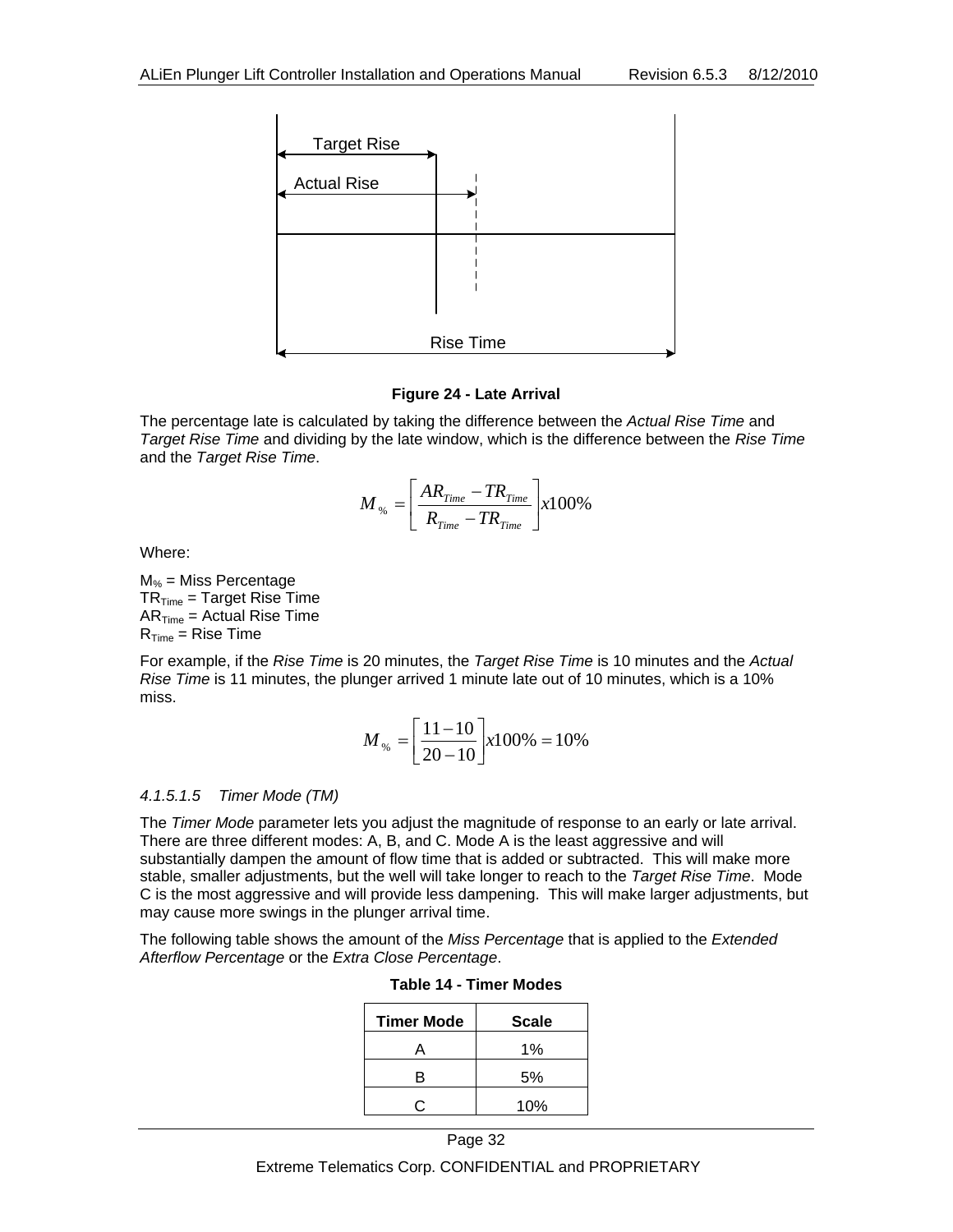

#### **Figure 24 - Late Arrival**

The percentage late is calculated by taking the difference between the *Actual Rise Time* and *Target Rise Time* and dividing by the late window, which is the difference between the *Rise Time* and the *Target Rise Time*.

$$
M_{\%} = \left[ \frac{AR_{Time} - TR_{Time}}{R_{Time} - TR_{Time}} \right] \times 100\%
$$

Where:

 $M_{%}$  = Miss Percentage  $TR<sub>Time</sub> = Target Rise Time$  $AR<sub>Time</sub> = Actual Rise Time$  $R<sub>Time</sub> = Rise Time$ 

For example, if the *Rise Time* is 20 minutes, the *Target Rise Time* is 10 minutes and the *Actual Rise Time* is 11 minutes, the plunger arrived 1 minute late out of 10 minutes, which is a 10% miss.

$$
M_{\%} = \left[\frac{11 - 10}{20 - 10}\right] x 100\% = 10\%
$$

#### *4.1.5.1.5 Timer Mode (TM)*

The *Timer Mode* parameter lets you adjust the magnitude of response to an early or late arrival. There are three different modes: A, B, and C. Mode A is the least aggressive and will substantially dampen the amount of flow time that is added or subtracted. This will make more stable, smaller adjustments, but the well will take longer to reach to the *Target Rise Time*. Mode C is the most aggressive and will provide less dampening. This will make larger adjustments, but may cause more swings in the plunger arrival time.

The following table shows the amount of the *Miss Percentage* that is applied to the *Extended Afterflow Percentage* or the *Extra Close Percentage*.

| <b>Timer Mode</b> | <b>Scale</b> |
|-------------------|--------------|
|                   | 1%           |
| в                 | 5%           |
|                   | 10%          |

| Table 14 - Timer Modes |
|------------------------|
|------------------------|

Extreme Telematics Corp. CONFIDENTIAL and PROPRIETARY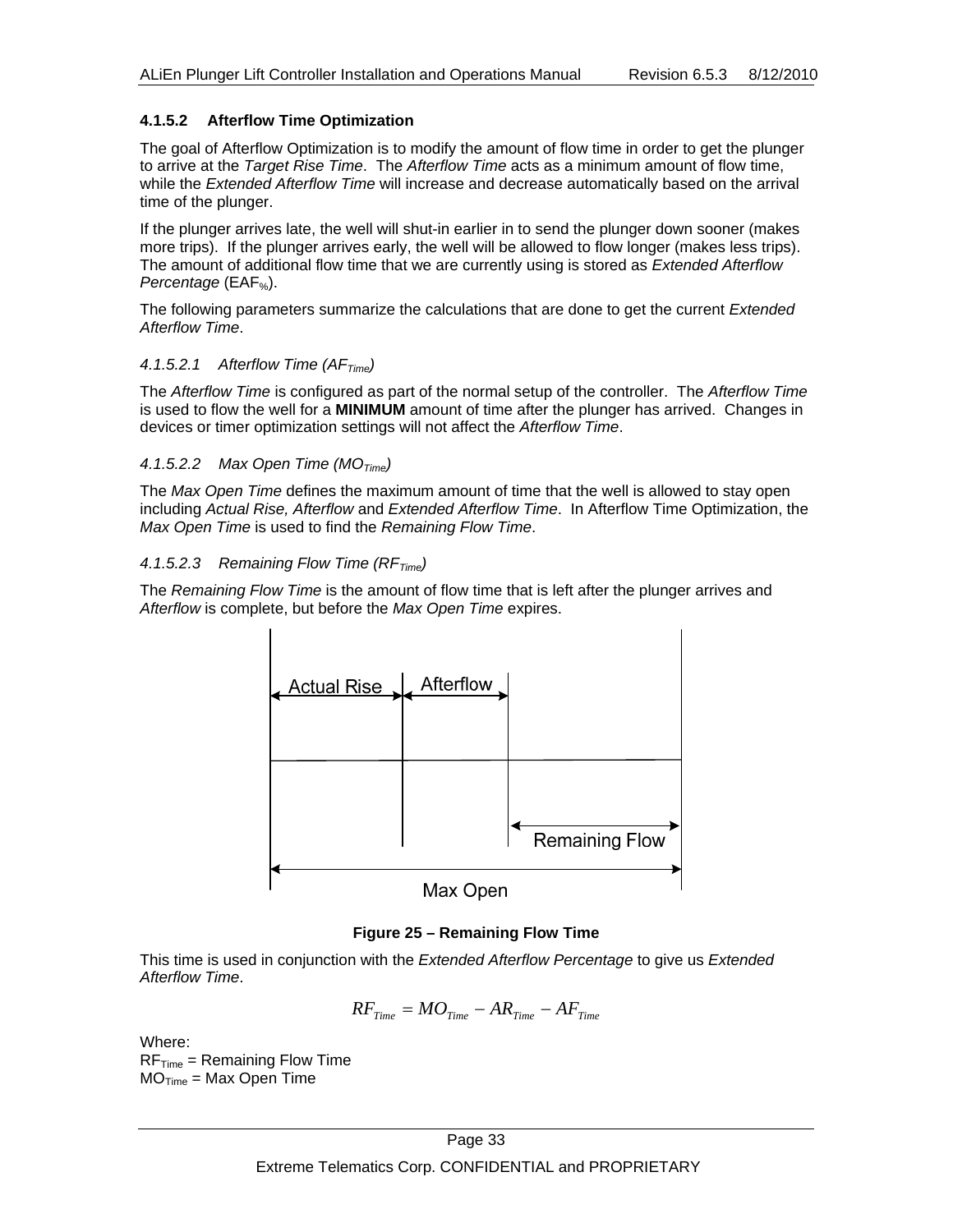#### **4.1.5.2 Afterflow Time Optimization**

The goal of Afterflow Optimization is to modify the amount of flow time in order to get the plunger to arrive at the *Target Rise Time*. The *Afterflow Time* acts as a minimum amount of flow time, while the *Extended Afterflow Time* will increase and decrease automatically based on the arrival time of the plunger.

If the plunger arrives late, the well will shut-in earlier in to send the plunger down sooner (makes more trips). If the plunger arrives early, the well will be allowed to flow longer (makes less trips). The amount of additional flow time that we are currently using is stored as *Extended Afterflow Percentage* (EAF<sub>%</sub>).

The following parameters summarize the calculations that are done to get the current *Extended Afterflow Time*.

#### *4.1.5.2.1 Afterflow Time (AFTime)*

The *Afterflow Time* is configured as part of the normal setup of the controller. The *Afterflow Time* is used to flow the well for a **MINIMUM** amount of time after the plunger has arrived. Changes in devices or timer optimization settings will not affect the *Afterflow Time*.

#### *4.1.5.2.2 Max Open Time (MOTime)*

The *Max Open Time* defines the maximum amount of time that the well is allowed to stay open including *Actual Rise, Afterflow* and *Extended Afterflow Time*. In Afterflow Time Optimization, the *Max Open Time* is used to find the *Remaining Flow Time*.

#### 4.1.5.2.3 Remaining Flow Time (RF<sub>Time</sub>)

The *Remaining Flow Time* is the amount of flow time that is left after the plunger arrives and *Afterflow* is complete, but before the *Max Open Time* expires.



#### **Figure 25 – Remaining Flow Time**

This time is used in conjunction with the *Extended Afterflow Percentage* to give us *Extended Afterflow Time*.

$$
RF_{Time} = MO_{Time} - AR_{Time} - AF_{Time}
$$

Where:

 $RF_{Time} = Remaining Flow Time$  $MO<sub>Time</sub> = Max Open Time$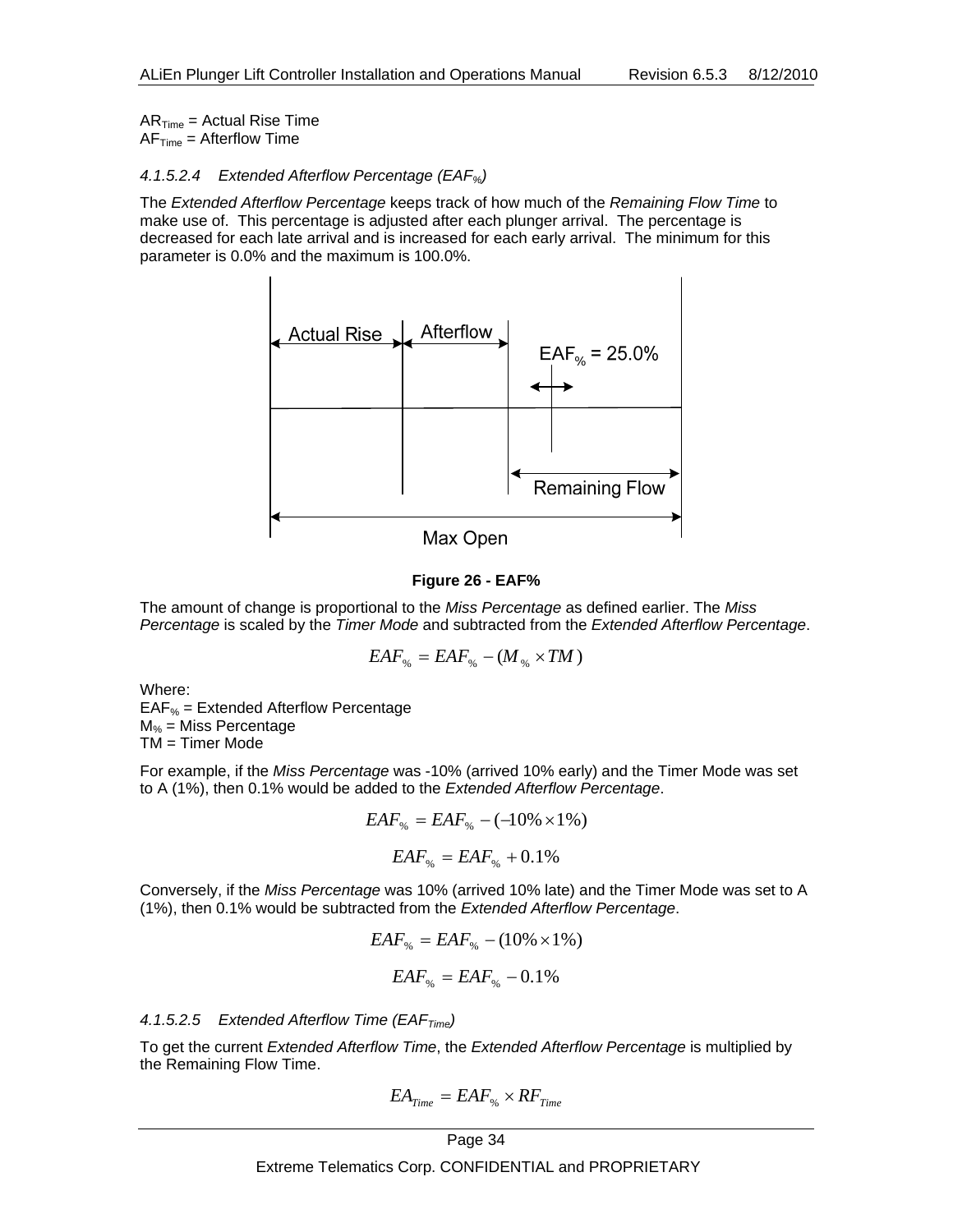$AR<sub>Time</sub> = Actual Rise Time$  $AF<sub>Time</sub> = Afterflow Time$ 

#### *4.1.5.2.4 Extended Afterflow Percentage (EAF%)*

The *Extended Afterflow Percentage* keeps track of how much of the *Remaining Flow Time* to make use of. This percentage is adjusted after each plunger arrival. The percentage is decreased for each late arrival and is increased for each early arrival. The minimum for this parameter is 0.0% and the maximum is 100.0%.



#### **Figure 26 - EAF%**

The amount of change is proportional to the *Miss Percentage* as defined earlier. The *Miss Percentage* is scaled by the *Timer Mode* and subtracted from the *Extended Afterflow Percentage*.

$$
EAF_{\%} = EAF_{\%} - (M_{\%} \times TM)
$$

Where:

 $EAF$ <sub>%</sub> = Extended Afterflow Percentage  $M_{%}$  = Miss Percentage TM = Timer Mode

For example, if the *Miss Percentage* was -10% (arrived 10% early) and the Timer Mode was set to A (1%), then 0.1% would be added to the *Extended Afterflow Percentage*.

$$
EAF_{\%} = EAF_{\%} - (-10\% \times 1\%)
$$

$$
EAF_{\%} = EAF_{\%} + 0.1\%
$$

Conversely, if the *Miss Percentage* was 10% (arrived 10% late) and the Timer Mode was set to A (1%), then 0.1% would be subtracted from the *Extended Afterflow Percentage*.

$$
EAF_{\%} = EAF_{\%} - (10\% \times 1\%)
$$

$$
EAF_{\%} = EAF_{\%} - 0.1\%
$$

4.1.5.2.5 Extended Afterflow Time (EAF<sub>Time</sub>)

To get the current *Extended Afterflow Time*, the *Extended Afterflow Percentage* is multiplied by the Remaining Flow Time.

$$
EA_{Time} = EAF_{\%} \times RF_{Time}
$$

Extreme Telematics Corp. CONFIDENTIAL and PROPRIETARY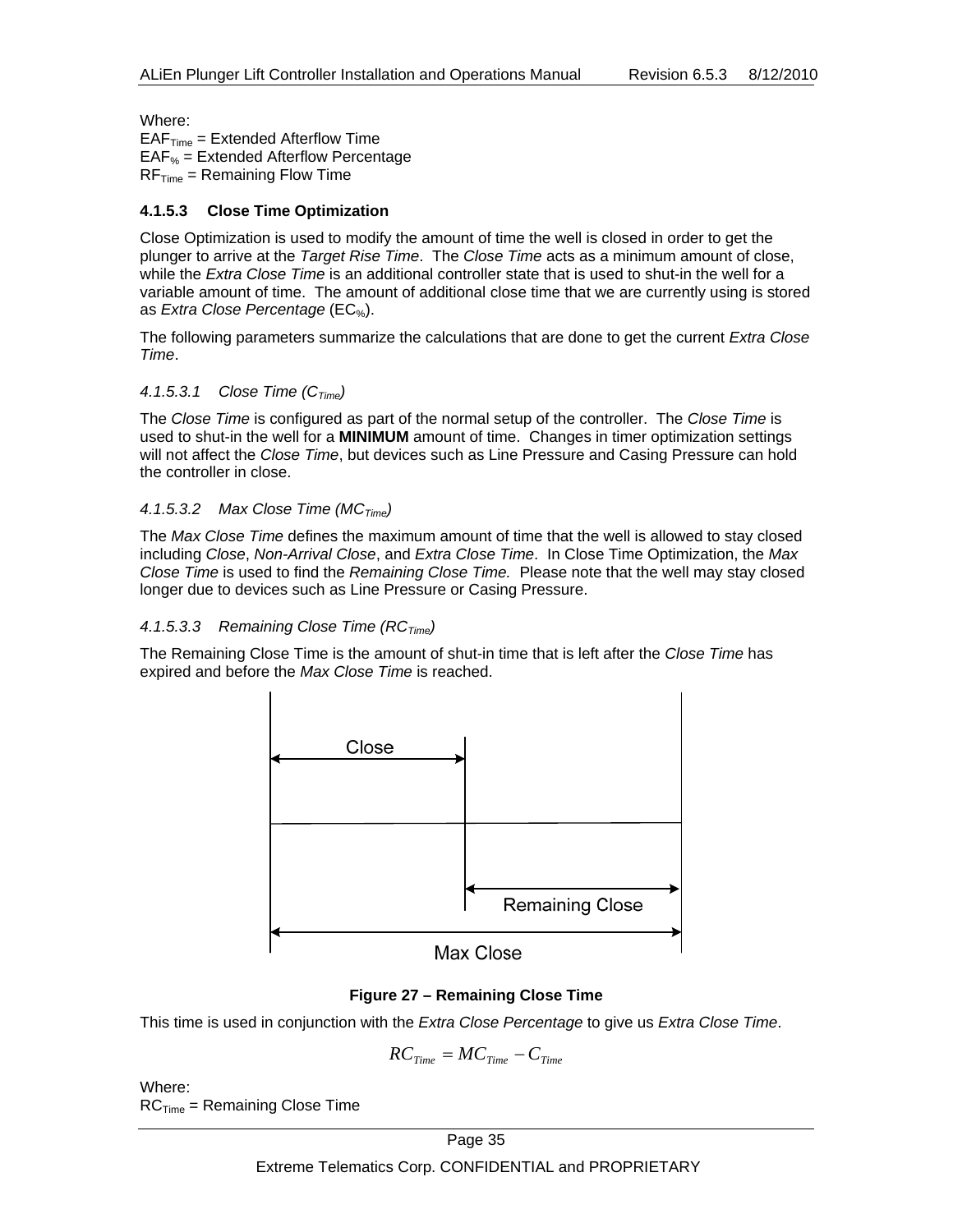Where:

 $EAF<sub>Time</sub> = Extended Afterflow Time$  $EAF$ <sub>%</sub> = Extended Afterflow Percentage  $RF_{Time} = Remaining Flow Time$ 

#### **4.1.5.3 Close Time Optimization**

Close Optimization is used to modify the amount of time the well is closed in order to get the plunger to arrive at the *Target Rise Time*. The *Close Time* acts as a minimum amount of close, while the *Extra Close Time* is an additional controller state that is used to shut-in the well for a variable amount of time. The amount of additional close time that we are currently using is stored as *Extra Close Percentage* (EC%).

The following parameters summarize the calculations that are done to get the current *Extra Close Time*.

#### *4.1.5.3.1 Close Time (CTime)*

The *Close Time* is configured as part of the normal setup of the controller. The *Close Time* is used to shut-in the well for a **MINIMUM** amount of time. Changes in timer optimization settings will not affect the *Close Time*, but devices such as Line Pressure and Casing Pressure can hold the controller in close.

#### *4.1.5.3.2 Max Close Time (MCTime)*

The *Max Close Time* defines the maximum amount of time that the well is allowed to stay closed including *Close*, *Non-Arrival Close*, and *Extra Close Time*. In Close Time Optimization, the *Max Close Time* is used to find the *Remaining Close Time.* Please note that the well may stay closed longer due to devices such as Line Pressure or Casing Pressure.

#### 4.1.5.3.3 Remaining Close Time (RC<sub>Time</sub>)

The Remaining Close Time is the amount of shut-in time that is left after the *Close Time* has expired and before the *Max Close Time* is reached.



#### **Figure 27 – Remaining Close Time**

This time is used in conjunction with the *Extra Close Percentage* to give us *Extra Close Time*.

$$
RC_{Time} = MC_{Time} - C_{Time}
$$

Where:  $RC<sub>Time</sub>$  = Remaining Close Time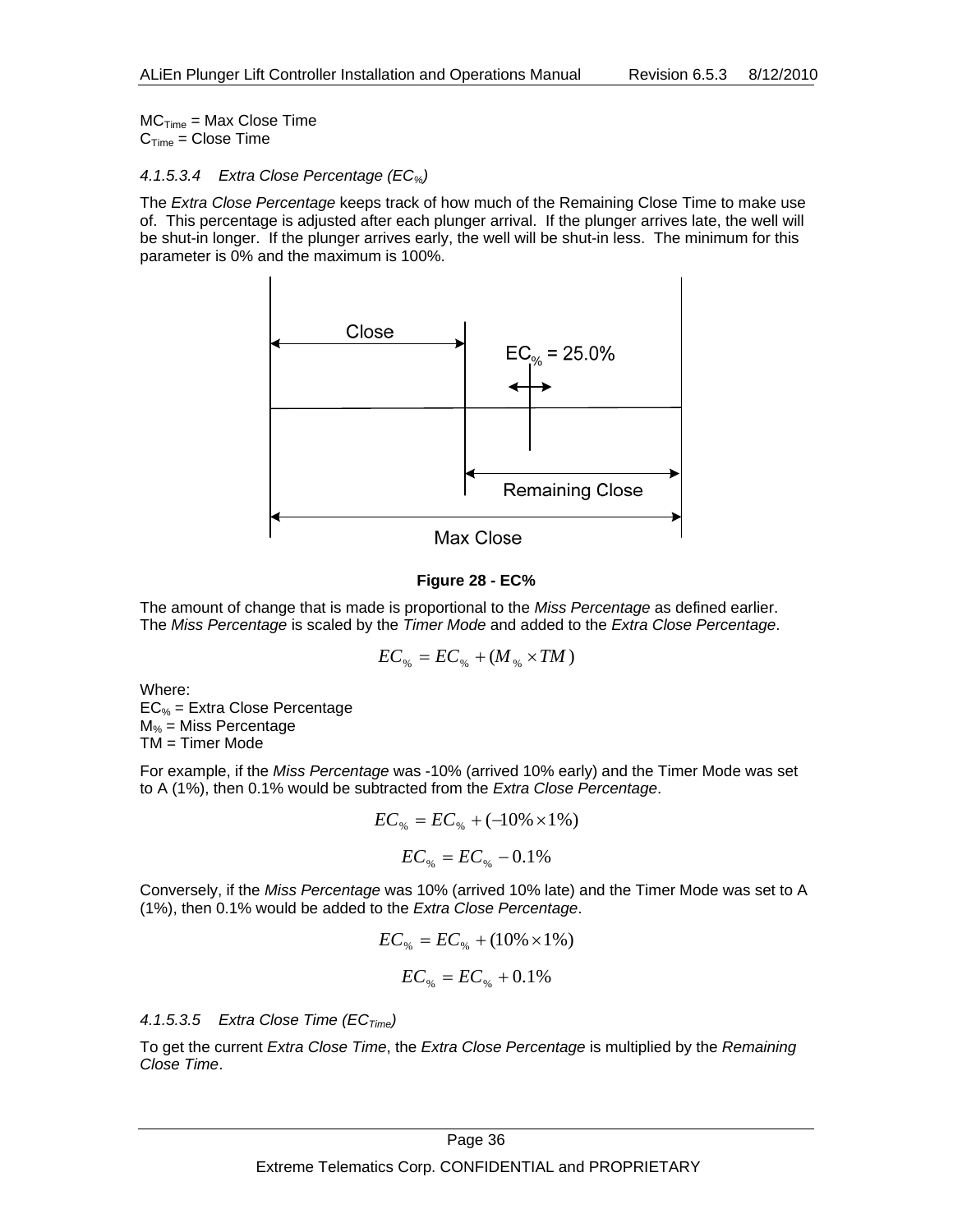$MC<sub>Time</sub> = Max Close Time$  $C<sub>Time</sub> = Close Time$ 

#### *4.1.5.3.4 Extra Close Percentage (EC%)*

The *Extra Close Percentage* keeps track of how much of the Remaining Close Time to make use of. This percentage is adjusted after each plunger arrival. If the plunger arrives late, the well will be shut-in longer. If the plunger arrives early, the well will be shut-in less. The minimum for this parameter is 0% and the maximum is 100%.



#### **Figure 28 - EC%**

The amount of change that is made is proportional to the *Miss Percentage* as defined earlier. The *Miss Percentage* is scaled by the *Timer Mode* and added to the *Extra Close Percentage*.

$$
EC_{\%}=EC_{\%}+(M_{\%}\times TM)
$$

Where:  $EC_{%}$  = Extra Close Percentage  $M_{%}$  = Miss Percentage

TM = Timer Mode

For example, if the *Miss Percentage* was -10% (arrived 10% early) and the Timer Mode was set to A (1%), then 0.1% would be subtracted from the *Extra Close Percentage*.

$$
EC_{\%} = EC_{\%} + (-10\% \times 1\%)
$$

$$
EC_{\%} = EC_{\%} - 0.1\%
$$

Conversely, if the *Miss Percentage* was 10% (arrived 10% late) and the Timer Mode was set to A (1%), then 0.1% would be added to the *Extra Close Percentage*.

$$
EC_{\%} = EC_{\%} + (10\% \times 1\%)
$$

$$
EC_{\%} = EC_{\%} + 0.1\%
$$

4.1.5.3.5 Extra Close Time (EC<sub>Time</sub>)

To get the current *Extra Close Time*, the *Extra Close Percentage* is multiplied by the *Remaining Close Time*.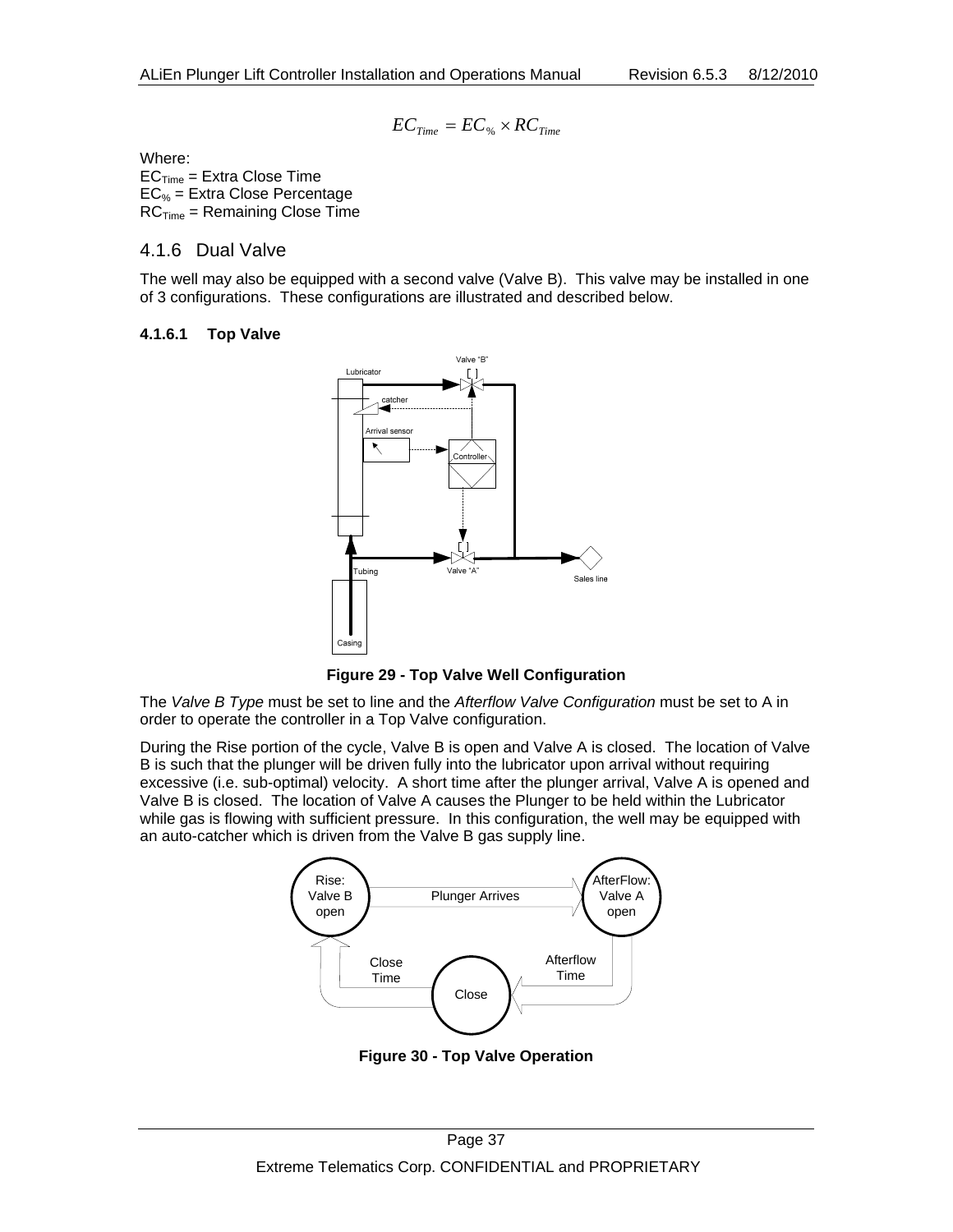$$
EC_{Time} = EC_{\%} \times RC_{Time}
$$

Where:  $EC<sub>Time</sub> = Extra Close Time$  $EC_{%}$  = Extra Close Percentage  $RC<sub>Time</sub>$  = Remaining Close Time

#### 4.1.6 Dual Valve

The well may also be equipped with a second valve (Valve B). This valve may be installed in one of 3 configurations. These configurations are illustrated and described below.

#### **4.1.6.1 Top Valve**



**Figure 29 - Top Valve Well Configuration** 

The *Valve B Type* must be set to line and the *Afterflow Valve Configuration* must be set to A in order to operate the controller in a Top Valve configuration.

During the Rise portion of the cycle, Valve B is open and Valve A is closed. The location of Valve B is such that the plunger will be driven fully into the lubricator upon arrival without requiring excessive (i.e. sub-optimal) velocity. A short time after the plunger arrival, Valve A is opened and Valve B is closed. The location of Valve A causes the Plunger to be held within the Lubricator while gas is flowing with sufficient pressure. In this configuration, the well may be equipped with an auto-catcher which is driven from the Valve B gas supply line.



**Figure 30 - Top Valve Operation**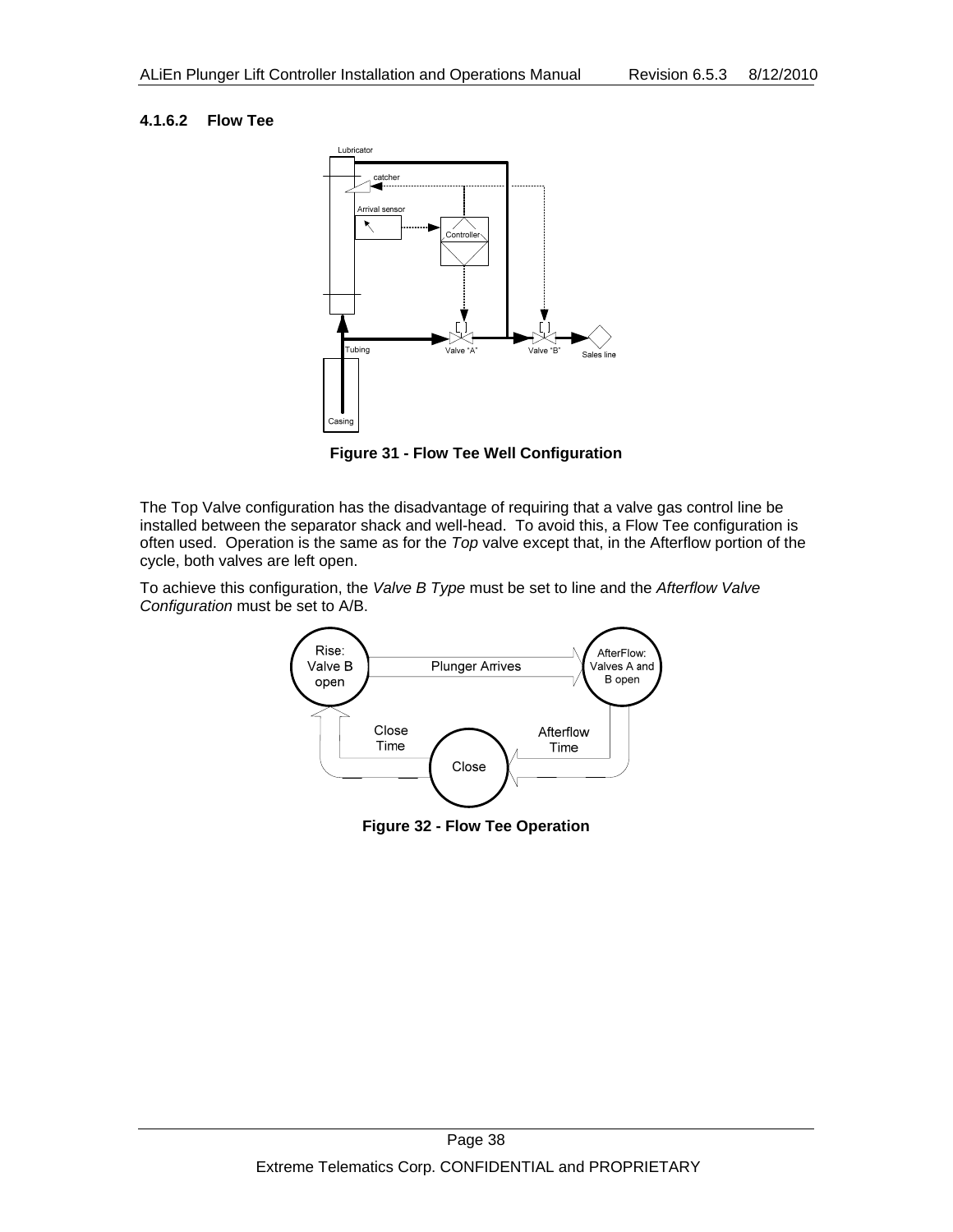#### **4.1.6.2 Flow Tee**



**Figure 31 - Flow Tee Well Configuration** 

The Top Valve configuration has the disadvantage of requiring that a valve gas control line be installed between the separator shack and well-head. To avoid this, a Flow Tee configuration is often used. Operation is the same as for the *Top* valve except that, in the Afterflow portion of the cycle, both valves are left open.

To achieve this configuration, the *Valve B Type* must be set to line and the *Afterflow Valve Configuration* must be set to A/B.



**Figure 32 - Flow Tee Operation**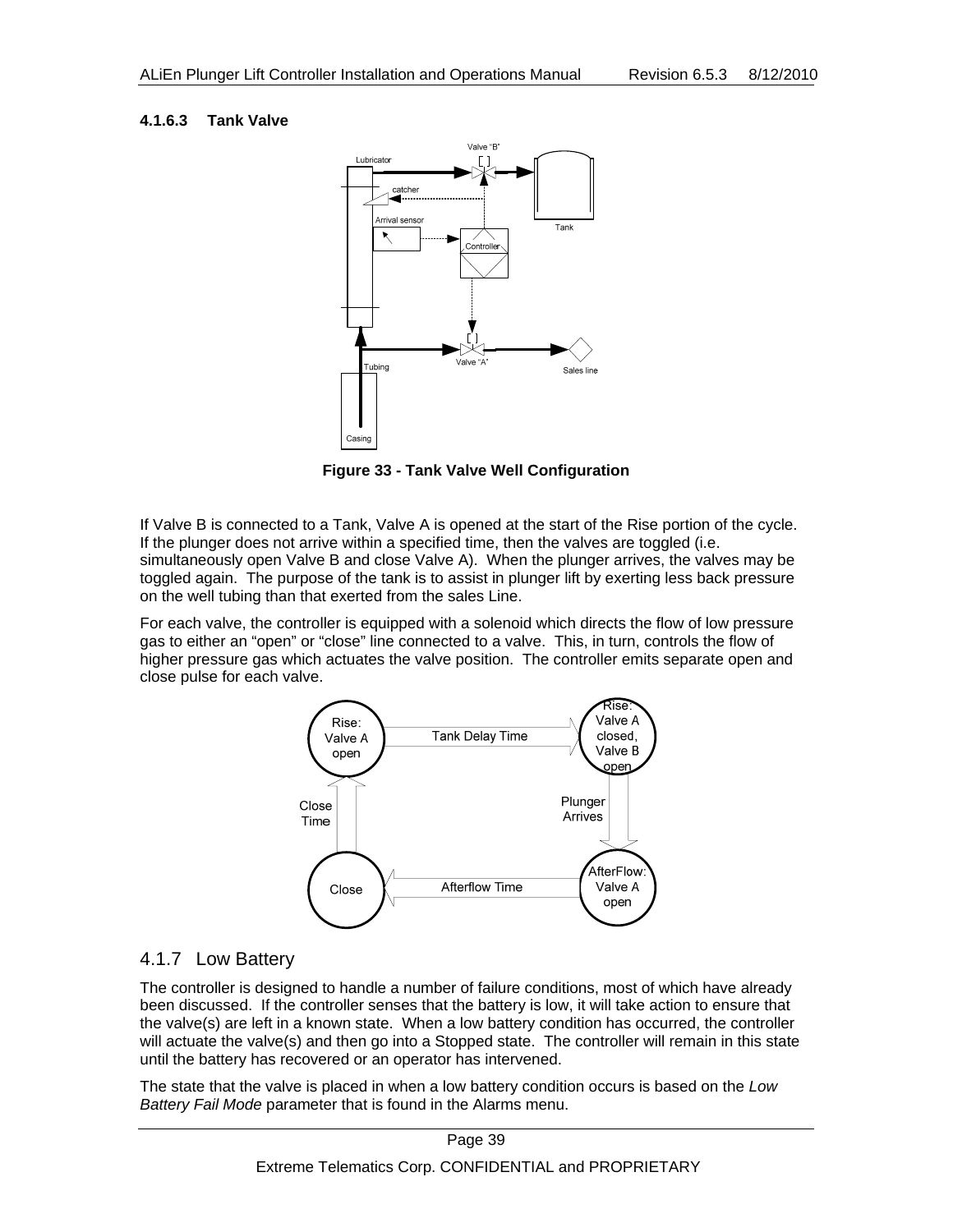#### **4.1.6.3 Tank Valve**



**Figure 33 - Tank Valve Well Configuration** 

If Valve B is connected to a Tank, Valve A is opened at the start of the Rise portion of the cycle. If the plunger does not arrive within a specified time, then the valves are toggled (i.e. simultaneously open Valve B and close Valve A). When the plunger arrives, the valves may be toggled again. The purpose of the tank is to assist in plunger lift by exerting less back pressure on the well tubing than that exerted from the sales Line.

For each valve, the controller is equipped with a solenoid which directs the flow of low pressure gas to either an "open" or "close" line connected to a valve. This, in turn, controls the flow of higher pressure gas which actuates the valve position. The controller emits separate open and close pulse for each valve.



### 4.1.7 Low Battery

The controller is designed to handle a number of failure conditions, most of which have already been discussed. If the controller senses that the battery is low, it will take action to ensure that the valve(s) are left in a known state. When a low battery condition has occurred, the controller will actuate the valve(s) and then go into a Stopped state. The controller will remain in this state until the battery has recovered or an operator has intervened.

The state that the valve is placed in when a low battery condition occurs is based on the *Low Battery Fail Mode* parameter that is found in the Alarms menu.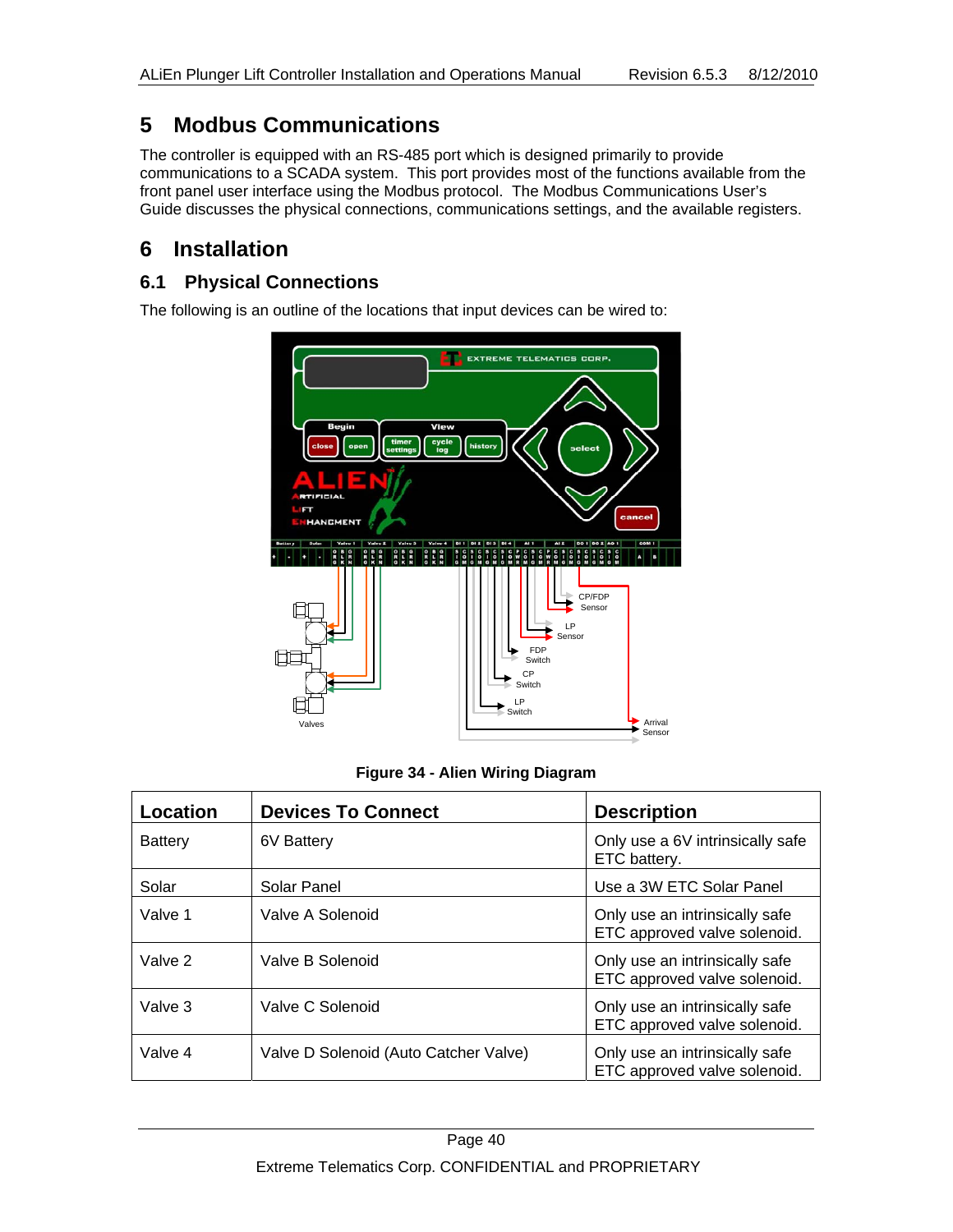# **5 Modbus Communications**

The controller is equipped with an RS-485 port which is designed primarily to provide communications to a SCADA system. This port provides most of the functions available from the front panel user interface using the Modbus protocol. The Modbus Communications User's Guide discusses the physical connections, communications settings, and the available registers.

# **6 Installation**

### **6.1 Physical Connections**

The following is an outline of the locations that input devices can be wired to:



**Figure 34 - Alien Wiring Diagram** 

| Location       | <b>Devices To Connect</b>             | <b>Description</b>                                             |
|----------------|---------------------------------------|----------------------------------------------------------------|
| <b>Battery</b> | 6V Battery                            | Only use a 6V intrinsically safe<br>ETC battery.               |
| Solar          | Solar Panel                           | Use a 3W ETC Solar Panel                                       |
| Valve 1        | Valve A Solenoid                      | Only use an intrinsically safe<br>ETC approved valve solenoid. |
| Valve 2        | Valve B Solenoid                      | Only use an intrinsically safe<br>ETC approved valve solenoid. |
| Valve 3        | Valve C Solenoid                      | Only use an intrinsically safe<br>ETC approved valve solenoid. |
| Valve 4        | Valve D Solenoid (Auto Catcher Valve) | Only use an intrinsically safe<br>ETC approved valve solenoid. |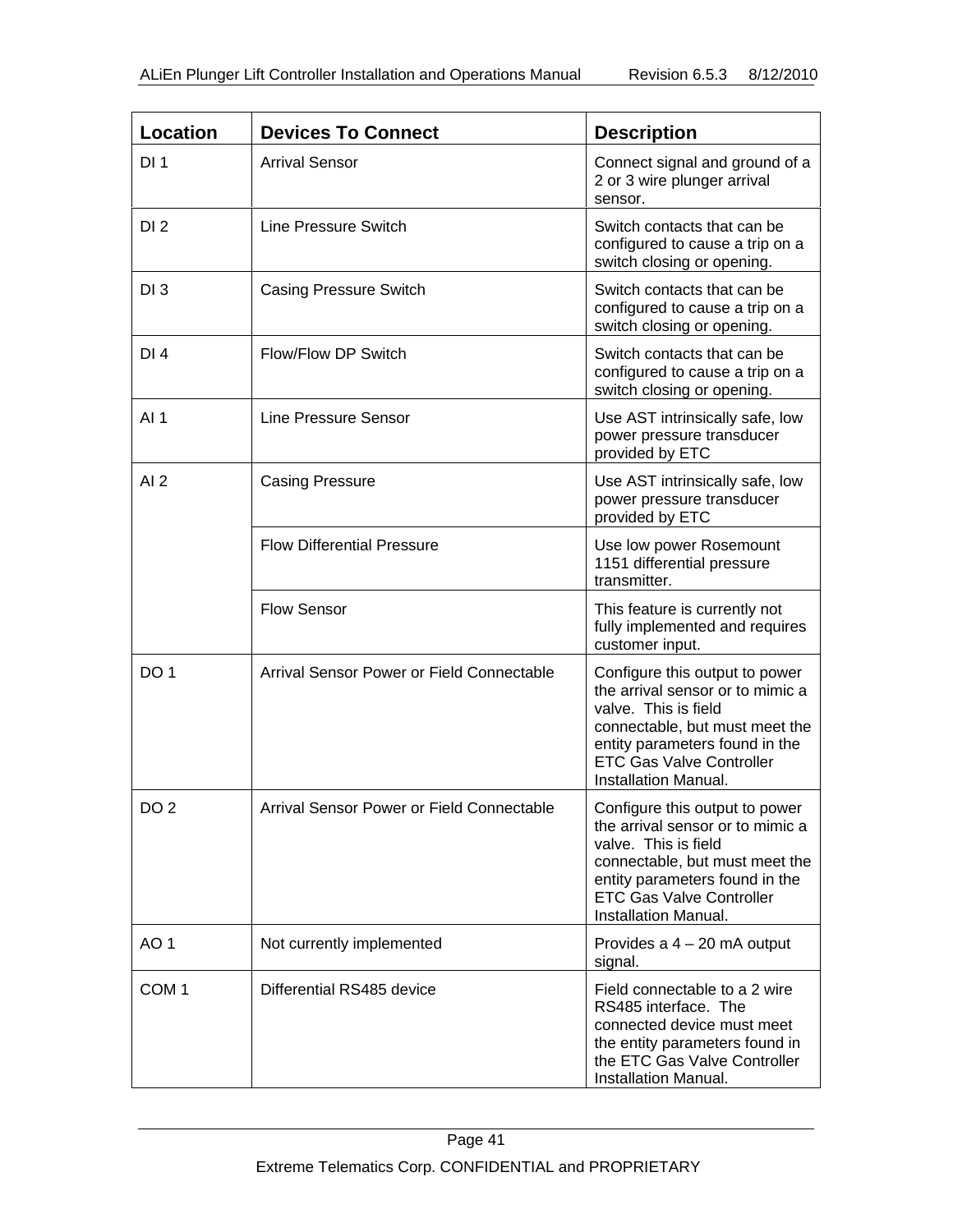| <b>Location</b>  | <b>Devices To Connect</b>                 | <b>Description</b>                                                                                                                                                                                                        |
|------------------|-------------------------------------------|---------------------------------------------------------------------------------------------------------------------------------------------------------------------------------------------------------------------------|
| DI <sub>1</sub>  | <b>Arrival Sensor</b>                     | Connect signal and ground of a<br>2 or 3 wire plunger arrival<br>sensor.                                                                                                                                                  |
| DI <sub>2</sub>  | Line Pressure Switch                      | Switch contacts that can be<br>configured to cause a trip on a<br>switch closing or opening.                                                                                                                              |
| DI <sub>3</sub>  | <b>Casing Pressure Switch</b>             | Switch contacts that can be<br>configured to cause a trip on a<br>switch closing or opening.                                                                                                                              |
| DI <sub>4</sub>  | Flow/Flow DP Switch                       | Switch contacts that can be<br>configured to cause a trip on a<br>switch closing or opening.                                                                                                                              |
| AI <sub>1</sub>  | <b>Line Pressure Sensor</b>               | Use AST intrinsically safe, low<br>power pressure transducer<br>provided by ETC                                                                                                                                           |
| AI2              | <b>Casing Pressure</b>                    | Use AST intrinsically safe, low<br>power pressure transducer<br>provided by ETC                                                                                                                                           |
|                  | <b>Flow Differential Pressure</b>         | Use low power Rosemount<br>1151 differential pressure<br>transmitter.                                                                                                                                                     |
|                  | <b>Flow Sensor</b>                        | This feature is currently not<br>fully implemented and requires<br>customer input.                                                                                                                                        |
| DO <sub>1</sub>  | Arrival Sensor Power or Field Connectable | Configure this output to power<br>the arrival sensor or to mimic a<br>valve. This is field<br>connectable, but must meet the<br>entity parameters found in the<br><b>ETC Gas Valve Controller</b><br>Installation Manual. |
| DO <sub>2</sub>  | Arrival Sensor Power or Field Connectable | Configure this output to power<br>the arrival sensor or to mimic a<br>valve. This is field<br>connectable, but must meet the<br>entity parameters found in the<br><b>ETC Gas Valve Controller</b><br>Installation Manual. |
| AO <sub>1</sub>  | Not currently implemented                 | Provides a $4 - 20$ mA output<br>signal.                                                                                                                                                                                  |
| COM <sub>1</sub> | Differential RS485 device                 | Field connectable to a 2 wire<br>RS485 interface. The<br>connected device must meet<br>the entity parameters found in<br>the ETC Gas Valve Controller<br>Installation Manual.                                             |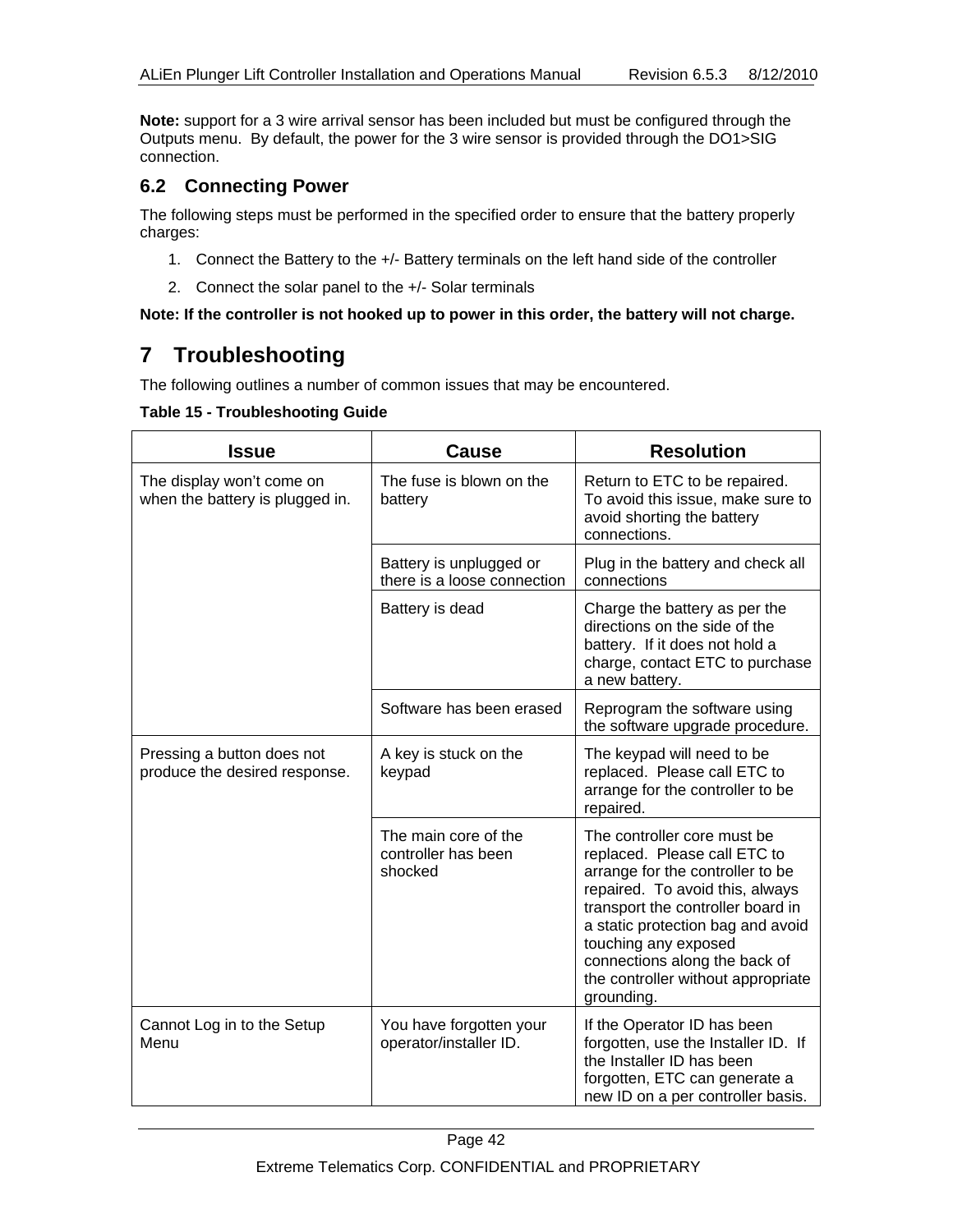**Note:** support for a 3 wire arrival sensor has been included but must be configured through the Outputs menu. By default, the power for the 3 wire sensor is provided through the DO1>SIG connection.

### **6.2 Connecting Power**

The following steps must be performed in the specified order to ensure that the battery properly charges:

- 1. Connect the Battery to the +/- Battery terminals on the left hand side of the controller
- 2. Connect the solar panel to the +/- Solar terminals

#### **Note: If the controller is not hooked up to power in this order, the battery will not charge.**

# **7 Troubleshooting**

The following outlines a number of common issues that may be encountered.

#### **Table 15 - Troubleshooting Guide**

| <b>Issue</b>                                                 | Cause                                                  | <b>Resolution</b>                                                                                                                                                                                                                                                                                                         |
|--------------------------------------------------------------|--------------------------------------------------------|---------------------------------------------------------------------------------------------------------------------------------------------------------------------------------------------------------------------------------------------------------------------------------------------------------------------------|
| The display won't come on<br>when the battery is plugged in. | The fuse is blown on the<br>battery                    | Return to ETC to be repaired.<br>To avoid this issue, make sure to<br>avoid shorting the battery<br>connections.                                                                                                                                                                                                          |
|                                                              | Battery is unplugged or<br>there is a loose connection | Plug in the battery and check all<br>connections                                                                                                                                                                                                                                                                          |
|                                                              | Battery is dead                                        | Charge the battery as per the<br>directions on the side of the<br>battery. If it does not hold a<br>charge, contact ETC to purchase<br>a new battery.                                                                                                                                                                     |
|                                                              | Software has been erased                               | Reprogram the software using<br>the software upgrade procedure.                                                                                                                                                                                                                                                           |
| Pressing a button does not<br>produce the desired response.  | A key is stuck on the<br>keypad                        | The keypad will need to be<br>replaced. Please call ETC to<br>arrange for the controller to be<br>repaired.                                                                                                                                                                                                               |
|                                                              | The main core of the<br>controller has been<br>shocked | The controller core must be<br>replaced. Please call ETC to<br>arrange for the controller to be<br>repaired. To avoid this, always<br>transport the controller board in<br>a static protection bag and avoid<br>touching any exposed<br>connections along the back of<br>the controller without appropriate<br>grounding. |
| Cannot Log in to the Setup<br>Menu                           | You have forgotten your<br>operator/installer ID.      | If the Operator ID has been<br>forgotten, use the Installer ID. If<br>the Installer ID has been<br>forgotten, ETC can generate a<br>new ID on a per controller basis.                                                                                                                                                     |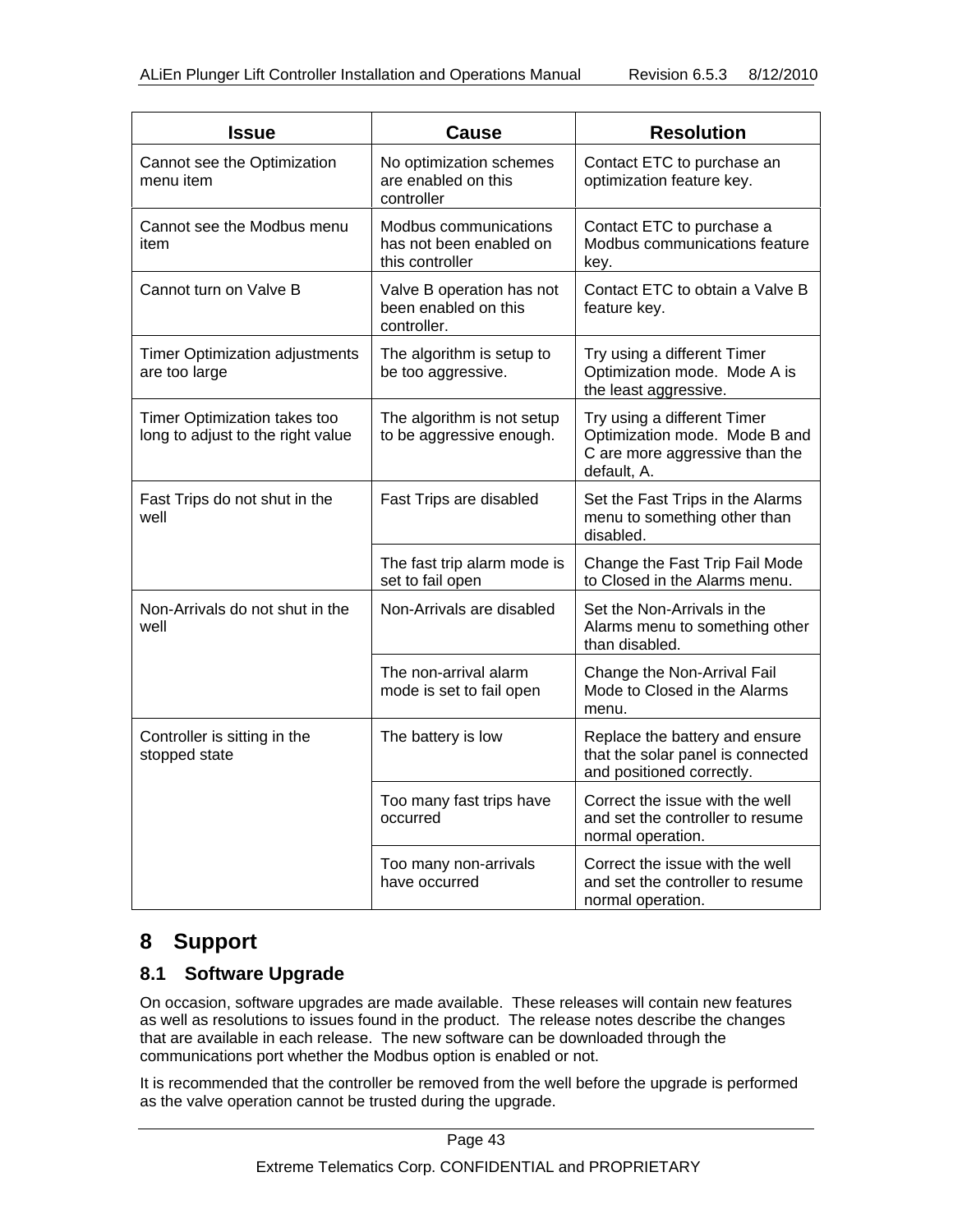| <b>Issue</b>                                                      | <b>Cause</b>                                                        | <b>Resolution</b>                                                                                             |
|-------------------------------------------------------------------|---------------------------------------------------------------------|---------------------------------------------------------------------------------------------------------------|
| Cannot see the Optimization<br>menu item                          | No optimization schemes<br>are enabled on this<br>controller        | Contact ETC to purchase an<br>optimization feature key.                                                       |
| Cannot see the Modbus menu<br>item                                | Modbus communications<br>has not been enabled on<br>this controller | Contact ETC to purchase a<br>Modbus communications feature<br>key.                                            |
| Cannot turn on Valve B                                            | Valve B operation has not<br>been enabled on this<br>controller.    | Contact ETC to obtain a Valve B<br>feature key.                                                               |
| <b>Timer Optimization adjustments</b><br>are too large            | The algorithm is setup to<br>be too aggressive.                     | Try using a different Timer<br>Optimization mode. Mode A is<br>the least aggressive.                          |
| Timer Optimization takes too<br>long to adjust to the right value | The algorithm is not setup<br>to be aggressive enough.              | Try using a different Timer<br>Optimization mode. Mode B and<br>C are more aggressive than the<br>default, A. |
| Fast Trips do not shut in the<br>well                             | Fast Trips are disabled                                             | Set the Fast Trips in the Alarms<br>menu to something other than<br>disabled.                                 |
|                                                                   | The fast trip alarm mode is<br>set to fail open                     | Change the Fast Trip Fail Mode<br>to Closed in the Alarms menu.                                               |
| Non-Arrivals do not shut in the<br>well                           | Non-Arrivals are disabled                                           | Set the Non-Arrivals in the<br>Alarms menu to something other<br>than disabled.                               |
|                                                                   | The non-arrival alarm<br>mode is set to fail open                   | Change the Non-Arrival Fail<br>Mode to Closed in the Alarms<br>menu.                                          |
| Controller is sitting in the<br>stopped state                     | The battery is low                                                  | Replace the battery and ensure<br>that the solar panel is connected<br>and positioned correctly.              |
|                                                                   | Too many fast trips have<br>occurred                                | Correct the issue with the well<br>and set the controller to resume<br>normal operation.                      |
|                                                                   | Too many non-arrivals<br>have occurred                              | Correct the issue with the well<br>and set the controller to resume<br>normal operation.                      |

# **8 Support**

### **8.1 Software Upgrade**

On occasion, software upgrades are made available. These releases will contain new features as well as resolutions to issues found in the product. The release notes describe the changes that are available in each release. The new software can be downloaded through the communications port whether the Modbus option is enabled or not.

It is recommended that the controller be removed from the well before the upgrade is performed as the valve operation cannot be trusted during the upgrade.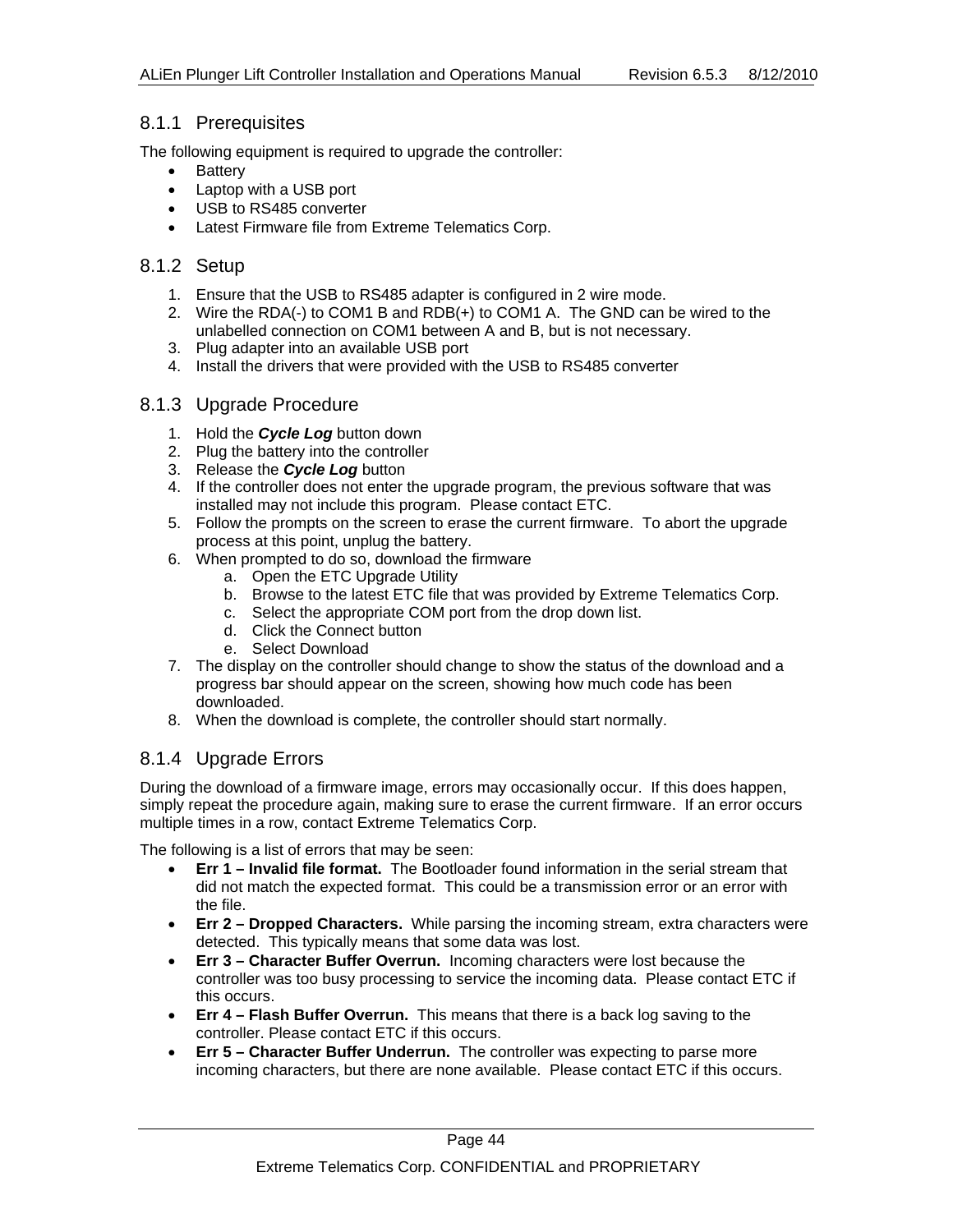#### 8.1.1 Prerequisites

The following equipment is required to upgrade the controller:

- Battery
- Laptop with a USB port
- USB to RS485 converter
- Latest Firmware file from Extreme Telematics Corp.

#### 8.1.2 Setup

- 1. Ensure that the USB to RS485 adapter is configured in 2 wire mode.
- 2. Wire the RDA(-) to COM1 B and RDB(+) to COM1 A. The GND can be wired to the unlabelled connection on COM1 between A and B, but is not necessary.
- 3. Plug adapter into an available USB port
- 4. Install the drivers that were provided with the USB to RS485 converter

#### 8.1.3 Upgrade Procedure

- 1. Hold the *Cycle Log* button down
- 2. Plug the battery into the controller
- 3. Release the *Cycle Log* button
- 4. If the controller does not enter the upgrade program, the previous software that was installed may not include this program. Please contact ETC.
- 5. Follow the prompts on the screen to erase the current firmware. To abort the upgrade process at this point, unplug the battery.
- 6. When prompted to do so, download the firmware
	- a. Open the ETC Upgrade Utility
	- b. Browse to the latest ETC file that was provided by Extreme Telematics Corp.
	- c. Select the appropriate COM port from the drop down list.
	- d. Click the Connect button
	- e. Select Download
- 7. The display on the controller should change to show the status of the download and a progress bar should appear on the screen, showing how much code has been downloaded.
- 8. When the download is complete, the controller should start normally.

### 8.1.4 Upgrade Errors

During the download of a firmware image, errors may occasionally occur. If this does happen, simply repeat the procedure again, making sure to erase the current firmware. If an error occurs multiple times in a row, contact Extreme Telematics Corp.

The following is a list of errors that may be seen:

- **Err 1 Invalid file format.** The Bootloader found information in the serial stream that did not match the expected format. This could be a transmission error or an error with the file.
- **Err 2 Dropped Characters.** While parsing the incoming stream, extra characters were detected. This typically means that some data was lost.
- **Err 3 Character Buffer Overrun.** Incoming characters were lost because the controller was too busy processing to service the incoming data. Please contact ETC if this occurs.
- **Err 4 Flash Buffer Overrun.** This means that there is a back log saving to the controller. Please contact ETC if this occurs.
- **Err 5 Character Buffer Underrun.** The controller was expecting to parse more incoming characters, but there are none available. Please contact ETC if this occurs.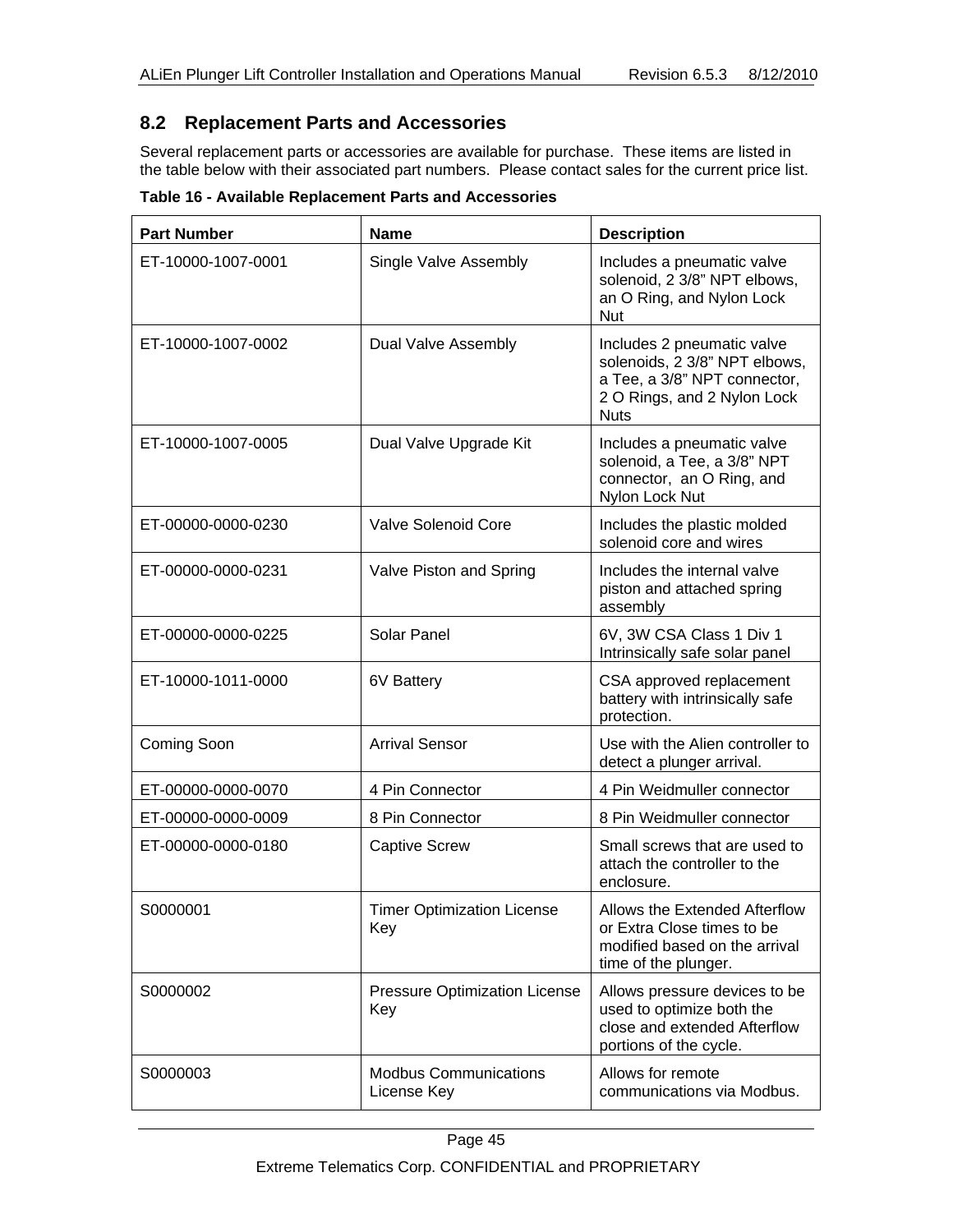### **8.2 Replacement Parts and Accessories**

Several replacement parts or accessories are available for purchase. These items are listed in the table below with their associated part numbers. Please contact sales for the current price list.

**Table 16 - Available Replacement Parts and Accessories** 

| <b>Part Number</b> | <b>Name</b>                                 | <b>Description</b>                                                                                                                        |
|--------------------|---------------------------------------------|-------------------------------------------------------------------------------------------------------------------------------------------|
| ET-10000-1007-0001 | Single Valve Assembly                       | Includes a pneumatic valve<br>solenoid, 2 3/8" NPT elbows,<br>an O Ring, and Nylon Lock<br>Nut                                            |
| ET-10000-1007-0002 | Dual Valve Assembly                         | Includes 2 pneumatic valve<br>solenoids, 2 3/8" NPT elbows,<br>a Tee, a 3/8" NPT connector,<br>2 O Rings, and 2 Nylon Lock<br><b>Nuts</b> |
| ET-10000-1007-0005 | Dual Valve Upgrade Kit                      | Includes a pneumatic valve<br>solenoid, a Tee, a 3/8" NPT<br>connector, an O Ring, and<br>Nylon Lock Nut                                  |
| ET-00000-0000-0230 | <b>Valve Solenoid Core</b>                  | Includes the plastic molded<br>solenoid core and wires                                                                                    |
| ET-00000-0000-0231 | Valve Piston and Spring                     | Includes the internal valve<br>piston and attached spring<br>assembly                                                                     |
| ET-00000-0000-0225 | Solar Panel                                 | 6V, 3W CSA Class 1 Div 1<br>Intrinsically safe solar panel                                                                                |
| ET-10000-1011-0000 | 6V Battery                                  | CSA approved replacement<br>battery with intrinsically safe<br>protection.                                                                |
| Coming Soon        | <b>Arrival Sensor</b>                       | Use with the Alien controller to<br>detect a plunger arrival.                                                                             |
| ET-00000-0000-0070 | 4 Pin Connector                             | 4 Pin Weidmuller connector                                                                                                                |
| ET-00000-0000-0009 | 8 Pin Connector                             | 8 Pin Weidmuller connector                                                                                                                |
| ET-00000-0000-0180 | <b>Captive Screw</b>                        | Small screws that are used to<br>attach the controller to the<br>enclosure.                                                               |
| S0000001           | <b>Timer Optimization License</b><br>Key    | Allows the Extended Afterflow<br>or Extra Close times to be<br>modified based on the arrival<br>time of the plunger.                      |
| S0000002           | <b>Pressure Optimization License</b><br>Key | Allows pressure devices to be<br>used to optimize both the<br>close and extended Afterflow<br>portions of the cycle.                      |
| S0000003           | <b>Modbus Communications</b><br>License Key | Allows for remote<br>communications via Modbus.                                                                                           |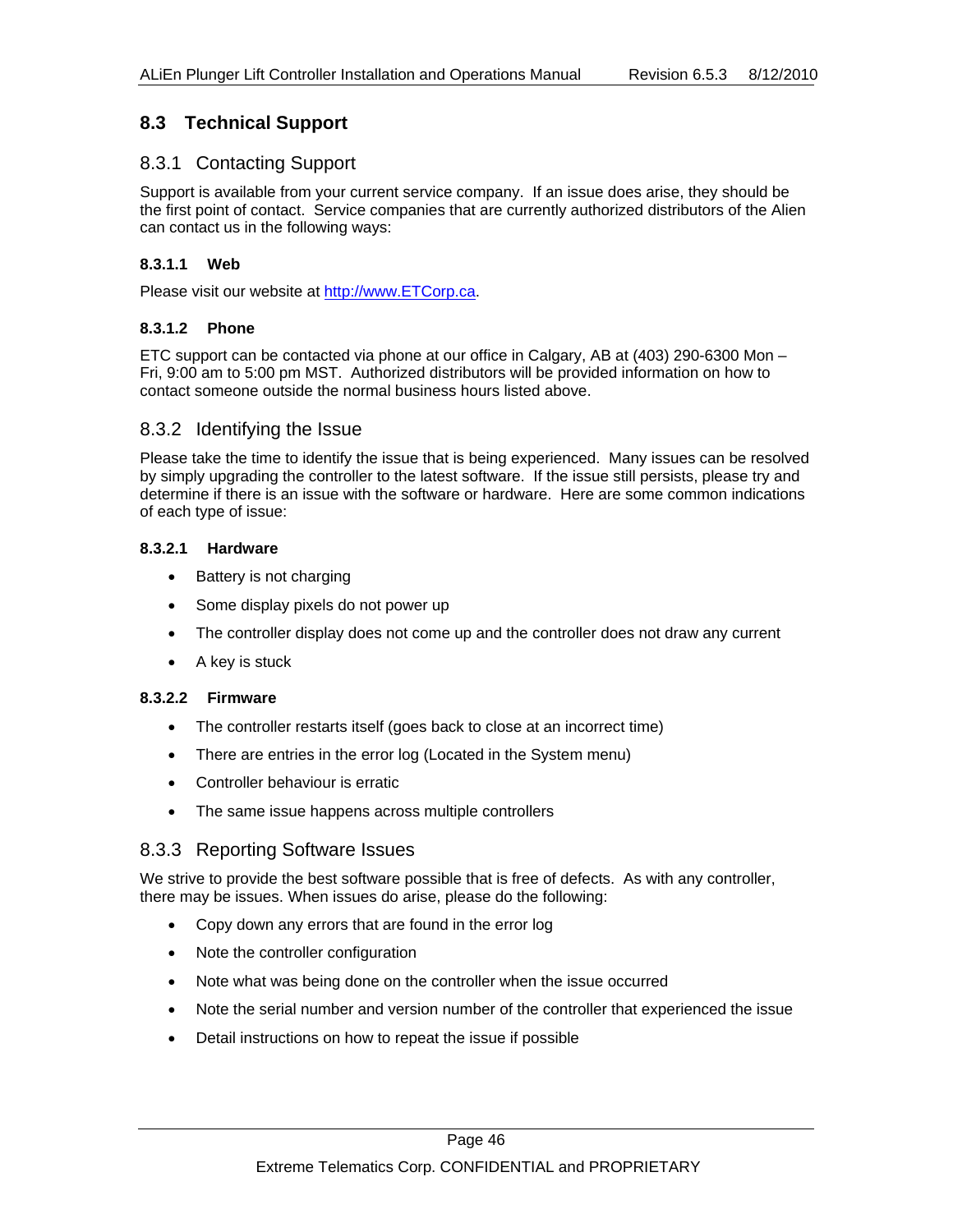### **8.3 Technical Support**

### 8.3.1 Contacting Support

Support is available from your current service company. If an issue does arise, they should be the first point of contact. Service companies that are currently authorized distributors of the Alien can contact us in the following ways:

#### **8.3.1.1 Web**

Please visit our website at http://www.ETCorp.ca.

#### **8.3.1.2 Phone**

ETC support can be contacted via phone at our office in Calgary, AB at (403) 290-6300 Mon – Fri, 9:00 am to 5:00 pm MST. Authorized distributors will be provided information on how to contact someone outside the normal business hours listed above.

#### 8.3.2 Identifying the Issue

Please take the time to identify the issue that is being experienced. Many issues can be resolved by simply upgrading the controller to the latest software. If the issue still persists, please try and determine if there is an issue with the software or hardware. Here are some common indications of each type of issue:

#### **8.3.2.1 Hardware**

- Battery is not charging
- Some display pixels do not power up
- The controller display does not come up and the controller does not draw any current
- A key is stuck

#### **8.3.2.2 Firmware**

- The controller restarts itself (goes back to close at an incorrect time)
- There are entries in the error log (Located in the System menu)
- Controller behaviour is erratic
- The same issue happens across multiple controllers

#### 8.3.3 Reporting Software Issues

We strive to provide the best software possible that is free of defects. As with any controller, there may be issues. When issues do arise, please do the following:

- Copy down any errors that are found in the error log
- Note the controller configuration
- Note what was being done on the controller when the issue occurred
- Note the serial number and version number of the controller that experienced the issue
- Detail instructions on how to repeat the issue if possible